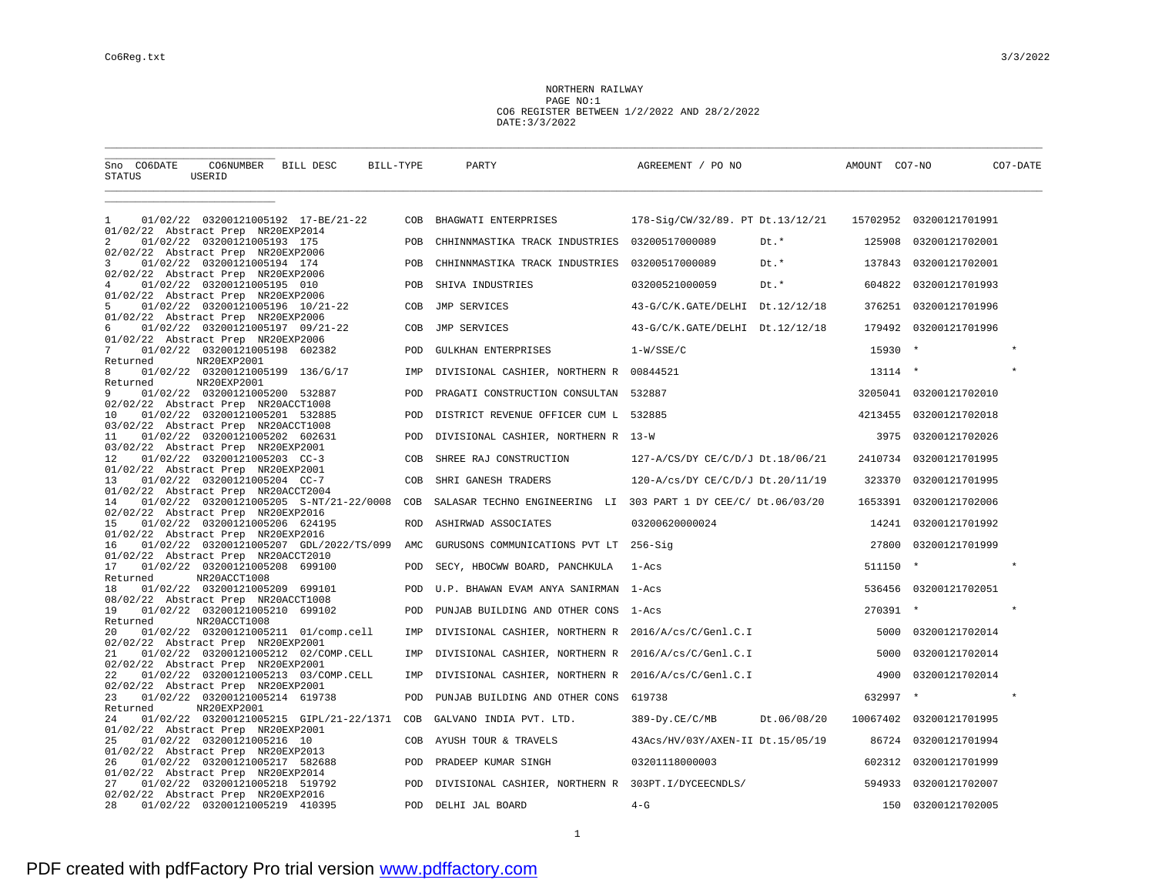NORTHERN RAILWAY PAGE NO:1 CO6 REGISTER BETWEEN 1/2/2022 AND 28/2/2022 DATE:3/3/2022

| Sno CO6DATE<br>CO6NUMBER BILL DESC<br>STATUS<br>USERID                               | BILL-TYPE  | PARTY                                              | AGREEMENT / PO NO                                              | AMOUNT CO7-NO | CO7-DATE                |
|--------------------------------------------------------------------------------------|------------|----------------------------------------------------|----------------------------------------------------------------|---------------|-------------------------|
| 01/02/22 03200121005192 17-BE/21-22<br>1                                             | COB        | BHAGWATI ENTERPRISES                               | 178-Sig/CW/32/89. PT Dt.13/12/21                               |               | 15702952 03200121701991 |
| 01/02/22 Abstract Prep NR20EXP2014                                                   |            |                                                    |                                                                |               |                         |
| 01/02/22 03200121005193 175<br>2<br>02/02/22 Abstract Prep NR20EXP2006               | POB        | CHHINNMASTIKA TRACK INDUSTRIES                     | Dt.*<br>03200517000089                                         | 125908        | 03200121702001          |
| 3<br>01/02/22 03200121005194 174<br>02/02/22 Abstract Prep NR20EXP2006               | POB        | CHHINNMASTIKA TRACK INDUSTRIES                     | 03200517000089<br>Dt.*                                         | 137843        | 03200121702001          |
| $\overline{4}$<br>01/02/22 03200121005195 010                                        | POB        | SHIVA INDUSTRIES                                   | Dt.*<br>03200521000059                                         | 604822        | 03200121701993          |
| 01/02/22 Abstract Prep NR20EXP2006<br>5<br>01/02/22 03200121005196 10/21-22          | COB        | JMP SERVICES                                       | 43-G/C/K.GATE/DELHI Dt.12/12/18                                | 376251        | 03200121701996          |
| 01/02/22 Abstract Prep NR20EXP2006<br>6<br>01/02/22 03200121005197 09/21-22          | COB        | JMP SERVICES                                       | 43-G/C/K.GATE/DELHI Dt.12/12/18                                | 179492        | 03200121701996          |
| 01/02/22 Abstract Prep NR20EXP2006<br>7<br>01/02/22 03200121005198 602382            | POD        | GULKHAN ENTERPRISES                                | $1-W/SE/C$                                                     | 15930         |                         |
| Returned<br>NR20EXP2001<br>8<br>01/02/22 03200121005199 136/G/17                     | IMP        | DIVISIONAL CASHIER, NORTHERN R                     | 00844521                                                       | 13114         | $\star$                 |
| NR20EXP2001<br>Returned<br>9<br>01/02/22 03200121005200 532887                       | POD        | PRAGATI CONSTRUCTION CONSULTAN 532887              |                                                                |               | 3205041 03200121702010  |
| 02/02/22 Abstract Prep NR20ACCT1008<br>10<br>01/02/22 03200121005201 532885          | POD        | DISTRICT REVENUE OFFICER CUM L                     | 532885                                                         | 4213455       | 03200121702018          |
| 03/02/22 Abstract Prep NR20ACCT1008<br>01/02/22 03200121005202 602631<br>11          | POD        | DIVISIONAL CASHIER, NORTHERN R 13-W                |                                                                | 3975          | 03200121702026          |
| 03/02/22 Abstract Prep NR20EXP2001<br>12<br>01/02/22 03200121005203 CC-3             | COB        | SHREE RAJ CONSTRUCTION                             | 127-A/CS/DY CE/C/D/J Dt.18/06/21                               | 2410734       | 03200121701995          |
| 01/02/22 Abstract Prep NR20EXP2001<br>01/02/22 03200121005204 CC-7<br>13             | COB        | SHRI GANESH TRADERS                                | 120-A/cs/DY CE/C/D/J Dt.20/11/19                               | 323370        | 03200121701995          |
| 01/02/22 Abstract Prep NR20ACCT2004<br>01/02/22 03200121005205 S-NT/21-22/0008<br>14 | COB        |                                                    | SALASAR TECHNO ENGINEERING LI 303 PART 1 DY CEE/C/ Dt.06/03/20 | 1653391       | 03200121702006          |
| 02/02/22 Abstract Prep NR20EXP2016<br>01/02/22 03200121005206 624195<br>15           | <b>ROD</b> | ASHIRWAD ASSOCIATES                                | 03200620000024                                                 | 14241         | 03200121701992          |
| 01/02/22 Abstract Prep NR20EXP2016<br>01/02/22 03200121005207 GDL/2022/TS/099<br>16  | AMC        | GURUSONS COMMUNICATIONS PVT LT 256-Sig             |                                                                | 27800         | 03200121701999          |
| 01/02/22 Abstract Prep NR20ACCT2010<br>17<br>01/02/22 03200121005208 699100          | POD        | SECY, HBOCWW BOARD, PANCHKULA                      | $1 - Acs$                                                      | 511150        | $\star$<br>$\star$      |
| NR20ACCT1008<br>Returned<br>18<br>01/02/22 03200121005209 699101                     | POD        | U.P. BHAWAN EVAM ANYA SANIRMAN                     | l-Acs                                                          | 536456        | 03200121702051          |
| 08/02/22 Abstract Prep NR20ACCT1008<br>19<br>01/02/22 03200121005210 699102          | POD        | PUNJAB BUILDING AND OTHER CONS                     | 1-Acs                                                          | 270391 *      |                         |
| NR20ACCT1008<br>Returned<br>01/02/22 03200121005211 01/comp.cell<br>20               |            |                                                    |                                                                | 5000          | 03200121702014          |
| 02/02/22 Abstract Prep NR20EXP2001                                                   | IMP        | DIVISIONAL CASHIER, NORTHERN R                     | 2016/A/cs/C/Genl.C.I                                           |               |                         |
| 21<br>01/02/22 03200121005212 02/COMP.CELL<br>02/02/22 Abstract Prep NR20EXP2001     | IMP        | DIVISIONAL CASHIER, NORTHERN R                     | 2016/A/cs/C/Genl.C.I                                           | 5000          | 03200121702014          |
| 22<br>01/02/22 03200121005213 03/COMP.CELL<br>02/02/22 Abstract Prep NR20EXP2001     | IMP        | DIVISIONAL CASHIER, NORTHERN R                     | 2016/A/cs/C/Genl.C.I                                           | 4900          | 03200121702014          |
| 23<br>01/02/22 03200121005214 619738<br>Returned<br>NR20EXP2001                      | POD        | PUNJAB BUILDING AND OTHER CONS                     | 619738                                                         | 632997        |                         |
| 01/02/22 03200121005215 GIPL/21-22/1371<br>24<br>01/02/22 Abstract Prep NR20EXP2001  | COB        | GALVANO INDIA PVT. LTD.                            | Dt.06/08/20<br>$389 - Dy.CE/C/MB$                              | 10067402      | 03200121701995          |
| 25<br>01/02/22 03200121005216 10                                                     | COB        | AYUSH TOUR & TRAVELS                               | 43Acs/HV/03Y/AXEN-II Dt.15/05/19                               | 86724         | 03200121701994          |
| 01/02/22 Abstract Prep NR20EXP2013<br>01/02/22 03200121005217 582688<br>26           | POD        | PRADEEP KUMAR SINGH                                | 03201118000003                                                 | 602312        | 03200121701999          |
| 01/02/22 Abstract Prep NR20EXP2014<br>27<br>01/02/22 03200121005218 519792           | POD        | DIVISIONAL CASHIER, NORTHERN R 303PT.I/DYCEECNDLS/ |                                                                | 594933        | 03200121702007          |
| 02/02/22 Abstract Prep NR20EXP2016<br>01/02/22 03200121005219 410395<br>28           | <b>POD</b> | DELHI JAL BOARD                                    | $4-G$                                                          | 150           | 03200121702005          |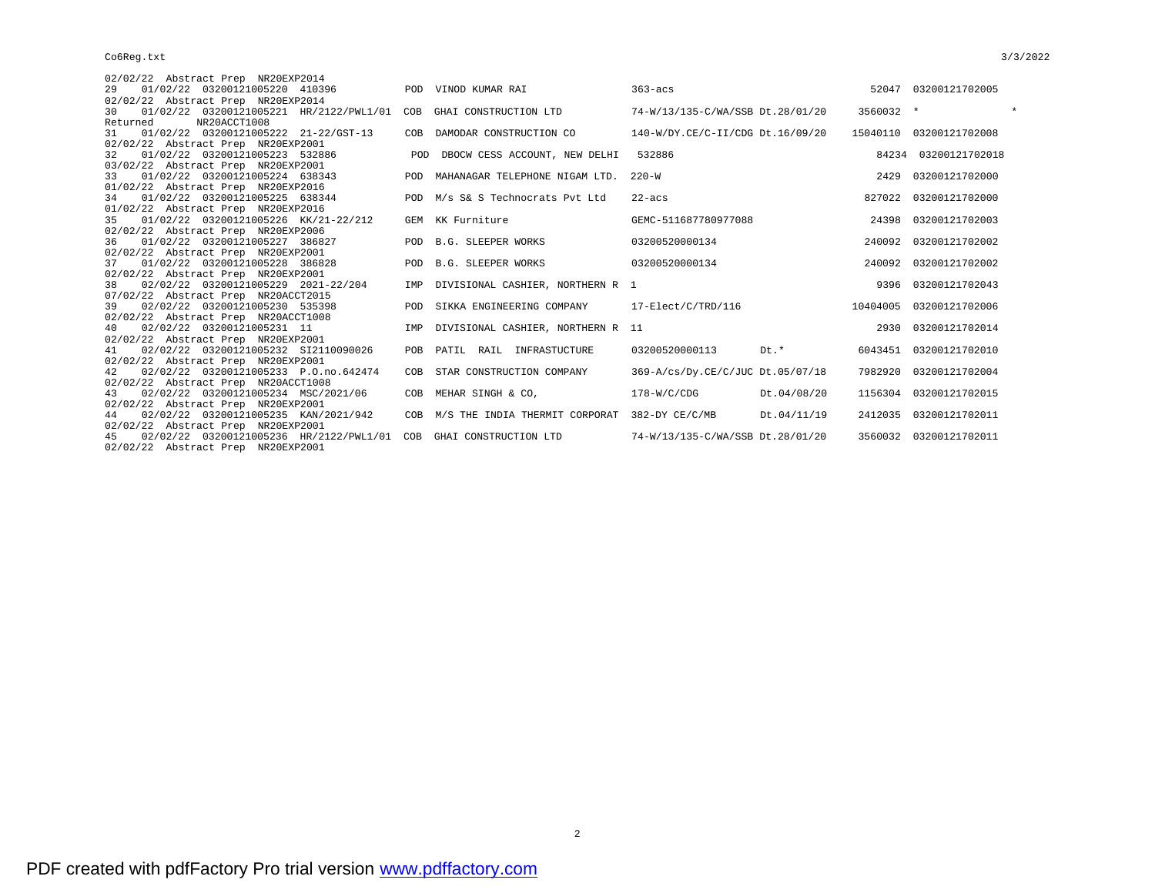| 02/02/22 Abstract Prep NR20EXP2014                                         |            |                                                   |                                  |           |                         |  |
|----------------------------------------------------------------------------|------------|---------------------------------------------------|----------------------------------|-----------|-------------------------|--|
| 01/02/22 03200121005220 410396<br>29                                       |            | POD VINOD KUMAR RAI                               | $363 - \text{acs}$               |           | 52047 03200121702005    |  |
| 02/02/22 Abstract Prep NR20EXP2014                                         |            |                                                   |                                  |           |                         |  |
| 01/02/22 03200121005221 HR/2122/PWL1/01<br>30                              |            | COB GHAI CONSTRUCTION LTD                         | 74-W/13/135-C/WA/SSB Dt.28/01/20 | 3560032 * |                         |  |
| NR20ACCT1008<br>Returned                                                   |            |                                                   |                                  |           |                         |  |
| 01/02/22 03200121005222 21-22/GST-13<br>31                                 |            | COB DAMODAR CONSTRUCTION CO                       | 140-W/DY.CE/C-II/CDG Dt.16/09/20 |           | 15040110 03200121702008 |  |
| 02/02/22 Abstract Prep NR20EXP2001                                         |            |                                                   |                                  |           |                         |  |
| 01/02/22 03200121005223 532886<br>32                                       | <b>POD</b> | DBOCW CESS ACCOUNT, NEW DELHI                     | 532886                           |           | 84234 03200121702018    |  |
| 03/02/22 Abstract Prep NR20EXP2001                                         |            |                                                   |                                  |           |                         |  |
| 01/02/22 03200121005224 638343<br>33                                       | POD        | MAHANAGAR TELEPHONE NIGAM LTD. 220-W              |                                  | 2429      | 03200121702000          |  |
| 01/02/22 Abstract Prep NR20EXP2016                                         |            |                                                   |                                  |           |                         |  |
| 01/02/22 03200121005225 638344<br>34<br>01/02/22 Abstract Prep NR20EXP2016 |            | POD M/s S& S Technocrats Pvt Ltd                  | $22 - acs$                       | 827022    | 03200121702000          |  |
| 01/02/22 03200121005226 KK/21-22/212<br>35                                 |            | GEM KK Furniture                                  | GEMC-511687780977088             | 24398     | 03200121702003          |  |
| 02/02/22 Abstract Prep NR20EXP2006                                         |            |                                                   |                                  |           |                         |  |
| 01/02/22 03200121005227 386827<br>36                                       |            | POD B.G. SLEEPER WORKS                            | 03200520000134                   | 240092    | 03200121702002          |  |
| 02/02/22 Abstract Prep NR20EXP2001                                         |            |                                                   |                                  |           |                         |  |
| 01/02/22 03200121005228 386828<br>37                                       |            | POD B.G. SLEEPER WORKS                            | 03200520000134                   |           | 240092 03200121702002   |  |
| 02/02/22 Abstract Prep NR20EXP2001                                         |            |                                                   |                                  |           |                         |  |
| 02/02/22 03200121005229 2021-22/204<br>38                                  |            | IMP DIVISIONAL CASHIER, NORTHERN R 1              |                                  |           | 9396 03200121702043     |  |
| 07/02/22 Abstract Prep NR20ACCT2015                                        |            |                                                   |                                  |           |                         |  |
| 02/02/22 03200121005230 535398<br>39                                       | POD.       | SIKKA ENGINEERING COMPANY                         | 17-Elect/C/TRD/116               | 10404005  | 03200121702006          |  |
| 02/02/22 Abstract Prep NR20ACCT1008                                        |            |                                                   |                                  |           |                         |  |
| 02/02/22 03200121005231 11<br>40                                           | IMP        | DIVISIONAL CASHIER, NORTHERN R 11                 |                                  |           | 2930 03200121702014     |  |
| 02/02/22 Abstract Prep NR20EXP2001                                         |            |                                                   |                                  |           |                         |  |
| 02/02/22 03200121005232 SI2110090026<br>41                                 |            | POB PATIL RAIL INFRASTUCTURE                      | 03200520000113<br>Dt.*           | 6043451   | 03200121702010          |  |
| 02/02/22 Abstract Prep NR20EXP2001                                         |            |                                                   |                                  |           |                         |  |
| 02/02/22 03200121005233 P.O.no.642474<br>42                                | COB        | STAR CONSTRUCTION COMPANY                         | 369-A/cs/Dy.CE/C/JUC Dt.05/07/18 | 7982920   | 03200121702004          |  |
| 02/02/22 Abstract Prep NR20ACCT1008                                        |            |                                                   |                                  |           |                         |  |
| 02/02/22 03200121005234 MSC/2021/06<br>43                                  |            | COB MEHAR SINGH & CO,                             | $178-W/C/CDG$<br>Dt.04/08/20     |           | 1156304 03200121702015  |  |
| 02/02/22 Abstract Prep NR20EXP2001                                         |            |                                                   |                                  |           |                         |  |
| 02/02/22 03200121005235 KAN/2021/942<br>44                                 |            | COB M/S THE INDIA THERMIT CORPORAT 382-DY CE/C/MB | Dt.04/11/19                      |           | 2412035 03200121702011  |  |
| 02/02/22 Abstract Prep NR20EXP2001                                         |            |                                                   |                                  |           |                         |  |
| 02/02/22 03200121005236 HR/2122/PWL1/01<br>45                              |            | COB GHAI CONSTRUCTION LTD                         | 74-W/13/135-C/WA/SSB Dt.28/01/20 |           | 3560032 03200121702011  |  |
| 02/02/22 Abstract Prep NR20EXP2001                                         |            |                                                   |                                  |           |                         |  |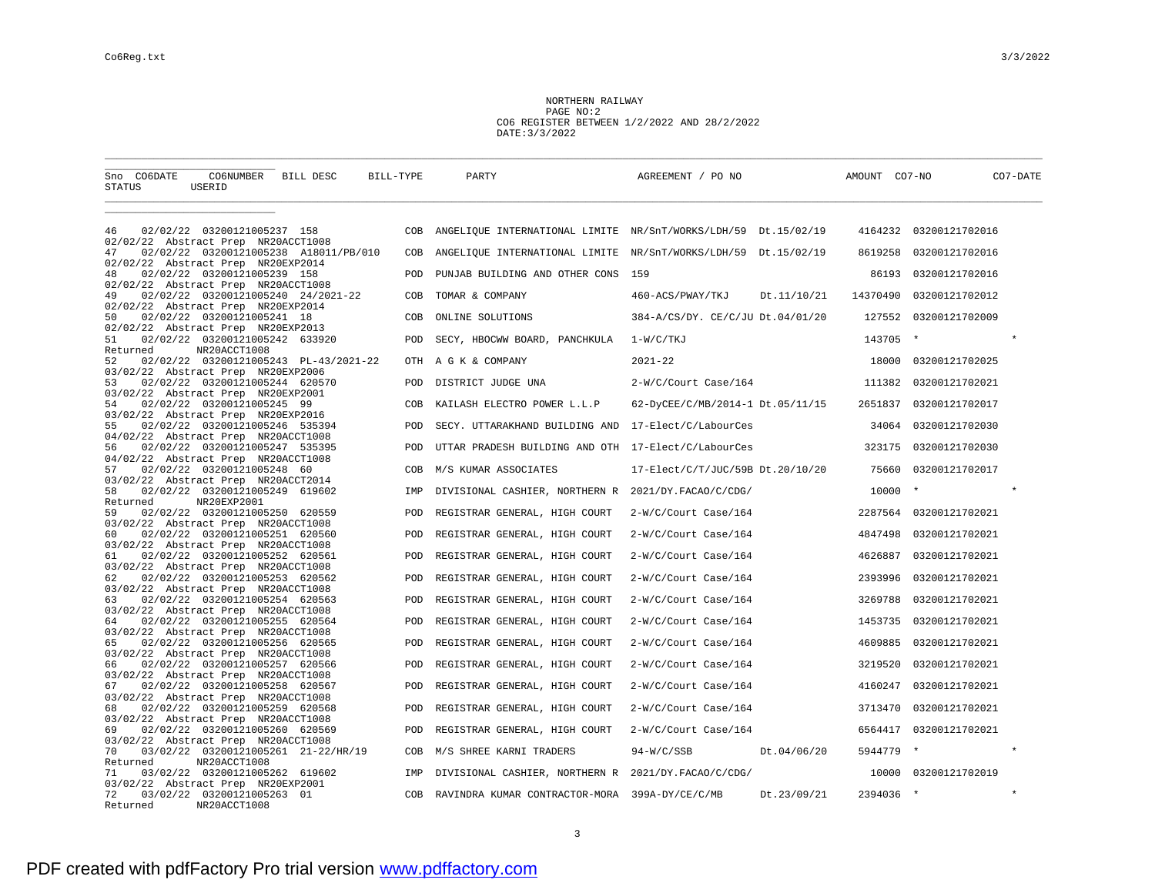NORTHERN RAILWAY PAGE NO:2 CO6 REGISTER BETWEEN 1/2/2022 AND 28/2/2022 DATE:3/3/2022

| CO6NUMBER BILL DESC<br>Sno CO6DATE<br>STATUS<br>USERID                                             | BILL-TYPE  | PARTY                                               | AGREEMENT / PO NO                                              | AMOUNT CO7-NO | CO7-DATE               |
|----------------------------------------------------------------------------------------------------|------------|-----------------------------------------------------|----------------------------------------------------------------|---------------|------------------------|
|                                                                                                    |            |                                                     |                                                                |               |                        |
| 02/02/22 03200121005237 158<br>46<br>02/02/22 Abstract Prep NR20ACCT1008                           | COB        |                                                     | ANGELIQUE INTERNATIONAL LIMITE NR/SnT/WORKS/LDH/59 Dt.15/02/19 |               | 4164232 03200121702016 |
| 02/02/22 03200121005238 A18011/PB/010<br>47<br>02/02/22 Abstract Prep NR20EXP2014                  | COB        |                                                     | ANGELIQUE INTERNATIONAL LIMITE NR/SnT/WORKS/LDH/59 Dt.15/02/19 | 8619258       | 03200121702016         |
| 02/02/22 03200121005239 158<br>48<br>02/02/22 Abstract Prep NR20ACCT1008                           | POD        | PUNJAB BUILDING AND OTHER CONS                      | 159                                                            | 86193         | 03200121702016         |
| 02/02/22 03200121005240 24/2021-22<br>49<br>02/02/22 Abstract Prep NR20EXP2014                     | COB        | TOMAR & COMPANY                                     | 460-ACS/PWAY/TKJ<br>Dt.11/10/21                                | 14370490      | 03200121702012         |
| 02/02/22 03200121005241 18<br>50<br>02/02/22 Abstract Prep NR20EXP2013                             | COB        | ONLINE SOLUTIONS                                    | 384-A/CS/DY. CE/C/JU Dt.04/01/20                               | 127552        | 03200121702009         |
| 02/02/22 03200121005242 633920<br>51<br>NR20ACCT1008<br>Returned                                   | POD        | SECY, HBOCWW BOARD, PANCHKULA                       | 1-W/C/TKJ                                                      | 143705 *      |                        |
| 52<br>02/02/22 03200121005243 PL-43/2021-22<br>03/02/22 Abstract Prep NR20EXP2006                  |            | OTH A G K & COMPANY                                 | $2021 - 22$                                                    |               | 18000 03200121702025   |
| 02/02/22 03200121005244 620570<br>53<br>03/02/22 Abstract Prep NR20EXP2001                         | <b>POD</b> | DISTRICT JUDGE UNA                                  | 2-W/C/Court Case/164                                           | 111382        | 03200121702021         |
| 02/02/22 03200121005245 99<br>54<br>03/02/22 Abstract Prep NR20EXP2016                             | COB        | KAILASH ELECTRO POWER L.L.P                         | 62-DyCEE/C/MB/2014-1 Dt.05/11/15                               |               | 2651837 03200121702017 |
| 02/02/22 03200121005246 535394<br>55<br>04/02/22 Abstract Prep NR20ACCT1008                        | POD        | SECY. UTTARAKHAND BUILDING AND 17-Elect/C/LabourCes |                                                                | 34064         | 03200121702030         |
| 02/02/22 03200121005247 535395<br>56<br>04/02/22 Abstract Prep NR20ACCT1008                        | POD        | UTTAR PRADESH BUILDING AND OTH 17-Elect/C/LabourCes |                                                                | 323175        | 03200121702030         |
| 02/02/22 03200121005248 60<br>57<br>03/02/22 Abstract Prep NR20ACCT2014                            | COB        | M/S KUMAR ASSOCIATES                                | 17-Elect/C/T/JUC/59B Dt.20/10/20                               | 75660         | 03200121702017         |
| 58<br>02/02/22 03200121005249 619602<br>NR20EXP2001<br>Returned                                    | IMP        | DIVISIONAL CASHIER, NORTHERN R 2021/DY.FACAO/C/CDG/ |                                                                | 10000 *       |                        |
| 02/02/22 03200121005250 620559<br>59<br>03/02/22 Abstract Prep NR20ACCT1008                        | POD        | REGISTRAR GENERAL, HIGH COURT                       | 2-W/C/Court Case/164                                           |               | 2287564 03200121702021 |
| 60<br>02/02/22 03200121005251 620560<br>03/02/22 Abstract Prep NR20ACCT1008                        | POD        | REGISTRAR GENERAL, HIGH COURT                       | 2-W/C/Court Case/164                                           | 4847498       | 03200121702021         |
| 02/02/22 03200121005252 620561<br>61<br>03/02/22 Abstract Prep NR20ACCT1008                        | POD        | REGISTRAR GENERAL, HIGH COURT                       | 2-W/C/Court Case/164                                           | 4626887       | 03200121702021         |
| 62<br>02/02/22 03200121005253 620562<br>03/02/22 Abstract Prep NR20ACCT1008                        | POD        | REGISTRAR GENERAL, HIGH COURT                       | 2-W/C/Court Case/164                                           | 2393996       | 03200121702021         |
| 02/02/22 03200121005254 620563<br>63<br>03/02/22 Abstract Prep NR20ACCT1008                        | POD        | REGISTRAR GENERAL, HIGH COURT                       | 2-W/C/Court Case/164                                           | 3269788       | 03200121702021         |
| 02/02/22 03200121005255 620564<br>64<br>03/02/22 Abstract Prep NR20ACCT1008                        | POD        | REGISTRAR GENERAL, HIGH COURT                       | 2-W/C/Court Case/164                                           | 1453735       | 03200121702021         |
| 02/02/22 03200121005256 620565<br>65<br>03/02/22 Abstract Prep NR20ACCT1008                        | POD        | REGISTRAR GENERAL, HIGH COURT                       | 2-W/C/Court Case/164                                           | 4609885       | 03200121702021         |
| 02/02/22 03200121005257 620566<br>66<br>03/02/22 Abstract Prep NR20ACCT1008                        | POD        | REGISTRAR GENERAL, HIGH COURT                       | 2-W/C/Court Case/164                                           | 3219520       | 03200121702021         |
| 02/02/22 03200121005258 620567<br>67<br>03/02/22 Abstract Prep NR20ACCT1008                        | POD        | REGISTRAR GENERAL, HIGH COURT                       | 2-W/C/Court Case/164                                           | 4160247       | 03200121702021         |
| 02/02/22 03200121005259 620568<br>68                                                               | POD        | REGISTRAR GENERAL, HIGH COURT                       | 2-W/C/Court Case/164                                           | 3713470       | 03200121702021         |
| 03/02/22 Abstract Prep NR20ACCT1008<br>02/02/22 03200121005260 620569<br>69                        | POD        | REGISTRAR GENERAL, HIGH COURT                       | 2-W/C/Court Case/164                                           |               | 6564417 03200121702021 |
| 03/02/22 Abstract Prep NR20ACCT1008<br>70<br>03/02/22 03200121005261 21-22/HR/19                   | COB        | M/S SHREE KARNI TRADERS                             | 94-W/C/SSB Dt.04/06/20                                         | 5944779 *     |                        |
| NR20ACCT1008<br>Returned<br>03/02/22 03200121005262 619602<br>71                                   | IMP        | DIVISIONAL CASHIER, NORTHERN R 2021/DY.FACAO/C/CDG/ |                                                                |               | 10000 03200121702019   |
| 03/02/22 Abstract Prep NR20EXP2001<br>72<br>03/02/22 03200121005263 01<br>NR20ACCT1008<br>Returned | COB        | RAVINDRA KUMAR CONTRACTOR-MORA 399A-DY/CE/C/MB      | Dt.23/09/21                                                    | 2394036 *     |                        |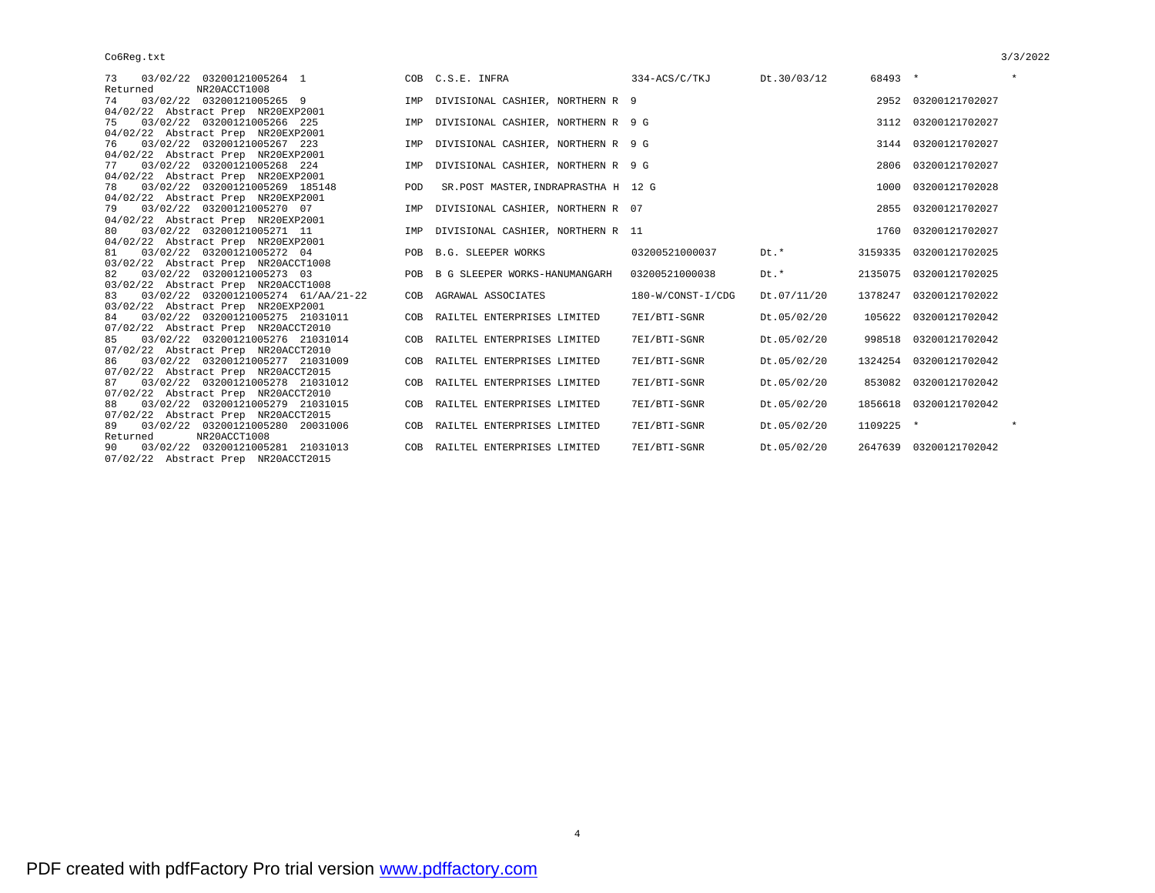| 73 03/02/22 03200121005264 1           |  |
|----------------------------------------|--|
| Returned NR20ACCT1008                  |  |
| 74 03/02/22 03200121005265 9           |  |
| 04/02/22 Abstract Prep NR20EXP2001     |  |
| 75 03/02/22 03200121005266 225         |  |
| 04/02/22 Abstract Prep NR20EXP2001     |  |
| 76  03/02/22  03200121005267  223      |  |
| 04/02/22 Abstract Prep NR20EXP2001     |  |
| 77  03/02/22  03200121005268  224      |  |
| 04/02/22 Abstract Prep NR20EXP2001     |  |
| 78  03/02/22  03200121005269  185148   |  |
| 04/02/22 Abstract Prep NR20EXP2001     |  |
| 79  03/02/22  03200121005270  07       |  |
| 04/02/22 Abstract Prep NR20EXP2001     |  |
| 80 03/02/22 03200121005271 11          |  |
| 04/02/22 Abstract Prep NR20EXP2001     |  |
| 81 03/02/22 03200121005272 04          |  |
| 03/02/22 Abstract Prep NR20ACCT1008    |  |
| 82 03/02/22 03200121005273 03          |  |
| 03/02/22 Abstract Prep NR20ACCT1008    |  |
| 83 03/02/22 03200121005274 61/AA/21-22 |  |
| 03/02/22 Abstract Prep NR20EXP2001     |  |
| 84 03/02/22 03200121005275 21031011    |  |
| 07/02/22 Abstract Prep NR20ACCT2010    |  |
| 85 03/02/22 03200121005276 21031014    |  |
| 07/02/22 Abstract Prep NR20ACCT2010    |  |
| 86 03/02/22 03200121005277 21031009    |  |
| 07/02/22 Abstract Prep NR20ACCT2015    |  |
| 87  03/02/22  03200121005278  21031012 |  |
| 07/02/22 Abstract Prep NR20ACCT2010    |  |
| 88 03/02/22 03200121005279 21031015    |  |
| 07/02/22 Abstract Prep NR20ACCT2015    |  |
| 89 03/02/22 03200121005280 20031006    |  |
| Returned NR20ACCT1008                  |  |
| 90 03/02/22 03200121005281 21031013    |  |
| 07/02/22 Abstract Prep NR20ACCT2015    |  |

| 73<br>03/02/22 03200121005264 1           |            | COB C.S.E. INFRA                       | 334-ACS/C/TKJ     | Dt.30/03/12 | 68493 *   |                        | $\star$ |
|-------------------------------------------|------------|----------------------------------------|-------------------|-------------|-----------|------------------------|---------|
| Returned<br>NR20ACCT1008                  |            |                                        |                   |             |           |                        |         |
| 03/02/22 03200121005265 9<br>74           |            | IMP DIVISIONAL CASHIER, NORTHERN R 9   |                   |             |           | 2952 03200121702027    |         |
| 04/02/22 Abstract Prep NR20EXP2001        |            |                                        |                   |             |           |                        |         |
| 03/02/22 03200121005266 225<br>75         |            | IMP DIVISIONAL CASHIER, NORTHERN R 9 G |                   |             |           | 3112 03200121702027    |         |
| 04/02/22 Abstract Prep NR20EXP2001        |            |                                        |                   |             |           |                        |         |
| 03/02/22 03200121005267 223<br>76         |            | IMP DIVISIONAL CASHIER, NORTHERN R 9 G |                   |             |           | 3144 03200121702027    |         |
| 04/02/22 Abstract Prep NR20EXP2001        |            |                                        |                   |             |           |                        |         |
| 03/02/22 03200121005268 224<br>77         | IMP        | DIVISIONAL CASHIER, NORTHERN R 9 G     |                   |             | 2806      | 03200121702027         |         |
| 04/02/22 Abstract Prep NR20EXP2001        |            |                                        |                   |             |           |                        |         |
| 03/02/22 03200121005269 185148<br>78      | POD        | SR.POST MASTER, INDRAPRASTHA H 12 G    |                   |             | 1000      | 03200121702028         |         |
| 04/02/22 Abstract Prep NR20EXP2001        |            |                                        |                   |             |           |                        |         |
| 79<br>03/02/22 03200121005270 07          | IMP        | DIVISIONAL CASHIER, NORTHERN R 07      |                   |             | 2855      | 03200121702027         |         |
| 04/02/22 Abstract Prep NR20EXP2001        |            |                                        |                   |             |           |                        |         |
| 03/02/22 03200121005271 11<br>80          |            | IMP DIVISIONAL CASHIER, NORTHERN R 11  |                   |             |           | 1760 03200121702027    |         |
| 04/02/22 Abstract Prep NR20EXP2001        |            |                                        |                   |             |           |                        |         |
| 03/02/22 03200121005272 04<br>81          |            | POB B.G. SLEEPER WORKS                 | 03200521000037    | $Dt.*$      |           | 3159335 03200121702025 |         |
| 03/02/22 Abstract Prep NR20ACCT1008       |            |                                        |                   |             |           |                        |         |
| 03/02/22 03200121005273 03<br>82          | <b>POB</b> | B G SLEEPER WORKS-HANUMANGARH          | 03200521000038    | Dt.*        |           | 2135075 03200121702025 |         |
| 03/02/22 Abstract Prep NR20ACCT1008       |            |                                        |                   |             |           |                        |         |
| 03/02/22 03200121005274 61/AA/21-22<br>83 | COB        | AGRAWAL ASSOCIATES                     | 180-W/CONST-I/CDG | Dt.07/11/20 |           | 1378247 03200121702022 |         |
| 03/02/22 Abstract Prep NR20EXP2001        |            |                                        |                   |             |           |                        |         |
| 03/02/22 03200121005275 21031011<br>84    |            | COB RAILTEL ENTERPRISES LIMITED        | 7EI/BTI-SGNR      | Dt.05/02/20 |           | 105622 03200121702042  |         |
| 07/02/22 Abstract Prep NR20ACCT2010       |            |                                        |                   |             |           |                        |         |
| 03/02/22 03200121005276 21031014<br>85    |            | COB RAILTEL ENTERPRISES LIMITED        | 7EI/BTI-SGNR      | Dt.05/02/20 | 998518    | 03200121702042         |         |
| 07/02/22 Abstract Prep NR20ACCT2010       |            |                                        |                   |             |           |                        |         |
| 03/02/22 03200121005277 21031009<br>86    |            | COB RAILTEL ENTERPRISES LIMITED        | 7EI/BTI-SGNR      | Dt.05/02/20 | 1324254   | 03200121702042         |         |
| 07/02/22 Abstract Prep NR20ACCT2015       |            |                                        |                   |             |           |                        |         |
| 03/02/22 03200121005278 21031012<br>87    |            | COB RAILTEL ENTERPRISES LIMITED        | 7EI/BTI-SGNR      | Dt.05/02/20 |           | 853082 03200121702042  |         |
| 07/02/22 Abstract Prep NR20ACCT2010       |            |                                        |                   |             |           |                        |         |
| 03/02/22 03200121005279 21031015<br>88    |            | COB RAILTEL ENTERPRISES LIMITED        | 7EI/BTI-SGNR      | Dt.05/02/20 |           | 1856618 03200121702042 |         |
| 07/02/22 Abstract Prep NR20ACCT2015       |            |                                        |                   |             |           |                        | $\star$ |
| 03/02/22 03200121005280 20031006<br>89    |            | COB RAILTEL ENTERPRISES LIMITED        | 7EI/BTI-SGNR      | Dt.05/02/20 | 1109225 * |                        |         |
| NR20ACCT1008<br>Returned                  |            |                                        |                   |             |           |                        |         |
| 03/02/22 03200121005281 21031013<br>90    |            | COB RAILTEL ENTERPRISES LIMITED        | 7EI/BTI-SGNR      | Dt.05/02/20 |           | 2647639 03200121702042 |         |

4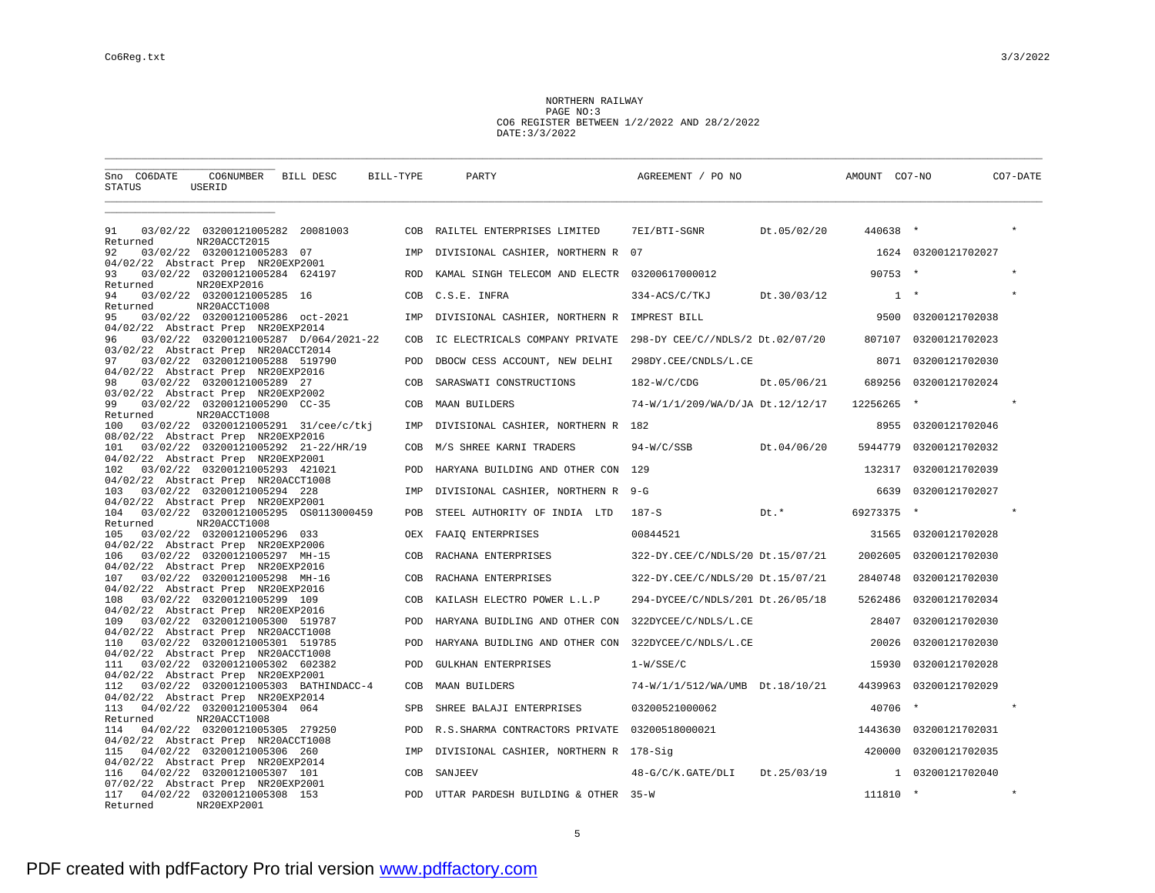NORTHERN RAILWAY PAGE NO:3 CO6 REGISTER BETWEEN 1/2/2022 AND 28/2/2022 DATE:3/3/2022

| CO6NUMBER BILL DESC<br>Sno CO6DATE<br>STATUS<br>USERID                                                                   | BILL-TYPE  | PARTY                                               | AGREEMENT / PO NO                                               | AMOUNT CO7-NO | CO7-DATE            |  |
|--------------------------------------------------------------------------------------------------------------------------|------------|-----------------------------------------------------|-----------------------------------------------------------------|---------------|---------------------|--|
| 03/02/22 03200121005282 20081003<br>91                                                                                   |            | COB RAILTEL ENTERPRISES LIMITED                     | 7EI/BTI-SGNR Dt.05/02/20                                        | 440638 *      |                     |  |
| NR20ACCT2015<br>Returned                                                                                                 |            |                                                     |                                                                 |               |                     |  |
| 03/02/22 03200121005283 07<br>92<br>04/02/22 Abstract Prep NR20EXP2001                                                   |            | IMP DIVISIONAL CASHIER, NORTHERN R 07               |                                                                 |               | 1624 03200121702027 |  |
| 03/02/22 03200121005284 624197<br>93                                                                                     |            | ROD KAMAL SINGH TELECOM AND ELECTR 03200617000012   |                                                                 | $90753$ *     |                     |  |
| NR20EXP2016<br>Returned<br>94<br>03/02/22 03200121005285 16<br>NR20ACCT1008<br>Returned                                  |            | COB C.S.E. INFRA                                    | 334-ACS/C/TKJ<br>Dt.30/03/12                                    | $1 +$         |                     |  |
| 03/02/22 03200121005286 oct-2021<br>95                                                                                   | IMP        | DIVISIONAL CASHIER, NORTHERN R IMPREST BILL         |                                                                 | 9500          | 03200121702038      |  |
| 04/02/22 Abstract Prep NR20EXP2014<br>96<br>03/02/22 03200121005287 D/064/2021-22<br>03/02/22 Abstract Prep NR20ACCT2014 | COB        |                                                     | IC ELECTRICALS COMPANY PRIVATE 298-DY CEE/C//NDLS/2 Dt.02/07/20 | 807107        | 03200121702023      |  |
| 03/02/22 03200121005288 519790<br>97<br>04/02/22 Abstract Prep NR20EXP2016                                               | POD        | DBOCW CESS ACCOUNT, NEW DELHI                       | 298DY.CEE/CNDLS/L.CE                                            |               | 8071 03200121702030 |  |
| 98<br>03/02/22 03200121005289 27                                                                                         | COB        | SARASWATI CONSTRUCTIONS                             | $182-W/C/CDG$<br>Dt.05/06/21                                    | 689256        | 03200121702024      |  |
| 03/02/22 Abstract Prep NR20EXP2002<br>99<br>03/02/22 03200121005290 CC-35<br>NR20ACCT1008<br>Returned                    | COB        | MAAN BUILDERS                                       | 74-W/1/1/209/WA/D/JA Dt.12/12/17                                | 12256265 *    |                     |  |
| 03/02/22 03200121005291 31/cee/c/tkj<br>100                                                                              | IMP        | DIVISIONAL CASHIER, NORTHERN R 182                  |                                                                 | 8955          | 03200121702046      |  |
| 08/02/22 Abstract Prep NR20EXP2016<br>03/02/22 03200121005292 21-22/HR/19<br>101<br>04/02/22 Abstract Prep NR20EXP2001   | COB        | M/S SHREE KARNI TRADERS                             | 94-W/C/SSB Dt.04/06/20                                          | 5944779       | 03200121702032      |  |
| 03/02/22 03200121005293 421021<br>102<br>04/02/22 Abstract Prep NR20ACCT1008                                             | POD        | HARYANA BUILDING AND OTHER CON 129                  |                                                                 | 132317        | 03200121702039      |  |
| 03/02/22 03200121005294 228<br>103                                                                                       | IMP        | DIVISIONAL CASHIER, NORTHERN R 9-G                  |                                                                 | 6639          | 03200121702027      |  |
| 04/02/22 Abstract Prep NR20EXP2001<br>03/02/22 03200121005295 0S0113000459<br>104<br>NR20ACCT1008<br>Returned            | POB        | STEEL AUTHORITY OF INDIA LTD                        | $187-S$ Dt.*                                                    | 69273375 *    |                     |  |
| 03/02/22 03200121005296 033<br>105                                                                                       | OEX        | FAAIO ENTERPRISES                                   | 00844521                                                        | 31565         | 03200121702028      |  |
| 04/02/22 Abstract Prep NR20EXP2006<br>03/02/22 03200121005297 MH-15<br>106<br>04/02/22 Abstract Prep NR20EXP2016         | COB        | RACHANA ENTERPRISES                                 | 322-DY.CEE/C/NDLS/20 Dt.15/07/21                                | 2002605       | 03200121702030      |  |
| 03/02/22 03200121005298 MH-16<br>107<br>04/02/22 Abstract Prep NR20EXP2016                                               | COB        | RACHANA ENTERPRISES                                 | 322-DY.CEE/C/NDLS/20 Dt.15/07/21                                | 2840748       | 03200121702030      |  |
| 03/02/22 03200121005299 109<br>108                                                                                       | COB        | KAILASH ELECTRO POWER L.L.P                         | 294-DYCEE/C/NDLS/201 Dt.26/05/18                                | 5262486       | 03200121702034      |  |
| 04/02/22 Abstract Prep NR20EXP2016<br>03/02/22 03200121005300 519787<br>109<br>04/02/22 Abstract Prep NR20ACCT1008       | POD        | HARYANA BUIDLING AND OTHER CON 322DYCEE/C/NDLS/L.CE |                                                                 | 28407         | 03200121702030      |  |
| 03/02/22 03200121005301 519785<br>110<br>04/02/22 Abstract Prep NR20ACCT1008                                             | POD        | HARYANA BUIDLING AND OTHER CON 322DYCEE/C/NDLS/L.CE |                                                                 | 20026         | 03200121702030      |  |
| 03/02/22 03200121005302 602382<br>111                                                                                    | POD        | GULKHAN ENTERPRISES                                 | $1-W/SSE/C$                                                     | 15930         | 03200121702028      |  |
| 04/02/22 Abstract Prep NR20EXP2001<br>03/02/22 03200121005303 BATHINDACC-4<br>112<br>04/02/22 Abstract Prep NR20EXP2014  | COB        | <b>MAAN BUILDERS</b>                                | 74-W/1/1/512/WA/UMB Dt.18/10/21                                 | 4439963       | 03200121702029      |  |
| 04/02/22 03200121005304 064<br>113<br>NR20ACCT1008<br>Returned                                                           | <b>SPB</b> | SHREE BALAJI ENTERPRISES                            | 03200521000062                                                  | $40706$ *     | $\star$             |  |
| 04/02/22 03200121005305 279250<br>114                                                                                    | POD        | R.S.SHARMA CONTRACTORS PRIVATE 03200518000021       |                                                                 | 1443630       | 03200121702031      |  |
| 04/02/22 Abstract Prep NR20ACCT1008<br>04/02/22 03200121005306 260<br>115<br>04/02/22 Abstract Prep NR20EXP2014          |            | IMP DIVISIONAL CASHIER, NORTHERN R 178-Sig          |                                                                 | 420000        | 03200121702035      |  |
| 04/02/22 03200121005307 101<br>116                                                                                       |            | COB SANJEEV                                         | 48-G/C/K.GATE/DLI Dt.25/03/19                                   |               | 1 03200121702040    |  |
| 07/02/22 Abstract Prep NR20EXP2001<br>04/02/22 03200121005308 153<br>117<br>NR20EXP2001<br>Returned                      |            | POD UTTAR PARDESH BUILDING & OTHER 35-W             |                                                                 | $111810 *$    | $\star$             |  |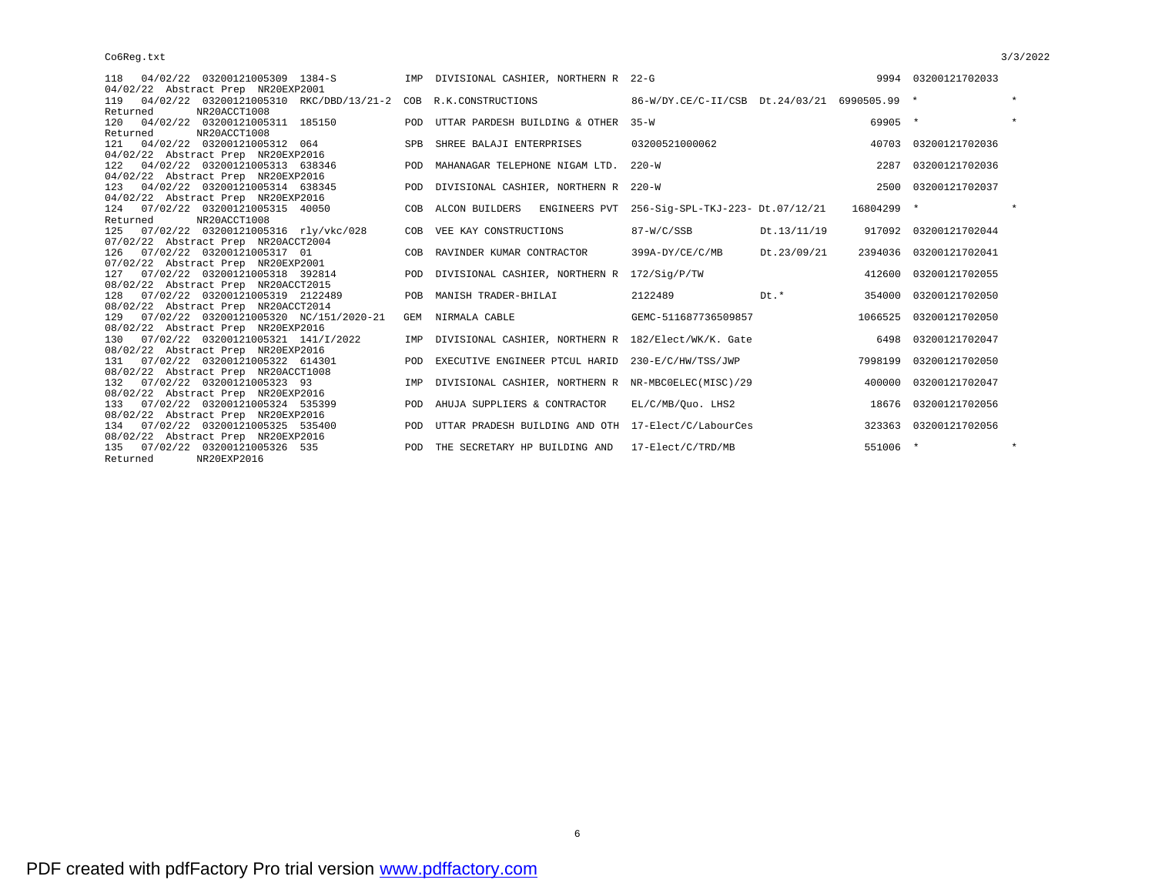| 118  04/02/22  03200121005309  1384-S                                  |            | IMP DIVISIONAL CASHIER, NORTHERN R 22-G                           |                                              |             |            | 9994 03200121702033    |         |
|------------------------------------------------------------------------|------------|-------------------------------------------------------------------|----------------------------------------------|-------------|------------|------------------------|---------|
| 04/02/22 Abstract Prep NR20EXP2001                                     |            |                                                                   |                                              |             |            |                        |         |
| 119  04/02/22  03200121005310  RKC/DBD/13/21-2  COB  R.K.CONSTRUCTIONS |            |                                                                   | 86-W/DY.CE/C-II/CSB Dt.24/03/21 6990505.99 * |             |            |                        | $\star$ |
| Returned<br>NR20ACCT1008                                               |            |                                                                   |                                              |             |            |                        |         |
| 120 04/02/22 03200121005311 185150                                     |            | POD UTTAR PARDESH BUILDING & OTHER 35-W                           |                                              |             | 69905 *    |                        | $\star$ |
| Returned<br>NR20ACCT1008                                               |            |                                                                   |                                              |             |            |                        |         |
| 121  04/02/22  03200121005312  064                                     |            | SPB SHREE BALAJI ENTERPRISES                                      | 03200521000062                               |             |            | 40703 03200121702036   |         |
| 04/02/22 Abstract Prep NR20EXP2016                                     |            |                                                                   |                                              |             |            |                        |         |
| 04/02/22 03200121005313 638346<br>122                                  | POD        | MAHANAGAR TELEPHONE NIGAM LTD. 220-W                              |                                              |             | 2287       | 03200121702036         |         |
| 04/02/22 Abstract Prep NR20EXP2016                                     |            |                                                                   |                                              |             |            |                        |         |
| 123 04/02/22 03200121005314 638345                                     |            | POD DIVISIONAL CASHIER, NORTHERN R 220-W                          |                                              |             |            | 2500 03200121702037    |         |
| 04/02/22 Abstract Prep NR20EXP2016                                     |            |                                                                   |                                              |             |            |                        |         |
| 124 07/02/22 03200121005315 40050                                      |            | COB ALCON BUILDERS ENGINEERS PVT 256-Sig-SPL-TKJ-223- Dt.07/12/21 |                                              |             | 16804299 * |                        |         |
| NR20ACCT1008<br>Returned                                               |            |                                                                   |                                              |             |            |                        |         |
| 125 07/02/22 03200121005316 rly/vkc/028                                |            | COB VEE KAY CONSTRUCTIONS                                         | 87-W/C/SSB                                   | Dt.13/11/19 | 917092     | 03200121702044         |         |
| 07/02/22 Abstract Prep NR20ACCT2004                                    |            |                                                                   |                                              |             |            |                        |         |
| 126 07/02/22 03200121005317 01                                         |            | COB RAVINDER KUMAR CONTRACTOR                                     | 399A-DY/CE/C/MB                              | Dt.23/09/21 |            | 2394036 03200121702041 |         |
| 07/02/22 Abstract Prep NR20EXP2001                                     |            |                                                                   |                                              |             |            |                        |         |
| 127 07/02/22 03200121005318 392814                                     |            | POD DIVISIONAL CASHIER, NORTHERN R 172/Sig/P/TW                   |                                              |             |            | 412600 03200121702055  |         |
| 08/02/22 Abstract Prep NR20ACCT2015                                    |            |                                                                   |                                              |             |            |                        |         |
| 128  07/02/22  03200121005319  2122489                                 |            | POB MANISH TRADER-BHILAI                                          | 2122489<br>$Dt + t$                          |             |            | 354000 03200121702050  |         |
| 08/02/22 Abstract Prep NR20ACCT2014                                    |            |                                                                   |                                              |             |            |                        |         |
| 129  07/02/22  03200121005320  NC/151/2020-21                          |            | GEM NIRMALA CABLE                                                 | GEMC-511687736509857                         |             |            | 1066525 03200121702050 |         |
| 08/02/22 Abstract Prep NR20EXP2016                                     |            |                                                                   |                                              |             |            |                        |         |
| 130 07/02/22 03200121005321 141/I/2022                                 |            | IMP DIVISIONAL CASHIER, NORTHERN R 182/Elect/WK/K. Gate           |                                              |             |            | 6498 03200121702047    |         |
| 08/02/22 Abstract Prep NR20EXP2016                                     |            |                                                                   |                                              |             |            |                        |         |
| 131 07/02/22 03200121005322 614301                                     |            | POD EXECUTIVE ENGINEER PTCUL HARID 230-E/C/HW/TSS/JWP             |                                              |             | 7998199    | 03200121702050         |         |
| 08/02/22 Abstract Prep NR20ACCT1008                                    |            |                                                                   |                                              |             |            |                        |         |
| 132 07/02/22 03200121005323 93                                         |            | IMP DIVISIONAL CASHIER, NORTHERN R NR-MBC0ELEC(MISC)/29           |                                              |             |            | 400000 03200121702047  |         |
| 08/02/22 Abstract Prep NR20EXP2016                                     |            |                                                                   |                                              |             |            |                        |         |
| 133 07/02/22 03200121005324 535399                                     | POD        | AHUJA SUPPLIERS & CONTRACTOR                                      | EL/C/MB/Quo. LHS2                            |             |            | 18676 03200121702056   |         |
| 08/02/22 Abstract Prep NR20EXP2016                                     |            |                                                                   |                                              |             |            |                        |         |
| 134 07/02/22 03200121005325 535400                                     | POD        | UTTAR PRADESH BUILDING AND OTH 17-Elect/C/LabourCes               |                                              |             |            | 323363 03200121702056  |         |
| 08/02/22 Abstract Prep NR20EXP2016                                     |            |                                                                   |                                              |             |            |                        |         |
| 135 07/02/22 03200121005326 535                                        | <b>POD</b> | THE SECRETARY HP BUILDING AND 17-Elect/C/TRD/MB                   |                                              |             | 551006 *   |                        | $\star$ |
| NR20EXP2016<br>Returned                                                |            |                                                                   |                                              |             |            |                        |         |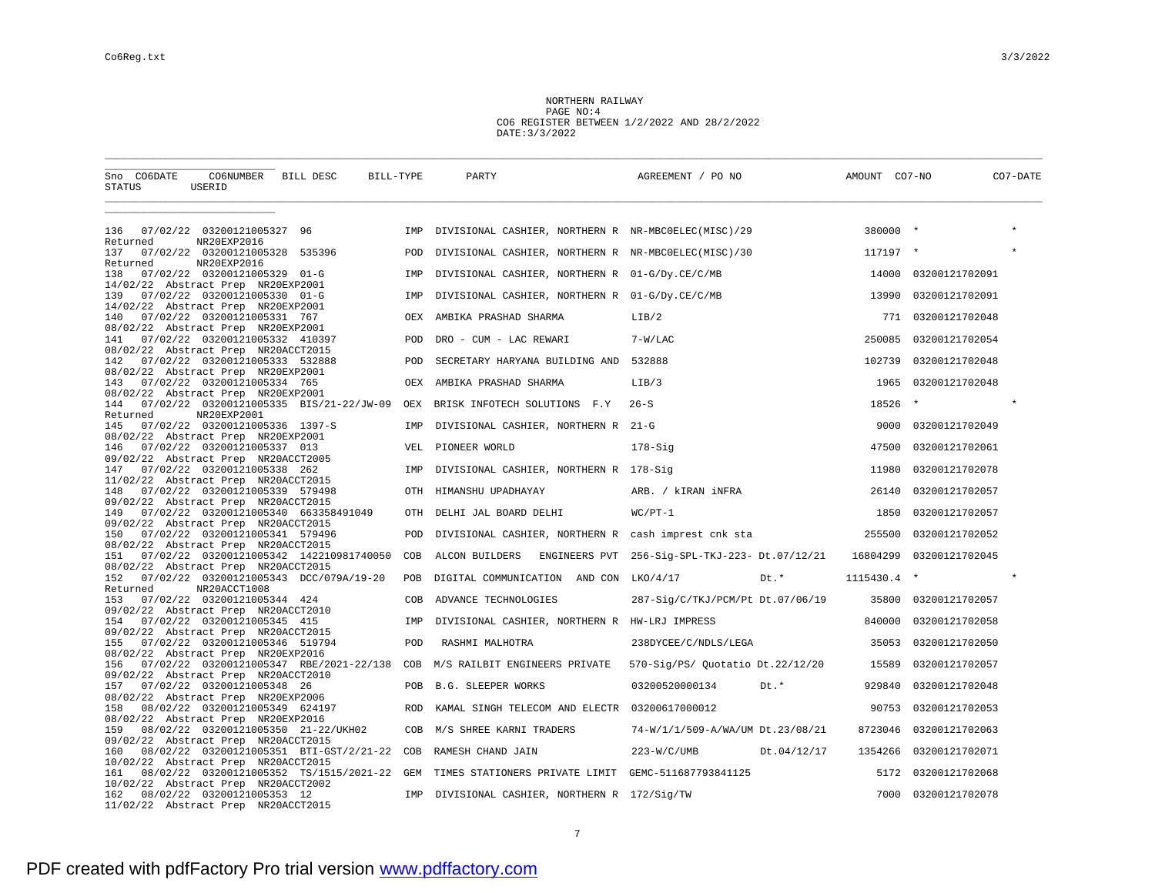NORTHERN RAILWAY PAGE NO:4 CO6 REGISTER BETWEEN 1/2/2022 AND 28/2/2022 DATE:3/3/2022

| CO6NUMBER BILL DESC<br>Sno CO6DATE<br>STATUS<br>USERID                                                                                        | BILL-TYPE  | PARTY                                               | AGREEMENT / PO NO                              | AMOUNT CO7-NO | CO7-DATE       |
|-----------------------------------------------------------------------------------------------------------------------------------------------|------------|-----------------------------------------------------|------------------------------------------------|---------------|----------------|
|                                                                                                                                               |            |                                                     |                                                |               |                |
| 07/02/22 03200121005327 96<br>136<br>NR20EXP2016<br>Returned                                                                                  | IMP        | DIVISIONAL CASHIER, NORTHERN R NR-MBC0ELEC(MISC)/29 |                                                | 380000 *      |                |
| 137<br>07/02/22 03200121005328 535396<br>Returned<br>NR20EXP2016                                                                              | POD        | DIVISIONAL CASHIER, NORTHERN R NR-MBC0ELEC(MISC)/30 |                                                | 117197 *      |                |
| 138<br>07/02/22 03200121005329 01-G<br>14/02/22 Abstract Prep NR20EXP2001                                                                     | IMP        | DIVISIONAL CASHIER, NORTHERN R 01-G/Dy.CE/C/MB      |                                                | 14000         | 03200121702091 |
| 07/02/22 03200121005330 01-G<br>139<br>14/02/22 Abstract Prep NR20EXP2001                                                                     | IMP        | DIVISIONAL CASHIER, NORTHERN R 01-G/Dy.CE/C/MB      |                                                | 13990         | 03200121702091 |
| 07/02/22 03200121005331 767<br>140                                                                                                            | OEX        | AMBIKA PRASHAD SHARMA                               | LIB/2                                          | 771           | 03200121702048 |
| 08/02/22 Abstract Prep NR20EXP2001<br>07/02/22 03200121005332 410397<br>141<br>08/02/22 Abstract Prep NR20ACCT2015                            | POD        | DRO - CUM - LAC REWARI                              | $7-W/LAC$                                      | 250085        | 03200121702054 |
| 07/02/22 03200121005333 532888<br>142<br>08/02/22 Abstract Prep NR20EXP2001                                                                   | POD        | SECRETARY HARYANA BUILDING AND 532888               |                                                | 102739        | 03200121702048 |
| 07/02/22 03200121005334 765<br>143<br>08/02/22 Abstract Prep NR20EXP2001                                                                      | OEX        | AMBIKA PRASHAD SHARMA                               | LIB/3                                          | 1965          | 03200121702048 |
| 144 07/02/22 03200121005335 BIS/21-22/JW-09<br>Returned<br>NR20EXP2001                                                                        | OEX        | BRISK INFOTECH SOLUTIONS F.Y                        | $26 - S$                                       | 18526         | $\star$        |
| 07/02/22 03200121005336 1397-S<br>145<br>08/02/22 Abstract Prep NR20EXP2001                                                                   | IMP        | DIVISIONAL CASHIER, NORTHERN R 21-G                 |                                                | 9000          | 03200121702049 |
| 07/02/22 03200121005337 013<br>146<br>09/02/22 Abstract Prep NR20ACCT2005                                                                     | <b>VEL</b> | PIONEER WORLD                                       | $178-Siq$                                      | 47500         | 03200121702061 |
| 07/02/22 03200121005338 262<br>147<br>11/02/22 Abstract Prep NR20ACCT2015                                                                     | IMP        | DIVISIONAL CASHIER, NORTHERN R 178-Sig              |                                                | 11980         | 03200121702078 |
| 07/02/22 03200121005339 579498<br>148                                                                                                         | OTH        | HIMANSHU UPADHAYAY                                  | ARB. / kIRAN iNFRA                             | 26140         | 03200121702057 |
| 09/02/22 Abstract Prep NR20ACCT2015<br>07/02/22 03200121005340 663358491049<br>149                                                            | OTH        | DELHI JAL BOARD DELHI                               | $WC/PT-1$                                      | 1850          | 03200121702057 |
| 09/02/22 Abstract Prep NR20ACCT2015<br>07/02/22 03200121005341 579496<br>150                                                                  | POD        | DIVISIONAL CASHIER, NORTHERN R cash imprest cnk sta |                                                | 255500        | 03200121702052 |
| 08/02/22 Abstract Prep NR20ACCT2015<br>07/02/22 03200121005342 142210981740050<br>151                                                         | COB        | ALCON BUILDERS                                      | ENGINEERS PVT 256-Sig-SPL-TKJ-223- Dt.07/12/21 | 16804299      | 03200121702045 |
| 08/02/22 Abstract Prep NR20ACCT2015<br>152 07/02/22 03200121005343 DCC/079A/19-20<br>Returned<br>NR20ACCT1008                                 | POB        | DIGITAL COMMUNICATION AND CON LKO/4/17              | Dt.*                                           | 1115430.4 *   |                |
| 07/02/22 03200121005344 424<br>153                                                                                                            | COB        | ADVANCE TECHNOLOGIES                                | 287-Sig/C/TKJ/PCM/Pt Dt.07/06/19               | 35800         | 03200121702057 |
| 09/02/22 Abstract Prep NR20ACCT2010<br>07/02/22 03200121005345 415<br>154                                                                     | IMP        | DIVISIONAL CASHIER, NORTHERN R HW-LRJ IMPRESS       |                                                | 840000        | 03200121702058 |
| 09/02/22 Abstract Prep NR20ACCT2015<br>07/02/22 03200121005346 519794<br>155                                                                  | POD        | RASHMI MALHOTRA                                     | 238DYCEE/C/NDLS/LEGA                           | 35053         | 03200121702050 |
| 08/02/22 Abstract Prep NR20EXP2016<br>07/02/22 03200121005347 RBE/2021-22/138 COB<br>156                                                      |            | M/S RAILBIT ENGINEERS PRIVATE                       | 570-Sig/PS/ Quotatio Dt.22/12/20               | 15589         | 03200121702057 |
| 09/02/22 Abstract Prep NR20ACCT2010<br>07/02/22 03200121005348 26<br>157                                                                      | POB        | <b>B.G. SLEEPER WORKS</b>                           | 03200520000134<br>Dt.*                         | 929840        | 03200121702048 |
| 08/02/22 Abstract Prep NR20EXP2006<br>08/02/22 03200121005349 624197<br>158                                                                   | ROD        | KAMAL SINGH TELECOM AND ELECTR 03200617000012       |                                                | 90753         | 03200121702053 |
| 08/02/22 Abstract Prep NR20EXP2016<br>08/02/22 03200121005350 21-22/UKH02<br>159                                                              | COB        | M/S SHREE KARNI TRADERS                             | 74-W/1/1/509-A/WA/UM Dt.23/08/21               | 8723046       | 03200121702063 |
| 09/02/22 Abstract Prep NR20ACCT2015<br>08/02/22 03200121005351 BTI-GST/2/21-22 COB<br>160                                                     |            | RAMESH CHAND JAIN                                   | 223-W/C/UMB Dt.04/12/17                        | 1354266       | 03200121702071 |
| 10/02/22 Abstract Prep NR20ACCT2015<br>08/02/22 03200121005352 TS/1515/2021-22 GEM TIMES STATIONERS PRIVATE LIMIT GEMC-511687793841125<br>161 |            |                                                     |                                                | 5172          | 03200121702068 |
| 10/02/22 Abstract Prep NR20ACCT2002<br>08/02/22 03200121005353 12<br>162<br>11/02/22 Abstract Prep NR20ACCT2015                               | IMP        | DIVISIONAL CASHIER, NORTHERN R 172/Sig/TW           |                                                | 7000          | 03200121702078 |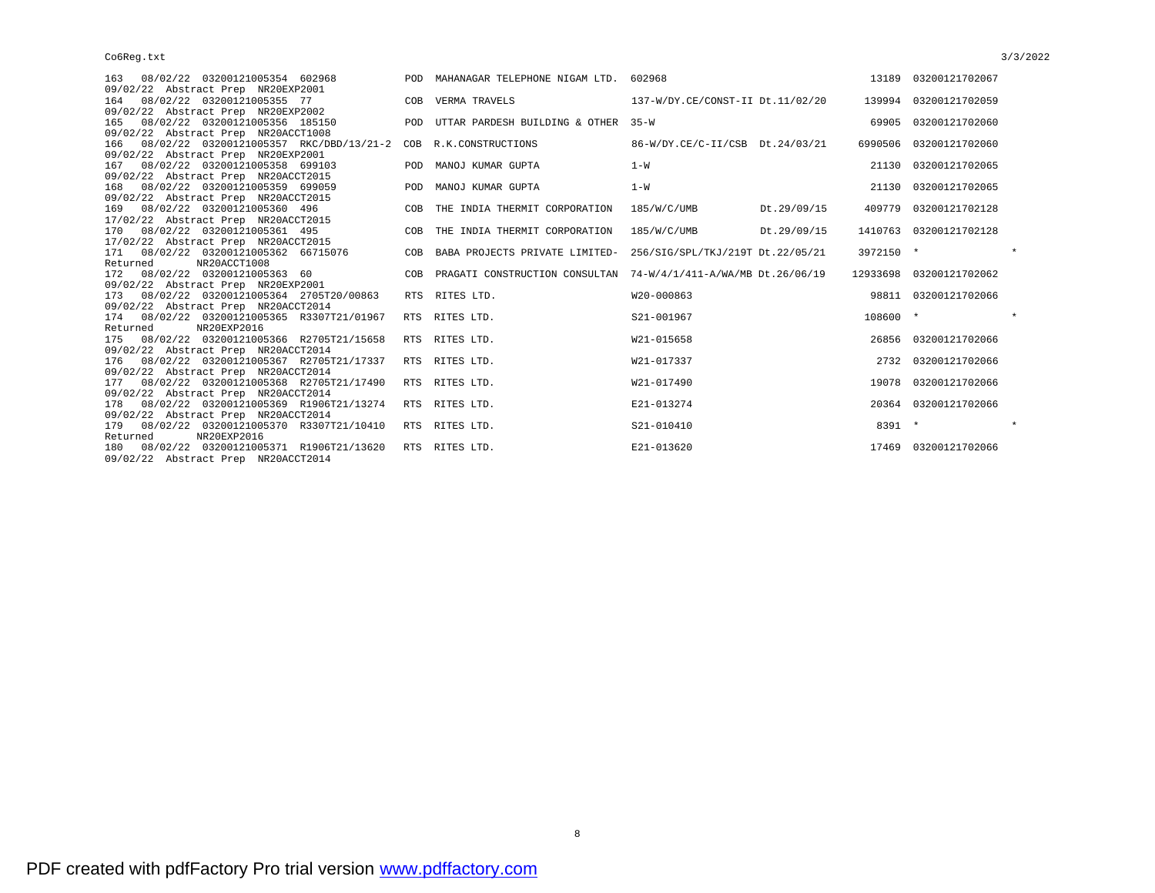| 08/02/22 03200121005354 602968<br>163                                |            | POD MAHANAGAR TELEPHONE NIGAM LTD. 602968                            |                                  |             | 13189 03200121702067    |
|----------------------------------------------------------------------|------------|----------------------------------------------------------------------|----------------------------------|-------------|-------------------------|
| 09/02/22 Abstract Prep NR20EXP2001<br>164 08/02/22 03200121005355 77 |            | COB VERMA TRAVELS                                                    | 137-W/DY.CE/CONST-II Dt.11/02/20 |             | 139994 03200121702059   |
| 09/02/22 Abstract Prep NR20EXP2002                                   |            |                                                                      |                                  |             |                         |
| 08/02/22 03200121005356 185150<br>165                                |            | POD UTTAR PARDESH BUILDING & OTHER 35-W                              |                                  |             | 69905 03200121702060    |
| 09/02/22 Abstract Prep NR20ACCT1008                                  |            |                                                                      |                                  |             |                         |
| 08/02/22 03200121005357 RKC/DBD/13/21-2 COB R.K.CONSTRUCTIONS<br>166 |            |                                                                      | 86-W/DY.CE/C-II/CSB Dt.24/03/21  |             | 6990506 03200121702060  |
| 09/02/22 Abstract Prep NR20EXP2001                                   |            |                                                                      |                                  |             |                         |
| 08/02/22 03200121005358 699103<br>167                                |            | POD MANOJ KUMAR GUPTA                                                | $1-W$                            |             | 21130 03200121702065    |
| 09/02/22 Abstract Prep NR20ACCT2015                                  |            |                                                                      |                                  |             |                         |
| 08/02/22 03200121005359 699059<br>168                                |            | POD MANOJ KUMAR GUPTA                                                | $1 - W$                          |             | 21130 03200121702065    |
| 09/02/22 Abstract Prep NR20ACCT2015                                  |            |                                                                      |                                  |             |                         |
| 08/02/22 03200121005360 496<br>169                                   | COB        | THE INDIA THERMIT CORPORATION                                        | 185/W/C/UMB                      | Dt.29/09/15 | 409779 03200121702128   |
| 17/02/22 Abstract Prep NR20ACCT2015                                  |            |                                                                      |                                  |             |                         |
| 170 08/02/22 03200121005361 495                                      | COB        | THE INDIA THERMIT CORPORATION                                        | 185/W/C/UMB                      | Dt.29/09/15 | 1410763 03200121702128  |
| 17/02/22 Abstract Prep NR20ACCT2015                                  |            |                                                                      |                                  |             |                         |
| 171  08/02/22  03200121005362  66715076                              |            | COB BABA PROJECTS PRIVATE LIMITED- 256/SIG/SPL/TKJ/219T Dt. 22/05/21 |                                  | 3972150 *   |                         |
| NR20ACCT1008<br>Returned                                             |            |                                                                      |                                  |             |                         |
| 172  08/02/22  03200121005363  60                                    |            | COB PRAGATI CONSTRUCTION CONSULTAN 74-W/4/1/411-A/WA/MB Dt.26/06/19  |                                  |             | 12933698 03200121702062 |
| 09/02/22 Abstract Prep NR20EXP2001                                   |            |                                                                      |                                  |             |                         |
| 173 08/02/22 03200121005364 2705T20/00863                            |            | RTS RITES LTD.                                                       | W20-000863                       |             | 98811 03200121702066    |
| 09/02/22 Abstract Prep NR20ACCT2014                                  |            |                                                                      |                                  |             |                         |
| 174 08/02/22 03200121005365 R3307T21/01967                           |            | RTS RITES LTD.                                                       | S21-001967                       | 108600 *    | $\star$                 |
| NR20EXP2016<br>Returned                                              |            |                                                                      |                                  |             |                         |
| 08/02/22 03200121005366 R2705T21/15658<br>175                        |            | RTS RITES LTD.                                                       | W21-015658                       |             | 26856 03200121702066    |
| 09/02/22 Abstract Prep NR20ACCT2014                                  |            |                                                                      |                                  |             |                         |
| 08/02/22 03200121005367 R2705T21/17337<br>176                        |            | RTS RITES LTD.                                                       | W21-017337                       |             | 2732 03200121702066     |
| 09/02/22 Abstract Prep NR20ACCT2014                                  |            |                                                                      |                                  |             |                         |
| 08/02/22 03200121005368 R2705T21/17490<br>177                        |            | RTS RITES LTD.                                                       | W21-017490                       |             | 19078 03200121702066    |
| 09/02/22 Abstract Prep NR20ACCT2014                                  |            |                                                                      |                                  |             |                         |
| 08/02/22 03200121005369 R1906T21/13274<br>178                        |            | RTS RITES LTD.                                                       | E21-013274                       |             | 20364 03200121702066    |
| 09/02/22 Abstract Prep NR20ACCT2014                                  |            |                                                                      |                                  |             |                         |
| 179  08/02/22  03200121005370  R3307T21/10410                        |            | RTS RITES LTD.                                                       | S21-010410                       | 8391 *      | $\star$                 |
| Returned<br>NR20EXP2016                                              |            |                                                                      |                                  |             |                         |
| 180 08/02/22 03200121005371 R1906T21/13620                           | <b>RTS</b> | RITES LTD.                                                           | E21-013620                       |             | 17469 03200121702066    |
| 09/02/22 Abstract Prep NR20ACCT2014                                  |            |                                                                      |                                  |             |                         |

8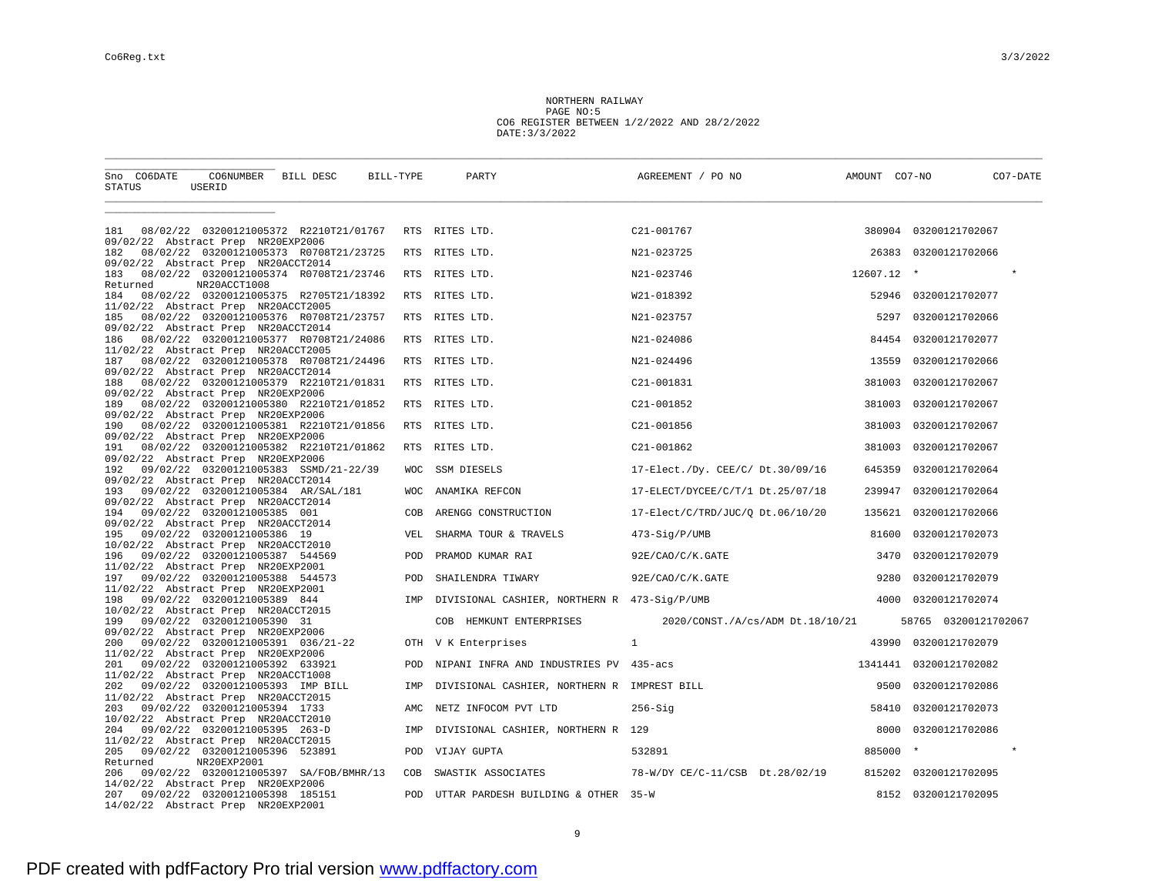NORTHERN RAILWAY PAGE NO:5 CO6 REGISTER BETWEEN 1/2/2022 AND 28/2/2022 DATE:3/3/2022

| Sno CO6DATE<br>STATUS                                                             | CO6NUMBER BILL DESC<br>USERID                          | BILL-TYPE  | PARTY                                        | AGREEMENT / PO NO                   | AMOUNT CO7-NO | CO7-DATE               |
|-----------------------------------------------------------------------------------|--------------------------------------------------------|------------|----------------------------------------------|-------------------------------------|---------------|------------------------|
| 181                                                                               | 08/02/22 03200121005372 R2210T21/01767                 |            | RTS RITES LTD.                               | C21-001767                          |               | 380904 03200121702067  |
| 09/02/22 Abstract Prep NR20EXP2006<br>182                                         | 08/02/22 03200121005373 R0708T21/23725                 |            | RTS RITES LTD.                               | N21-023725                          |               | 26383 03200121702066   |
| 09/02/22 Abstract Prep NR20ACCT2014<br>183                                        | 08/02/22 03200121005374 R0708T21/23746                 |            | RTS RITES LTD.                               | N21-023746                          | 12607.12 *    | $\star$                |
| Returned<br>184                                                                   | NR20ACCT1008<br>08/02/22 03200121005375 R2705T21/18392 |            | RTS RITES LTD.                               | W21-018392                          |               | 52946 03200121702077   |
| 11/02/22 Abstract Prep NR20ACCT2005<br>185                                        | 08/02/22 03200121005376 R0708T21/23757                 | <b>RTS</b> | RITES LTD.                                   | N21-023757                          | 5297          | 03200121702066         |
| 09/02/22 Abstract Prep NR20ACCT2014<br>186<br>11/02/22 Abstract Prep NR20ACCT2005 | 08/02/22 03200121005377 R0708T21/24086                 |            | RTS RITES LTD.                               | N21-024086                          | 84454         | 03200121702077         |
| 187<br>09/02/22 Abstract Prep NR20ACCT2014                                        | 08/02/22 03200121005378 R0708T21/24496                 | <b>RTS</b> | RITES LTD.                                   | N21-024496                          | 13559         | 03200121702066         |
| 188<br>09/02/22 Abstract Prep NR20EXP2006                                         | 08/02/22 03200121005379 R2210T21/01831                 |            | RTS RITES LTD.                               | C21-001831                          | 381003        | 03200121702067         |
| 189<br>09/02/22 Abstract Prep NR20EXP2006                                         | 08/02/22 03200121005380 R2210T21/01852                 | <b>RTS</b> | RITES LTD.                                   | C21-001852                          | 381003        | 03200121702067         |
| 190<br>09/02/22 Abstract Prep NR20EXP2006                                         | 08/02/22 03200121005381 R2210T21/01856                 | RTS        | RITES LTD.                                   | C21-001856                          | 381003        | 03200121702067         |
| 191<br>09/02/22 Abstract Prep NR20EXP2006                                         | 08/02/22 03200121005382 R2210T21/01862                 | RTS        | RITES LTD.                                   | C21-001862                          | 381003        | 03200121702067         |
| 192<br>09/02/22 Abstract Prep NR20ACCT2014                                        | 09/02/22 03200121005383 SSMD/21-22/39                  | <b>WOC</b> | SSM DIESELS                                  | 17-Elect./Dy. CEE/C/ Dt.30/09/16    | 645359        | 03200121702064         |
| 193<br>09/02/22 Abstract Prep NR20ACCT2014                                        | 09/02/22 03200121005384 AR/SAL/181                     | <b>WOC</b> | ANAMIKA REFCON                               | 17-ELECT/DYCEE/C/T/1 Dt.25/07/18    | 239947        | 03200121702064         |
| 194<br>09/02/22 Abstract Prep NR20ACCT2014                                        | 09/02/22 03200121005385 001                            | COB        | ARENGG CONSTRUCTION                          | $17$ -Elect/C/TRD/JUC/Q Dt.06/10/20 | 135621        | 03200121702066         |
| 195<br>10/02/22 Abstract Prep NR20ACCT2010                                        | 09/02/22 03200121005386 19                             | VEL        | SHARMA TOUR & TRAVELS                        | 473-Sig/P/UMB                       | 81600         | 03200121702073         |
| 196<br>11/02/22 Abstract Prep NR20EXP2001                                         | 09/02/22 03200121005387 544569                         | POD        | PRAMOD KUMAR RAI                             | 92E/CAO/C/K.GATE                    | 3470          | 03200121702079         |
| 197<br>11/02/22 Abstract Prep NR20EXP2001                                         | 09/02/22 03200121005388 544573                         | POD        | SHAILENDRA TIWARY                            | 92E/CAO/C/K.GATE                    | 9280          | 03200121702079         |
| 198<br>10/02/22 Abstract Prep NR20ACCT2015                                        | 09/02/22 03200121005389 844                            | IMP        | DIVISIONAL CASHIER, NORTHERN R 473-Sig/P/UMB |                                     | 4000          | 03200121702074         |
| 199<br>09/02/22 Abstract Prep NR20EXP2006                                         | 09/02/22 03200121005390 31                             |            | COB HEMKUNT ENTERPRISES                      | 2020/CONST./A/cs/ADM Dt.18/10/21    |               | 58765 03200121702067   |
| 200<br>11/02/22 Abstract Prep NR20EXP2006                                         | 09/02/22 03200121005391 036/21-22                      |            | OTH V K Enterprises                          | $\mathbf{1}$                        |               | 43990 03200121702079   |
| 201<br>11/02/22 Abstract Prep NR20ACCT1008                                        | 09/02/22 03200121005392 633921                         | POD        | NIPANI INFRA AND INDUSTRIES PV 435-acs       |                                     |               | 1341441 03200121702082 |
| 202<br>11/02/22 Abstract Prep NR20ACCT2015                                        | 09/02/22 03200121005393 IMP BILL                       | IMP        | DIVISIONAL CASHIER, NORTHERN R IMPREST BILL  |                                     |               | 9500 03200121702086    |
| 203<br>10/02/22 Abstract Prep NR20ACCT2010                                        | 09/02/22 03200121005394 1733                           | AMC        | NETZ INFOCOM PVT LTD                         | $256-Sig$                           | 58410         | 03200121702073         |
| 204<br>11/02/22 Abstract Prep NR20ACCT2015                                        | 09/02/22 03200121005395 263-D                          | IMP        | DIVISIONAL CASHIER, NORTHERN R 129           |                                     | 8000          | 03200121702086         |
| 205 09/02/22 03200121005396 523891<br>Returned                                    | NR20EXP2001                                            | <b>POD</b> | VIJAY GUPTA                                  | 532891                              | 885000 *      |                        |
| 206<br>14/02/22 Abstract Prep NR20EXP2006                                         | 09/02/22 03200121005397 SA/FOB/BMHR/13                 | COB        | SWASTIK ASSOCIATES                           | 78-W/DY CE/C-11/CSB Dt.28/02/19     | 815202        | 03200121702095         |
| 207<br>14/02/22 Abstract Prep NR20EXP2001                                         | 09/02/22 03200121005398 185151                         | <b>POD</b> | UTTAR PARDESH BUILDING & OTHER 35-W          |                                     |               | 8152 03200121702095    |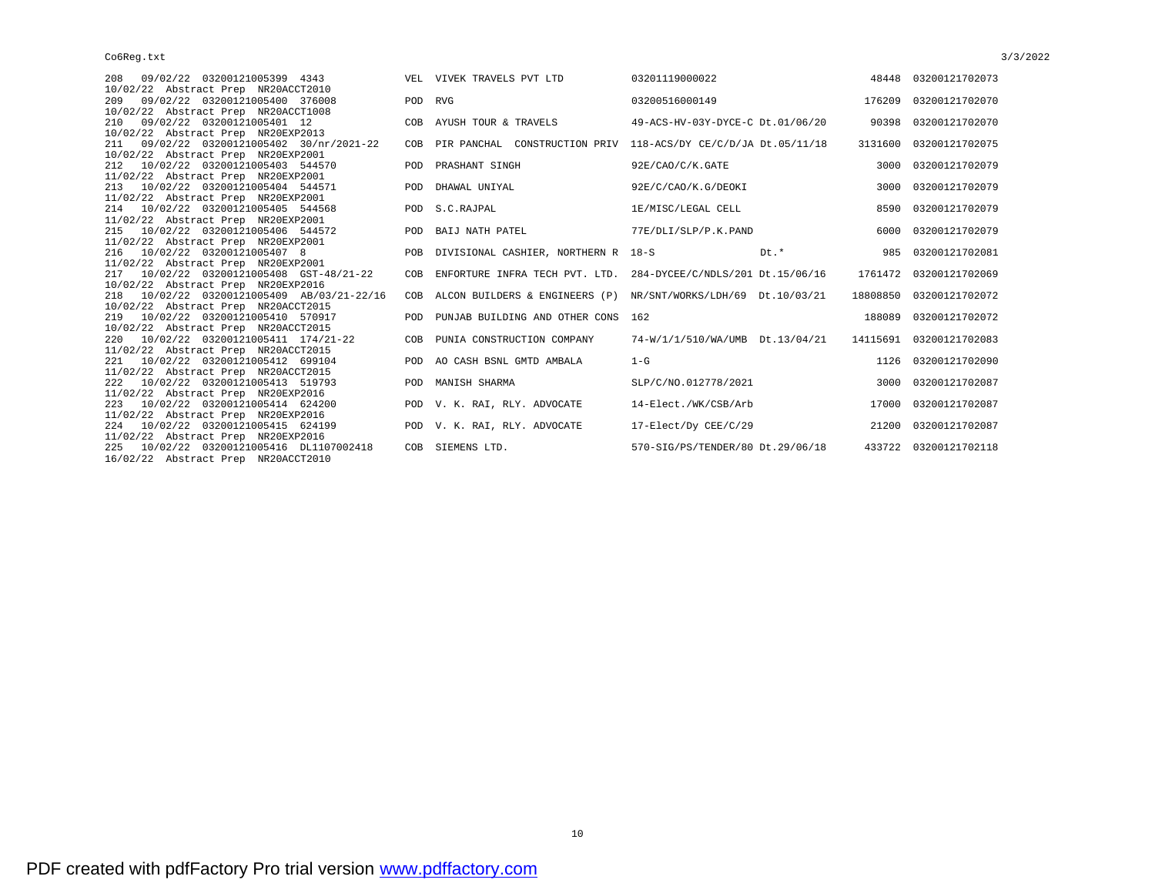| 208 09/02/22 03200121005399 4343<br>10/02/22 Abstract Prep NR20ACCT2010            |         | VEL VIVEK TRAVELS PVT LTD                                          | 03201119000022                   |      |      | 48448 03200121702073    |
|------------------------------------------------------------------------------------|---------|--------------------------------------------------------------------|----------------------------------|------|------|-------------------------|
| 209 09/02/22 03200121005400 376008<br>10/02/22 Abstract Prep NR20ACCT1008          | POD RVG |                                                                    | 03200516000149                   |      |      | 176209 03200121702070   |
| 210 09/02/22 03200121005401 12<br>10/02/22 Abstract Prep NR20EXP2013               |         | COB AYUSH TOUR & TRAVELS                                           | 49-ACS-HV-03Y-DYCE-C Dt.01/06/20 |      |      | 90398 03200121702070    |
| 211 09/02/22 03200121005402 30/nr/2021-22<br>10/02/22 Abstract Prep NR20EXP2001    |         | COB PIR PANCHAL CONSTRUCTION PRIV 118-ACS/DY CE/C/D/JA Dt.05/11/18 |                                  |      |      | 3131600 03200121702075  |
| 212 10/02/22 03200121005403 544570<br>11/02/22 Abstract Prep NR20EXP2001           |         | POD PRASHANT SINGH                                                 | 92E/CAO/C/K.GATE                 |      |      | 3000 03200121702079     |
| 213 10/02/22 03200121005404 544571<br>11/02/22 Abstract Prep NR20EXP2001           | POD     | DHAWAL UNIYAL                                                      | 92E/C/CAO/K.G/DEOKI              |      | 3000 | 03200121702079          |
| 214 10/02/22 03200121005405 544568<br>11/02/22 Abstract Prep NR20EXP2001           |         | POD S.C.RAJPAL                                                     | 1E/MISC/LEGAL CELL               |      |      | 8590 03200121702079     |
| 215 10/02/22 03200121005406 544572<br>11/02/22 Abstract Prep NR20EXP2001           |         | POD BAIJ NATH PATEL                                                | 77E/DLI/SLP/P.K.PAND             |      | 6000 | 03200121702079          |
| 216 10/02/22 03200121005407 8<br>11/02/22 Abstract Prep NR20EXP2001                |         | POB DIVISIONAL CASHIER, NORTHERN R 18-S                            |                                  | Dt.* |      | 985 03200121702081      |
| 217 10/02/22 03200121005408 GST-48/21-22<br>10/02/22 Abstract Prep NR20EXP2016     | COB     | ENFORTURE INFRA TECH PVT. LTD.                                     | 284-DYCEE/C/NDLS/201 Dt.15/06/16 |      |      | 1761472 03200121702069  |
| 218 10/02/22 03200121005409 AB/03/21-22/16<br>10/02/22 Abstract Prep NR20ACCT2015  | COB     | ALCON BUILDERS & ENGINEERS (P)                                     | NR/SNT/WORKS/LDH/69 Dt.10/03/21  |      |      | 18808850 03200121702072 |
| 219 10/02/22 03200121005410 570917<br>10/02/22 Abstract Prep NR20ACCT2015          |         | POD PUNJAB BUILDING AND OTHER CONS 162                             |                                  |      |      | 188089 03200121702072   |
| 220 10/02/22 03200121005411 174/21-22<br>11/02/22 Abstract Prep NR20ACCT2015       | COB     | PUNIA CONSTRUCTION COMPANY                                         | 74-W/1/1/510/WA/UMB Dt.13/04/21  |      |      | 14115691 03200121702083 |
| 221 10/02/22 03200121005412 699104<br>11/02/22 Abstract Prep NR20ACCT2015          |         | POD AO CASH BSNL GMTD AMBALA                                       | $1-G$                            |      |      | 1126 03200121702090     |
| 222 10/02/22 03200121005413 519793<br>11/02/22 Abstract Prep NR20EXP2016           |         | POD MANISH SHARMA                                                  | SLP/C/NO.012778/2021             |      |      | 3000 03200121702087     |
| 223 10/02/22 03200121005414 624200<br>11/02/22 Abstract Prep NR20EXP2016           |         | POD V. K. RAI, RLY. ADVOCATE                                       | 14-Elect./WK/CSB/Arb             |      |      | 17000 03200121702087    |
| 224 10/02/22 03200121005415 624199<br>11/02/22 Abstract Prep NR20EXP2016           |         | POD V. K. RAI, RLY. ADVOCATE                                       | 17-Elect/Dy CEE/C/29             |      |      | 21200 03200121702087    |
| 10/02/22 03200121005416 DL1107002418<br>225<br>16/02/22 Abstract Prep NR20ACCT2010 |         | COB SIEMENS LTD.                                                   | 570-SIG/PS/TENDER/80 Dt.29/06/18 |      |      | 433722 03200121702118   |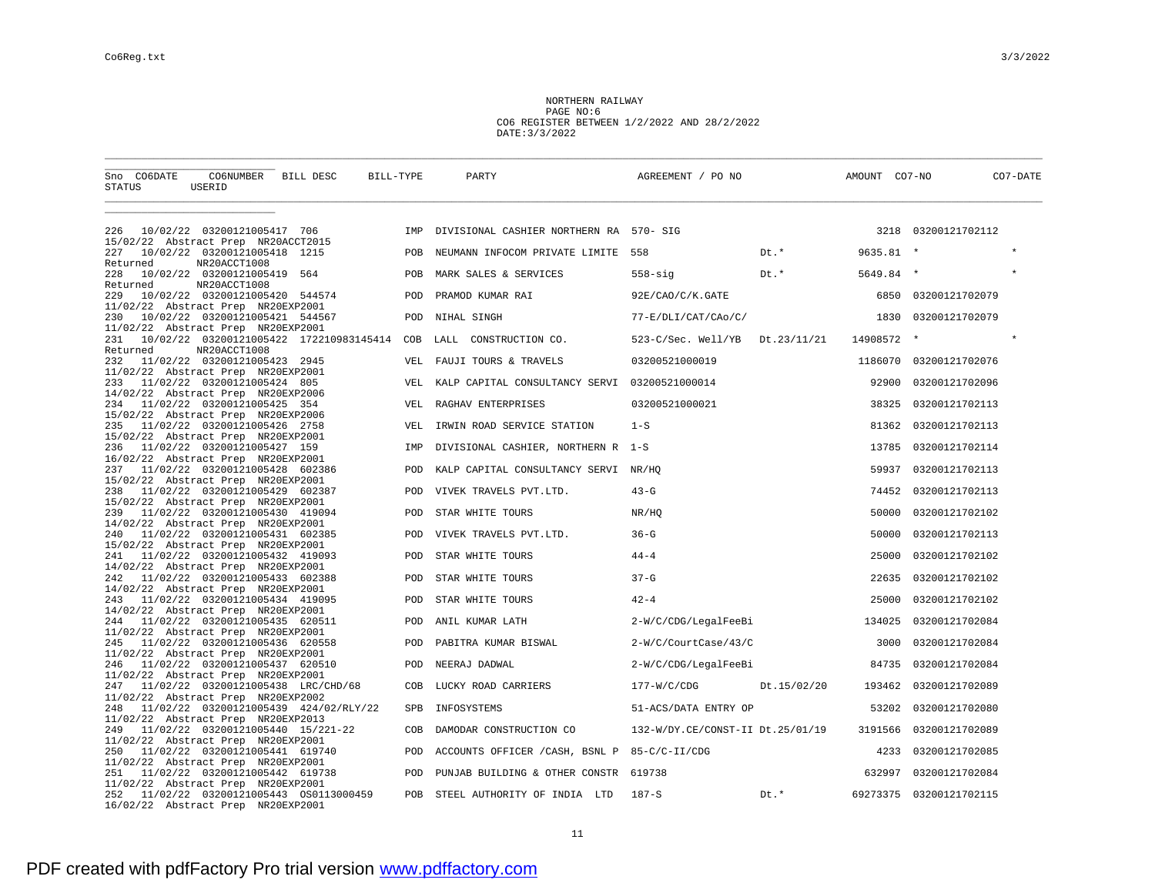NORTHERN RAILWAY PAGE NO:6 CO6 REGISTER BETWEEN 1/2/2022 AND 28/2/2022 DATE:3/3/2022

| Sno CO6DATE<br>STATUS                      | CO6NUMBER BILL DESC<br>USERID                |                                             | BILL-TYPE  | PARTY                                         | AGREEMENT / PO NO                        |        | AMOUNT CO7-NO |                     | CO7-DATE |
|--------------------------------------------|----------------------------------------------|---------------------------------------------|------------|-----------------------------------------------|------------------------------------------|--------|---------------|---------------------|----------|
|                                            |                                              |                                             |            |                                               |                                          |        |               |                     |          |
| 226<br>15/02/22 Abstract Prep NR20ACCT2015 | 10/02/22 03200121005417 706                  |                                             |            | IMP DIVISIONAL CASHIER NORTHERN RA 570- SIG   |                                          |        |               | 3218 03200121702112 |          |
| 227<br>Returned                            | 10/02/22 03200121005418 1215<br>NR20ACCT1008 |                                             | POB        | NEUMANN INFOCOM PRIVATE LIMITE 558            |                                          | $Dt.*$ | $9635.81$ *   |                     |          |
| 228<br>Returned                            | 10/02/22 03200121005419 564<br>NR20ACCT1008  |                                             | POB        | MARK SALES & SERVICES                         | $558 - sig$                              | Dt.*   | 5649.84 *     |                     | $\star$  |
| 229<br>11/02/22 Abstract Prep NR20EXP2001  | 10/02/22 03200121005420 544574               |                                             | POD        | PRAMOD KUMAR RAI                              | 92E/CAO/C/K.GATE                         |        | 6850          | 03200121702079      |          |
| 230<br>11/02/22 Abstract Prep NR20EXP2001  | 10/02/22 03200121005421 544567               |                                             | POD        | NIHAL SINGH                                   | 77-E/DLI/CAT/CAo/C/                      |        | 1830          | 03200121702079      |          |
| 231<br>Returned                            | NR20ACCT1008                                 | 10/02/22 03200121005422 172210983145414 COB |            | CONSTRUCTION CO.<br>LALL                      |                                          |        | 14908572 *    |                     | $\star$  |
| 232<br>11/02/22 Abstract Prep NR20EXP2001  | 11/02/22 03200121005423 2945                 |                                             | VEL.       | FAUJI TOURS & TRAVELS                         | 03200521000019                           |        | 1186070       | 03200121702076      |          |
| 233                                        | 11/02/22 03200121005424 805                  |                                             | VEL        | KALP CAPITAL CONSULTANCY SERVI 03200521000014 |                                          |        | 92900         | 03200121702096      |          |
| 14/02/22 Abstract Prep NR20EXP2006<br>234  | 11/02/22 03200121005425 354                  |                                             | VEL        | RAGHAV ENTERPRISES                            | 03200521000021                           |        | 38325         | 03200121702113      |          |
| 15/02/22 Abstract Prep NR20EXP2006<br>235  | 11/02/22 03200121005426 2758                 |                                             | VEL        | IRWIN ROAD SERVICE STATION                    | $1-S$                                    |        | 81362         | 03200121702113      |          |
| 15/02/22 Abstract Prep NR20EXP2001<br>236  | 11/02/22 03200121005427 159                  |                                             | IMP        | DIVISIONAL CASHIER, NORTHERN R 1-S            |                                          |        | 13785         | 03200121702114      |          |
| 16/02/22 Abstract Prep NR20EXP2001<br>237  | 11/02/22 03200121005428 602386               |                                             | POD        | KALP CAPITAL CONSULTANCY SERVI NR/HQ          |                                          |        | 59937         | 03200121702113      |          |
| 15/02/22 Abstract Prep NR20EXP2001<br>238  | 11/02/22 03200121005429 602387               |                                             | POD        | VIVEK TRAVELS PVT.LTD.                        | $43 - G$                                 |        | 74452         | 03200121702113      |          |
| 15/02/22 Abstract Prep NR20EXP2001<br>239  | 11/02/22 03200121005430 419094               |                                             | POD        | STAR WHITE TOURS                              | NR/HQ                                    |        | 50000         | 03200121702102      |          |
| 14/02/22 Abstract Prep NR20EXP2001<br>240  | 11/02/22 03200121005431 602385               |                                             | POD        | VIVEK TRAVELS PVT.LTD.                        | $36-G$                                   |        | 50000         | 03200121702113      |          |
| 15/02/22 Abstract Prep NR20EXP2001<br>241  | 11/02/22 03200121005432 419093               |                                             | POD        | STAR WHITE TOURS                              | $44 - 4$                                 |        | 25000         | 03200121702102      |          |
| 14/02/22 Abstract Prep NR20EXP2001<br>242  | 11/02/22 03200121005433 602388               |                                             | POD        | STAR WHITE TOURS                              | $37-G$                                   |        | 22635         | 03200121702102      |          |
| 14/02/22 Abstract Prep NR20EXP2001<br>243  | 11/02/22 03200121005434 419095               |                                             | POD        | STAR WHITE TOURS                              | $42 - 4$                                 |        | 25000         | 03200121702102      |          |
| 14/02/22 Abstract Prep NR20EXP2001<br>244  | 11/02/22 03200121005435 620511               |                                             | POD        | ANIL KUMAR LATH                               | 2-W/C/CDG/LegalFeeBi                     |        | 134025        | 03200121702084      |          |
| 11/02/22 Abstract Prep NR20EXP2001<br>245  | 11/02/22 03200121005436 620558               |                                             | POD        | PABITRA KUMAR BISWAL                          | 2-W/C/CourtCase/43/C                     |        | 3000          | 03200121702084      |          |
| 11/02/22 Abstract Prep NR20EXP2001<br>246  | 11/02/22 03200121005437 620510               |                                             | POD        | NEERAJ DADWAL                                 | 2-W/C/CDG/LegalFeeBi                     |        | 84735         | 03200121702084      |          |
| 11/02/22 Abstract Prep NR20EXP2001<br>247  |                                              | 11/02/22 03200121005438 LRC/CHD/68          | COB        | LUCKY ROAD CARRIERS                           | 177-W/C/CDG Dt.15/02/20                  |        | 193462        | 03200121702089      |          |
| 11/02/22 Abstract Prep NR20EXP2002<br>248  |                                              | 11/02/22 03200121005439 424/02/RLY/22       | <b>SPB</b> | INFOSYSTEMS                                   | 51-ACS/DATA ENTRY OP                     |        | 53202         | 03200121702080      |          |
| 11/02/22 Abstract Prep NR20EXP2013         |                                              |                                             |            |                                               |                                          |        |               |                     |          |
| 249<br>11/02/22 Abstract Prep NR20EXP2001  |                                              | 11/02/22 03200121005440 15/221-22           | COB        | DAMODAR CONSTRUCTION CO                       | 132-W/DY.CE/CONST-II Dt.25/01/19 3191566 |        |               | 03200121702089      |          |
| 250<br>11/02/22 Abstract Prep NR20EXP2001  | 11/02/22 03200121005441 619740               |                                             | POD        | ACCOUNTS OFFICER / CASH, BSNL P 85-C/C-II/CDG |                                          |        | 4233          | 03200121702085      |          |
| 251<br>11/02/22 Abstract Prep NR20EXP2001  | 11/02/22 03200121005442 619738               |                                             | POD        | PUNJAB BUILDING & OTHER CONSTR 619738         |                                          |        | 632997        | 03200121702084      |          |
| 252<br>16/02/22 Abstract Prep NR20EXP2001  |                                              | 11/02/22  03200121005443  0S0113000459      | POB        | STEEL AUTHORITY OF INDIA LTD                  | $187-S$                                  | $Dt.*$ | 69273375      | 03200121702115      |          |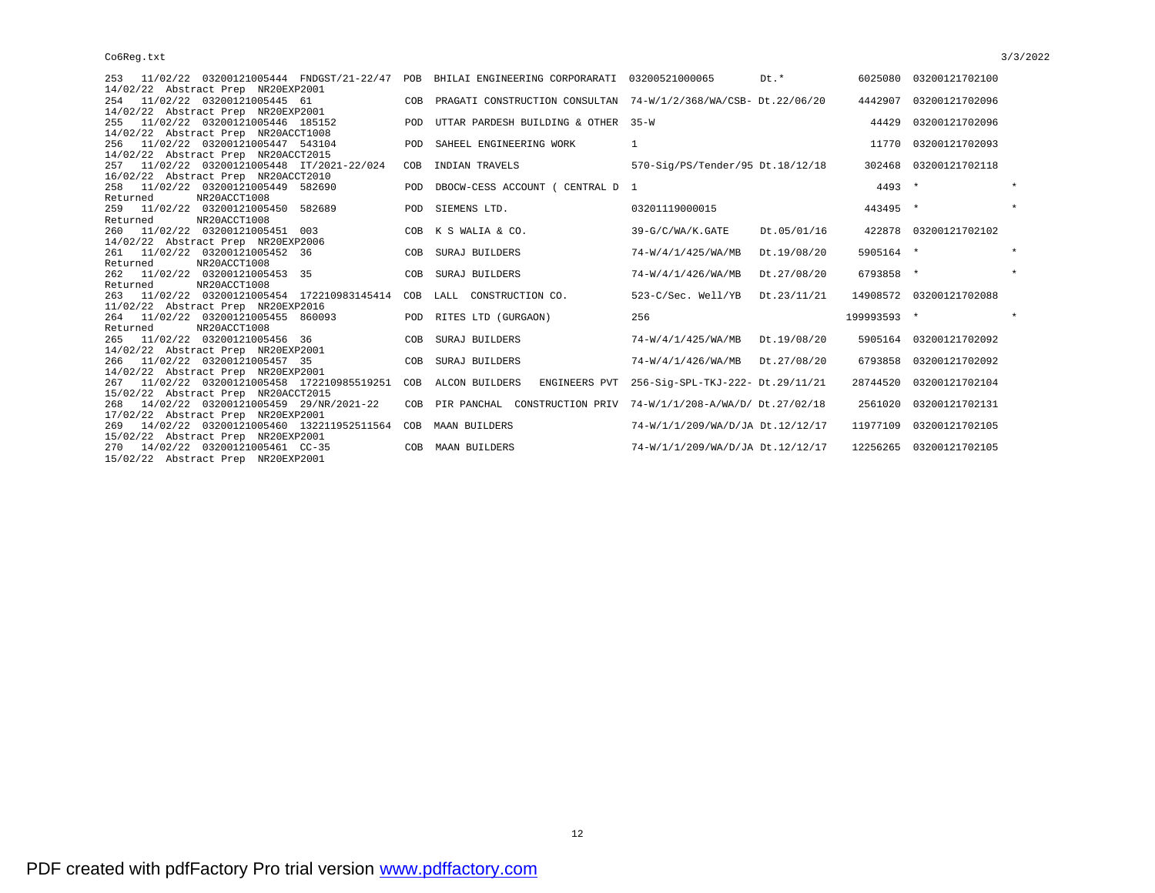| 253 11/02/22 03200121005444 FNDGST/21-22/47 POB BHILAI ENGINEERING CORPORARATI 03200521000065 |            |                                                                 |                                                | Dt.*        |             | 6025080 03200121702100  |         |
|-----------------------------------------------------------------------------------------------|------------|-----------------------------------------------------------------|------------------------------------------------|-------------|-------------|-------------------------|---------|
| 14/02/22 Abstract Prep NR20EXP2001                                                            |            |                                                                 |                                                |             |             |                         |         |
| 254 11/02/22 03200121005445 61                                                                | COB        | PRAGATI CONSTRUCTION CONSULTAN 74-W/1/2/368/WA/CSB- Dt.22/06/20 |                                                |             |             | 4442907 03200121702096  |         |
| 14/02/22 Abstract Prep NR20EXP2001                                                            |            |                                                                 |                                                |             |             |                         |         |
| 11/02/22 03200121005446 185152<br>255                                                         | POD        | UTTAR PARDESH BUILDING & OTHER 35-W                             |                                                |             | 44429       | 03200121702096          |         |
| 14/02/22 Abstract Prep NR20ACCT1008                                                           |            |                                                                 |                                                |             |             |                         |         |
| 256 11/02/22 03200121005447 543104                                                            | POD        | SAHEEL ENGINEERING WORK                                         | $\mathbf{1}$                                   |             |             | 11770 03200121702093    |         |
| 14/02/22 Abstract Prep NR20ACCT2015                                                           |            |                                                                 |                                                |             |             |                         |         |
| 11/02/22 03200121005448 IT/2021-22/024<br>257                                                 | COB        | INDIAN TRAVELS                                                  | 570-Sig/PS/Tender/95 Dt.18/12/18               |             |             | 302468 03200121702118   |         |
| 16/02/22 Abstract Prep NR20ACCT2010                                                           |            |                                                                 |                                                |             |             |                         |         |
| 258 11/02/22 03200121005449 582690                                                            | <b>POD</b> | DBOCW-CESS ACCOUNT ( CENTRAL D 1                                |                                                |             | $4493 *$    |                         | $\star$ |
| NR20ACCT1008<br>Returned                                                                      |            |                                                                 |                                                |             |             |                         |         |
| 259 11/02/22 03200121005450 582689                                                            | <b>POD</b> | SIEMENS LTD.                                                    | 03201119000015                                 |             | 443495 *    |                         |         |
| NR20ACCT1008<br>Returned                                                                      |            |                                                                 |                                                |             |             |                         |         |
| 260 11/02/22 03200121005451 003                                                               | COB        | K S WALIA & CO.                                                 | 39-G/C/WA/K.GATE                               | Dt.05/01/16 |             | 422878 03200121702102   |         |
| 14/02/22 Abstract Prep NR20EXP2006                                                            |            |                                                                 |                                                |             |             |                         |         |
| 261 11/02/22 03200121005452 36                                                                | COB        | SURAJ BUILDERS                                                  | 74-W/4/1/425/WA/MB                             | Dt.19/08/20 | 5905164 *   |                         | $\star$ |
| Returned<br>NR20ACCT1008                                                                      |            |                                                                 |                                                |             |             |                         |         |
| 262 11/02/22 03200121005453 35                                                                | COB        | SURAJ BUILDERS                                                  | 74-W/4/1/426/WA/MB                             | Dt.27/08/20 | 6793858 *   |                         | $\star$ |
| NR20ACCT1008<br>Returned                                                                      |            |                                                                 |                                                |             |             |                         |         |
| 263 11/02/22 03200121005454 172210983145414                                                   |            | COB LALL CONSTRUCTION CO.                                       | 523-C/Sec. Well/YB Dt.23/11/21                 |             |             | 14908572 03200121702088 |         |
| 11/02/22 Abstract Prep NR20EXP2016                                                            |            |                                                                 |                                                |             |             |                         |         |
| 264 11/02/22 03200121005455 860093                                                            |            | POD RITES LTD (GURGAON)                                         | 256                                            |             | 199993593 * |                         |         |
| Returned<br>NR20ACCT1008                                                                      |            |                                                                 |                                                |             |             |                         |         |
| 11/02/22 03200121005456 36<br>265                                                             | COB        | SURAJ BUILDERS                                                  | 74-W/4/1/425/WA/MB Dt.19/08/20                 |             |             | 5905164 03200121702092  |         |
| 14/02/22 Abstract Prep NR20EXP2001                                                            |            |                                                                 |                                                |             |             |                         |         |
| 266 11/02/22 03200121005457 35                                                                | COB        | SURAJ BUILDERS                                                  | 74-W/4/1/426/WA/MB Dt.27/08/20                 |             |             | 6793858 03200121702092  |         |
| 14/02/22 Abstract Prep NR20EXP2001                                                            |            |                                                                 |                                                |             |             |                         |         |
| 267 11/02/22 03200121005458 172210985519251                                                   | COB        | ALCON BUILDERS                                                  | ENGINEERS PVT 256-Sig-SPL-TKJ-222- Dt.29/11/21 |             | 28744520    | 03200121702104          |         |
| 15/02/22 Abstract Prep NR20ACCT2015                                                           |            |                                                                 |                                                |             |             |                         |         |
| 268 14/02/22 03200121005459 29/NR/2021-22                                                     | COB        | PIR PANCHAL CONSTRUCTION PRIV 74-W/1/1/208-A/WA/D/ Dt. 27/02/18 |                                                |             | 2561020     | 03200121702131          |         |
| 17/02/22 Abstract Prep NR20EXP2001                                                            |            |                                                                 |                                                |             |             |                         |         |
| 269 14/02/22 03200121005460 132211952511564                                                   | COB        | <b>MAAN BUILDERS</b>                                            | 74-W/1/1/209/WA/D/JA Dt.12/12/17               |             | 11977109    | 03200121702105          |         |
| 15/02/22 Abstract Prep NR20EXP2001                                                            |            |                                                                 |                                                |             |             |                         |         |
| 270 14/02/22 03200121005461 CC-35                                                             | COB        | MAAN BUILDERS                                                   | 74-W/1/1/209/WA/D/JA Dt.12/12/17               |             | 12256265    | 03200121702105          |         |
| 15/02/22 Abstract Prep NR20EXP2001                                                            |            |                                                                 |                                                |             |             |                         |         |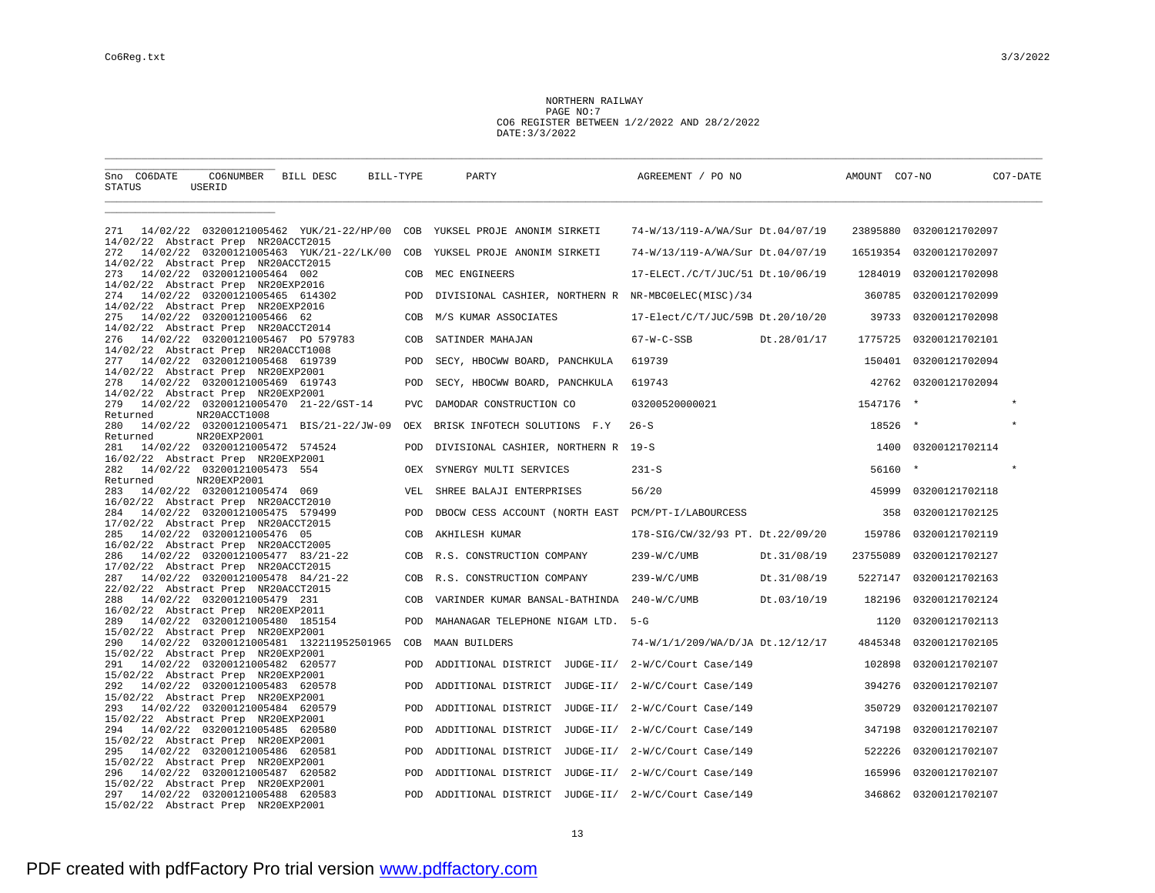NORTHERN RAILWAY PAGE NO:7 CO6 REGISTER BETWEEN 1/2/2022 AND 28/2/2022 DATE:3/3/2022

| Sno CO6DATE<br>STATUS                                                           | CO6NUMBER BILL DESC<br>USERID                           | BILL-TYPE  | PARTY                                      | AGREEMENT / PO NO                                   |             | AMOUNT CO7-NO |                         | CO7-DATE |
|---------------------------------------------------------------------------------|---------------------------------------------------------|------------|--------------------------------------------|-----------------------------------------------------|-------------|---------------|-------------------------|----------|
|                                                                                 |                                                         |            |                                            |                                                     |             |               |                         |          |
| 271<br>14/02/22 Abstract Prep NR20ACCT2015                                      | 14/02/22 03200121005462 YUK/21-22/HP/00 COB             |            | YUKSEL PROJE ANONIM SIRKETI                | 74-W/13/119-A/WA/Sur Dt.04/07/19                    |             |               | 23895880 03200121702097 |          |
| 272<br>14/02/22 Abstract Prep NR20ACCT2015                                      | 14/02/22 03200121005463 YUK/21-22/LK/00 COB             |            | YUKSEL PROJE ANONIM SIRKETI                | 74-W/13/119-A/WA/Sur Dt.04/07/19                    |             | 16519354      | 03200121702097          |          |
| 273                                                                             | 14/02/22 03200121005464 002                             | COB        | MEC ENGINEERS                              | 17-ELECT./C/T/JUC/51 Dt.10/06/19                    |             | 1284019       | 03200121702098          |          |
| 14/02/22 Abstract Prep NR20EXP2016<br>274                                       | 14/02/22 03200121005465 614302                          | POD        |                                            | DIVISIONAL CASHIER, NORTHERN R NR-MBCOELEC(MISC)/34 |             | 360785        | 03200121702099          |          |
| 14/02/22 Abstract Prep NR20EXP2016<br>275                                       | 14/02/22 03200121005466 62                              | COB        | M/S KUMAR ASSOCIATES                       | 17-Elect/C/T/JUC/59B Dt.20/10/20                    |             | 39733         | 03200121702098          |          |
| 14/02/22 Abstract Prep NR20ACCT2014<br>276                                      | 14/02/22 03200121005467 PO 579783                       | COB        | SATINDER MAHAJAN                           | $67-W-C-SSB$                                        | Dt.28/01/17 | 1775725       | 03200121702101          |          |
| 14/02/22 Abstract Prep NR20ACCT1008<br>277                                      | 14/02/22 03200121005468 619739                          | POD        | SECY, HBOCWW BOARD, PANCHKULA              | 619739                                              |             | 150401        | 03200121702094          |          |
| 14/02/22 Abstract Prep NR20EXP2001<br>278                                       | 14/02/22 03200121005469 619743                          | POD        | SECY, HBOCWW BOARD, PANCHKULA              | 619743                                              |             | 42762         | 03200121702094          |          |
| 14/02/22 Abstract Prep NR20EXP2001<br>279                                       | 14/02/22 03200121005470 21-22/GST-14                    | <b>PVC</b> | DAMODAR CONSTRUCTION CO                    | 03200520000021                                      |             | 1547176       | $\star$                 |          |
| Returned<br>280                                                                 | NR20ACCT1008<br>14/02/22 03200121005471 BIS/21-22/JW-09 | OEX        | BRISK INFOTECH SOLUTIONS F.Y               | $26-S$                                              |             | 18526         | $\star$                 |          |
| Returned<br>281                                                                 | NR20EXP2001<br>14/02/22 03200121005472 574524           | <b>POD</b> | DIVISIONAL CASHIER, NORTHERN R 19-S        |                                                     |             |               | 1400 03200121702114     |          |
| 16/02/22 Abstract Prep NR20EXP2001<br>282                                       | 14/02/22 03200121005473 554                             | OEX        | SYNERGY MULTI SERVICES                     | $231 - S$                                           |             | 56160         | $\star$                 | $\star$  |
| Returned<br>283                                                                 | NR20EXP2001<br>14/02/22 03200121005474 069              | VEL        | SHREE BALAJI ENTERPRISES                   | 56/20                                               |             | 45999         | 03200121702118          |          |
| 16/02/22 Abstract Prep NR20ACCT2010<br>284                                      | 14/02/22 03200121005475 579499                          | POD        |                                            | DBOCW CESS ACCOUNT (NORTH EAST PCM/PT-I/LABOURCESS  |             | 358           | 03200121702125          |          |
| 17/02/22 Abstract Prep NR20ACCT2015<br>285                                      | 14/02/22 03200121005476 05                              | COB        | AKHILESH KUMAR                             | 178-SIG/CW/32/93 PT. Dt.22/09/20                    |             | 159786        | 03200121702119          |          |
| 16/02/22 Abstract Prep NR20ACCT2005<br>286                                      | 14/02/22 03200121005477 83/21-22                        | COB        | R.S. CONSTRUCTION COMPANY                  | $239-W/C/UMB$                                       | Dt.31/08/19 | 23755089      | 03200121702127          |          |
| 17/02/22 Abstract Prep NR20ACCT2015                                             |                                                         |            |                                            |                                                     |             |               |                         |          |
| 287<br>22/02/22 Abstract Prep NR20ACCT2015                                      | 14/02/22 03200121005478 84/21-22                        | COB        | R.S. CONSTRUCTION COMPANY                  | 239-W/C/UMB                                         | Dt.31/08/19 | 5227147       | 03200121702163          |          |
| 288<br>16/02/22 Abstract Prep NR20EXP2011                                       | 14/02/22 03200121005479 231                             | COB        | VARINDER KUMAR BANSAL-BATHINDA 240-W/C/UMB |                                                     | Dt.03/10/19 | 182196        | 03200121702124          |          |
| 289<br>15/02/22 Abstract Prep NR20EXP2001                                       | 14/02/22 03200121005480 185154                          | POD        | MAHANAGAR TELEPHONE NIGAM LTD. 5-G         |                                                     |             | 1120          | 03200121702113          |          |
| 290<br>15/02/22 Abstract Prep NR20EXP2001                                       | 14/02/22 03200121005481 132211952501965                 | COB        | <b>MAAN BUILDERS</b>                       | 74-W/1/1/209/WA/D/JA Dt.12/12/17                    |             | 4845348       | 03200121702105          |          |
| 291<br>15/02/22 Abstract Prep NR20EXP2001                                       | 14/02/22 03200121005482 620577                          | POD        |                                            | ADDITIONAL DISTRICT JUDGE-II/ 2-W/C/Court Case/149  |             | 102898        | 03200121702107          |          |
| 292<br>15/02/22 Abstract Prep NR20EXP2001                                       | 14/02/22 03200121005483 620578                          | POD        |                                            | ADDITIONAL DISTRICT JUDGE-II/ 2-W/C/Court Case/149  |             | 394276        | 03200121702107          |          |
| 293<br>15/02/22 Abstract Prep NR20EXP2001                                       | 14/02/22 03200121005484 620579                          | POD        | ADDITIONAL DISTRICT                        | JUDGE-II/ 2-W/C/Court Case/149                      |             | 350729        | 03200121702107          |          |
| 294                                                                             | 14/02/22 03200121005485 620580                          | POD        |                                            | ADDITIONAL DISTRICT JUDGE-II/ 2-W/C/Court Case/149  |             | 347198        | 03200121702107          |          |
| 15/02/22 Abstract Prep NR20EXP2001<br>295                                       | 14/02/22 03200121005486 620581                          | POD        |                                            | ADDITIONAL DISTRICT JUDGE-II/ 2-W/C/Court Case/149  |             | 522226        | 03200121702107          |          |
| 15/02/22 Abstract Prep NR20EXP2001<br>296                                       | 14/02/22 03200121005487 620582                          | POD        |                                            | ADDITIONAL DISTRICT JUDGE-II/ 2-W/C/Court Case/149  |             | 165996        | 03200121702107          |          |
| 15/02/22 Abstract Prep NR20EXP2001<br>297<br>15/02/22 Abstract Prep NR20EXP2001 | 14/02/22 03200121005488 620583                          | POD        |                                            | ADDITIONAL DISTRICT JUDGE-II/ 2-W/C/Court Case/149  |             |               | 346862 03200121702107   |          |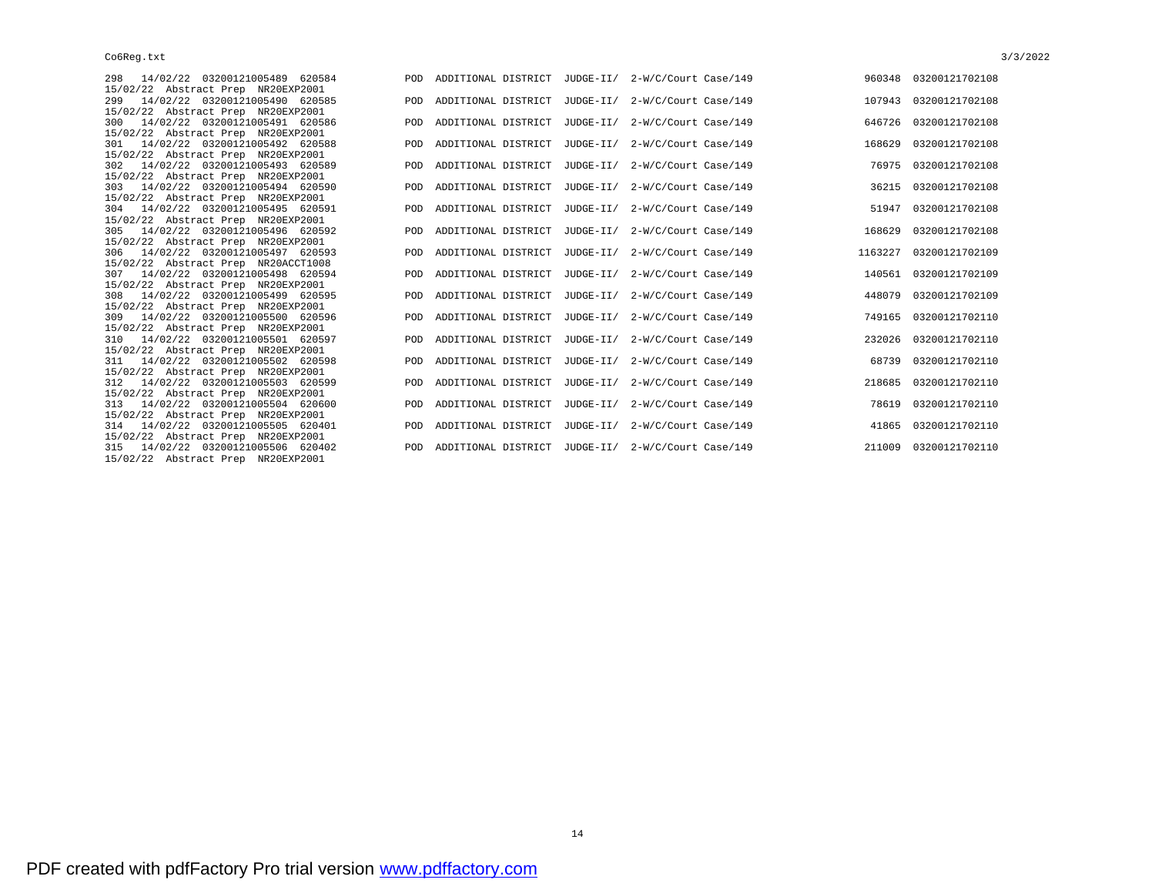| 298 14/02/22 03200121005489 620584  |
|-------------------------------------|
| 15/02/22 Abstract Prep NR20EXP2001  |
| 299 14/02/22 03200121005490 620585  |
| 15/02/22 Abstract Prep NR20EXP2001  |
| 300 14/02/22 03200121005491 620586  |
| 15/02/22 Abstract Prep NR20EXP2001  |
| 301 14/02/22 03200121005492 620588  |
| 15/02/22 Abstract Prep NR20EXP2001  |
| 302 14/02/22 03200121005493 620589  |
| 15/02/22 Abstract Prep NR20EXP2001  |
| 303 14/02/22 03200121005494 620590  |
| 15/02/22 Abstract Prep NR20EXP2001  |
| 304 14/02/22 03200121005495 620591  |
| 15/02/22 Abstract Prep NR20EXP2001  |
| 305 14/02/22 03200121005496 620592  |
| 15/02/22 Abstract Prep NR20EXP2001  |
| 306 14/02/22 03200121005497 620593  |
| 15/02/22 Abstract Prep NR20ACCT1008 |
| 307 14/02/22 03200121005498 620594  |
| 15/02/22 Abstract Prep NR20EXP2001  |
| 308 14/02/22 03200121005499 620595  |
| 15/02/22 Abstract Prep NR20EXP2001  |
| 309 14/02/22 03200121005500 620596  |
| 15/02/22 Abstract Prep NR20EXP2001  |
| 310 14/02/22 03200121005501 620597  |
| 15/02/22 Abstract Prep NR20EXP2001  |
| 311 14/02/22 03200121005502 620598  |
| 15/02/22 Abstract Prep NR20EXP2001  |
| 312 14/02/22 03200121005503 620599  |
| 15/02/22 Abstract Prep NR20EXP2001  |
| 313 14/02/22 03200121005504 620600  |
| 15/02/22 Abstract Prep NR20EXP2001  |
| 314 14/02/22 03200121005505 620401  |
| 15/02/22 Abstract Prep NR20EXP2001  |
| 315 14/02/22 03200121005506 620402  |
| 15/02/22 Abstract Prep NR20EXP2001  |

| 298 14/02/22 03200121005489 620584                                       |  | POD ADDITIONAL DISTRICT JUDGE-II/ 2-W/C/Court Case/149 |        | 960348 03200121702108  |
|--------------------------------------------------------------------------|--|--------------------------------------------------------|--------|------------------------|
| 15/02/22 Abstract Prep NR20EXP2001                                       |  |                                                        |        |                        |
| 299 14/02/22 03200121005490 620585                                       |  | POD ADDITIONAL DISTRICT JUDGE-II/ 2-W/C/Court Case/149 |        | 107943 03200121702108  |
| 15/02/22 Abstract Prep NR20EXP2001                                       |  | POD ADDITIONAL DISTRICT JUDGE-II/ 2-W/C/Court Case/149 |        | 646726 03200121702108  |
| 300 14/02/22 03200121005491 620586<br>15/02/22 Abstract Prep NR20EXP2001 |  |                                                        |        |                        |
| 301 14/02/22 03200121005492 620588                                       |  | POD ADDITIONAL DISTRICT JUDGE-II/ 2-W/C/Court Case/149 | 168629 | 03200121702108         |
| 15/02/22 Abstract Prep NR20EXP2001                                       |  |                                                        |        |                        |
| 302 14/02/22 03200121005493 620589                                       |  | POD ADDITIONAL DISTRICT JUDGE-II/ 2-W/C/Court Case/149 |        | 76975 03200121702108   |
| 15/02/22 Abstract Prep NR20EXP2001                                       |  |                                                        |        |                        |
| 303 14/02/22 03200121005494 620590                                       |  | POD ADDITIONAL DISTRICT JUDGE-II/ 2-W/C/Court Case/149 |        | 36215 03200121702108   |
| 15/02/22 Abstract Prep NR20EXP2001                                       |  |                                                        |        |                        |
| 304 14/02/22 03200121005495 620591                                       |  | POD ADDITIONAL DISTRICT JUDGE-II/ 2-W/C/Court Case/149 |        | 51947 03200121702108   |
| 15/02/22 Abstract Prep NR20EXP2001                                       |  |                                                        |        |                        |
| 305 14/02/22 03200121005496 620592                                       |  | POD ADDITIONAL DISTRICT JUDGE-II/ 2-W/C/Court Case/149 |        | 168629 03200121702108  |
| 15/02/22 Abstract Prep NR20EXP2001                                       |  |                                                        |        |                        |
| 306 14/02/22 03200121005497 620593                                       |  | POD ADDITIONAL DISTRICT JUDGE-II/ 2-W/C/Court Case/149 |        | 1163227 03200121702109 |
| 15/02/22 Abstract Prep NR20ACCT1008                                      |  |                                                        |        |                        |
| 307 14/02/22 03200121005498 620594                                       |  | POD ADDITIONAL DISTRICT JUDGE-II/ 2-W/C/Court Case/149 |        | 140561 03200121702109  |
| 15/02/22 Abstract Prep NR20EXP2001                                       |  |                                                        |        |                        |
| 308 14/02/22 03200121005499 620595                                       |  | POD ADDITIONAL DISTRICT JUDGE-II/ 2-W/C/Court Case/149 | 448079 | 03200121702109         |
| 15/02/22 Abstract Prep NR20EXP2001                                       |  |                                                        |        |                        |
| 309 14/02/22 03200121005500 620596<br>15/02/22 Abstract Prep NR20EXP2001 |  | POD ADDITIONAL DISTRICT JUDGE-II/ 2-W/C/Court Case/149 |        | 749165 03200121702110  |
| 310 14/02/22 03200121005501 620597                                       |  | POD ADDITIONAL DISTRICT JUDGE-II/ 2-W/C/Court Case/149 |        | 232026 03200121702110  |
| 15/02/22 Abstract Prep NR20EXP2001                                       |  |                                                        |        |                        |
| 311 14/02/22 03200121005502 620598                                       |  | POD ADDITIONAL DISTRICT JUDGE-II/ 2-W/C/Court Case/149 |        | 68739 03200121702110   |
| 15/02/22 Abstract Prep NR20EXP2001                                       |  |                                                        |        |                        |
| 312 14/02/22 03200121005503 620599                                       |  | POD ADDITIONAL DISTRICT JUDGE-II/ 2-W/C/Court Case/149 |        | 218685 03200121702110  |
| 15/02/22 Abstract Prep NR20EXP2001                                       |  |                                                        |        |                        |
| 313 14/02/22 03200121005504 620600                                       |  | POD ADDITIONAL DISTRICT JUDGE-II/ 2-W/C/Court Case/149 |        | 78619 03200121702110   |
| 15/02/22 Abstract Prep NR20EXP2001                                       |  |                                                        |        |                        |
| 314 14/02/22 03200121005505 620401                                       |  | POD ADDITIONAL DISTRICT JUDGE-II/ 2-W/C/Court Case/149 |        | 41865 03200121702110   |
| 15/02/22 Abstract Prep NR20EXP2001                                       |  |                                                        |        |                        |
| 315 14/02/22 03200121005506 620402                                       |  | POD ADDITIONAL DISTRICT JUDGE-II/ 2-W/C/Court Case/149 |        | 211009 03200121702110  |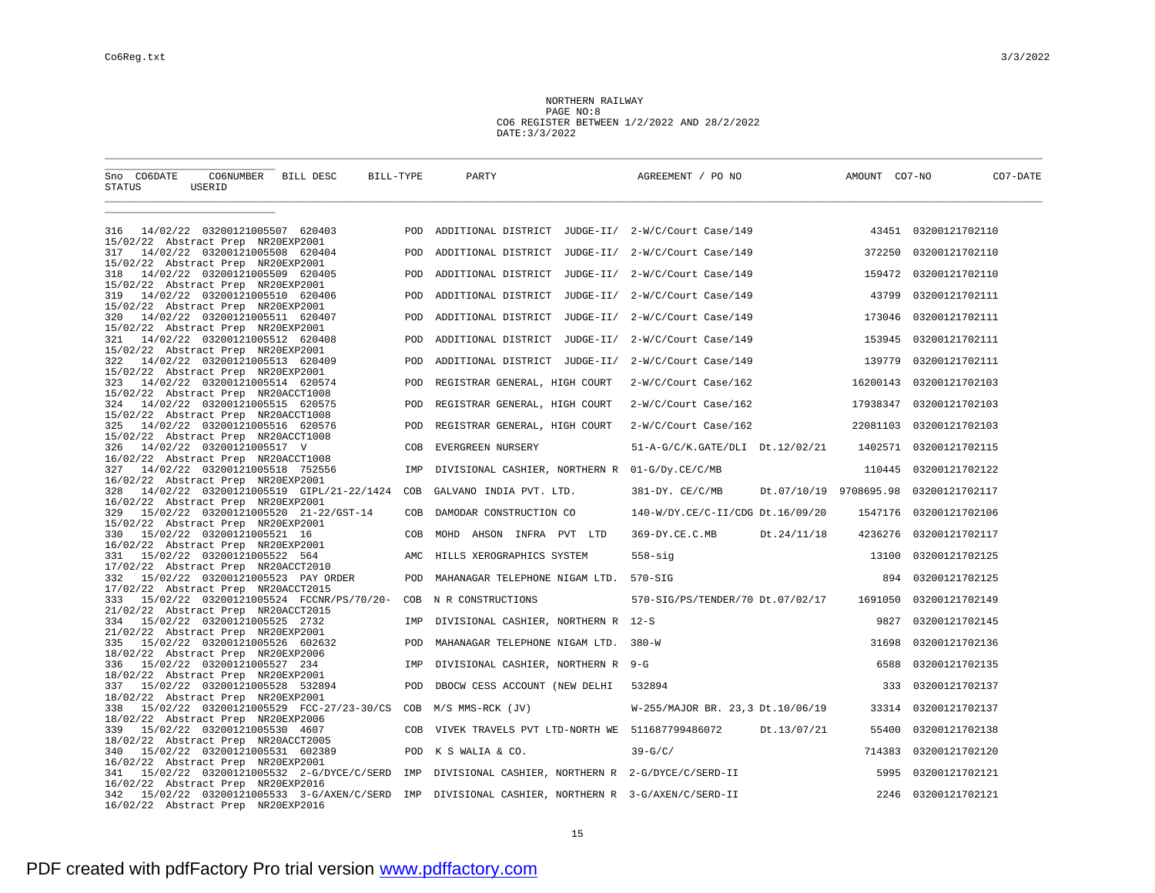NORTHERN RAILWAY PAGE NO:8 CO6 REGISTER BETWEEN 1/2/2022 AND 28/2/2022 DATE:3/3/2022

| Sno CO6DATE<br>STATUS                                                           | CO6NUMBER BILL DESC<br>USERID  |                                             | BILL-TYPE | PARTY                                                 | AGREEMENT / PO NO                |                        | AMOUNT CO7-NO | CO7-DATE             |  |
|---------------------------------------------------------------------------------|--------------------------------|---------------------------------------------|-----------|-------------------------------------------------------|----------------------------------|------------------------|---------------|----------------------|--|
|                                                                                 |                                |                                             |           |                                                       |                                  |                        |               |                      |  |
| 316<br>15/02/22 Abstract Prep NR20EXP2001                                       | 14/02/22 03200121005507 620403 |                                             | POD       | ADDITIONAL DISTRICT JUDGE-II/ 2-W/C/Court Case/149    |                                  |                        |               | 43451 03200121702110 |  |
| 317<br>15/02/22 Abstract Prep NR20EXP2001                                       | 14/02/22 03200121005508 620404 |                                             | POD       | ADDITIONAL DISTRICT JUDGE-II/ 2-W/C/Court Case/149    |                                  |                        | 372250        | 03200121702110       |  |
| 318                                                                             | 14/02/22 03200121005509 620405 |                                             | POD       | ADDITIONAL DISTRICT JUDGE-II/ 2-W/C/Court Case/149    |                                  |                        | 159472        | 03200121702110       |  |
| 15/02/22 Abstract Prep NR20EXP2001<br>319                                       | 14/02/22 03200121005510 620406 |                                             | POD       | ADDITIONAL DISTRICT JUDGE-II/ 2-W/C/Court Case/149    |                                  |                        | 43799         | 03200121702111       |  |
| 15/02/22 Abstract Prep NR20EXP2001<br>320                                       | 14/02/22 03200121005511 620407 |                                             | POD       | ADDITIONAL DISTRICT JUDGE-II/ 2-W/C/Court Case/149    |                                  |                        | 173046        | 03200121702111       |  |
| 15/02/22 Abstract Prep NR20EXP2001<br>321                                       | 14/02/22 03200121005512 620408 |                                             | POD       | ADDITIONAL DISTRICT JUDGE-II/ 2-W/C/Court Case/149    |                                  |                        | 153945        | 03200121702111       |  |
| 15/02/22 Abstract Prep NR20EXP2001<br>322                                       | 14/02/22 03200121005513 620409 |                                             | POD       | ADDITIONAL DISTRICT JUDGE-II/ 2-W/C/Court Case/149    |                                  |                        | 139779        | 03200121702111       |  |
| 15/02/22 Abstract Prep NR20EXP2001<br>323                                       | 14/02/22 03200121005514 620574 |                                             | POD       | REGISTRAR GENERAL, HIGH COURT                         | 2-W/C/Court Case/162             |                        | 16200143      | 03200121702103       |  |
| 15/02/22 Abstract Prep NR20ACCT1008                                             |                                |                                             |           |                                                       |                                  |                        |               |                      |  |
| 324<br>15/02/22 Abstract Prep NR20ACCT1008                                      | 14/02/22 03200121005515 620575 |                                             | POD       | REGISTRAR GENERAL, HIGH COURT                         | 2-W/C/Court Case/162             |                        | 17938347      | 03200121702103       |  |
| 325<br>15/02/22 Abstract Prep NR20ACCT1008                                      | 14/02/22 03200121005516 620576 |                                             | POD       | REGISTRAR GENERAL, HIGH COURT                         | 2-W/C/Court Case/162             |                        | 22081103      | 03200121702103       |  |
| 326<br>16/02/22 Abstract Prep NR20ACCT1008                                      | 14/02/22 03200121005517 V      |                                             | COB       | EVERGREEN NURSERY                                     | 51-A-G/C/K.GATE/DLI Dt.12/02/21  |                        | 1402571       | 03200121702115       |  |
| 327                                                                             | 14/02/22 03200121005518 752556 |                                             | IMP       | DIVISIONAL CASHIER, NORTHERN R 01-G/Dy.CE/C/MB        |                                  |                        | 110445        | 03200121702122       |  |
| 16/02/22 Abstract Prep NR20EXP2001<br>328                                       |                                | 14/02/22 03200121005519 GIPL/21-22/1424     | COB       | GALVANO INDIA PVT. LTD.                               | $381 - DY$ . $CE/C/MB$           | Dt.07/10/19 9708695.98 |               | 03200121702117       |  |
| 16/02/22 Abstract Prep NR20EXP2001<br>329                                       |                                | 15/02/22 03200121005520 21-22/GST-14        | COB       | DAMODAR CONSTRUCTION CO                               | 140-W/DY.CE/C-II/CDG Dt.16/09/20 |                        | 1547176       | 03200121702106       |  |
| 15/02/22 Abstract Prep NR20EXP2001<br>330                                       | 15/02/22 03200121005521 16     |                                             | COB       | MOHD<br>AHSON INFRA PVT LTD                           | 369-DY.CE.C.MB                   | Dt.24/11/18            | 4236276       | 03200121702117       |  |
| 16/02/22 Abstract Prep NR20EXP2001<br>331                                       | 15/02/22 03200121005522 564    |                                             | AMC       | HILLS XEROGRAPHICS SYSTEM                             | $558 - \text{sig}$               |                        | 13100         | 03200121702125       |  |
| 17/02/22 Abstract Prep NR20ACCT2010                                             |                                |                                             |           |                                                       |                                  |                        |               |                      |  |
| 332<br>17/02/22 Abstract Prep NR20ACCT2015                                      |                                | 15/02/22 03200121005523 PAY ORDER           | POD       | MAHANAGAR TELEPHONE NIGAM LTD. 570-SIG                |                                  |                        | 894           | 03200121702125       |  |
| 333<br>21/02/22 Abstract Prep NR20ACCT2015                                      |                                | 15/02/22 03200121005524 FCCNR/PS/70/20-     | COB       | N R CONSTRUCTIONS                                     | 570-SIG/PS/TENDER/70 Dt.07/02/17 |                        | 1691050       | 03200121702149       |  |
| 334                                                                             | 15/02/22 03200121005525 2732   |                                             | IMP       | DIVISIONAL CASHIER, NORTHERN R 12-S                   |                                  |                        | 9827          | 03200121702145       |  |
| 21/02/22 Abstract Prep NR20EXP2001<br>335                                       | 15/02/22 03200121005526 602632 |                                             | POD       | MAHANAGAR TELEPHONE NIGAM LTD. 380-W                  |                                  |                        | 31698         | 03200121702136       |  |
| 18/02/22 Abstract Prep NR20EXP2006<br>336                                       | 15/02/22 03200121005527 234    |                                             | IMP       | DIVISIONAL CASHIER, NORTHERN R 9-G                    |                                  |                        | 6588          | 03200121702135       |  |
| 18/02/22 Abstract Prep NR20EXP2001<br>337                                       | 15/02/22 03200121005528 532894 |                                             | POD       | DBOCW CESS ACCOUNT (NEW DELHI                         | 532894                           |                        | 333           | 03200121702137       |  |
| 18/02/22 Abstract Prep NR20EXP2001<br>338                                       |                                | 15/02/22 03200121005529 FCC-27/23-30/CS     | COB       | M/S MMS-RCK (JV)                                      | W-255/MAJOR BR. 23,3 Dt.10/06/19 |                        | 33314         | 03200121702137       |  |
| 18/02/22 Abstract Prep NR20EXP2006                                              |                                |                                             |           |                                                       |                                  |                        |               |                      |  |
| 339<br>18/02/22 Abstract Prep NR20ACCT2005                                      | 15/02/22 03200121005530 4607   |                                             | COB       | VIVEK TRAVELS PVT LTD-NORTH WE 511687799486072        |                                  | Dt.13/07/21            | 55400         | 03200121702138       |  |
| 340<br>16/02/22 Abstract Prep NR20EXP2001                                       | 15/02/22 03200121005531 602389 |                                             | POD       | K S WALIA & CO.                                       | $39-G/C/$                        |                        | 714383        | 03200121702120       |  |
| 341                                                                             |                                | 15/02/22 03200121005532 2-G/DYCE/C/SERD IMP |           | DIVISIONAL CASHIER, NORTHERN R 2-G/DYCE/C/SERD-II     |                                  |                        | 5995          | 03200121702121       |  |
| 16/02/22 Abstract Prep NR20EXP2016<br>342<br>16/02/22 Abstract Prep NR20EXP2016 |                                | 15/02/22 03200121005533 3-G/AXEN/C/SERD     |           | IMP DIVISIONAL CASHIER, NORTHERN R 3-G/AXEN/C/SERD-II |                                  |                        | 2246          | 03200121702121       |  |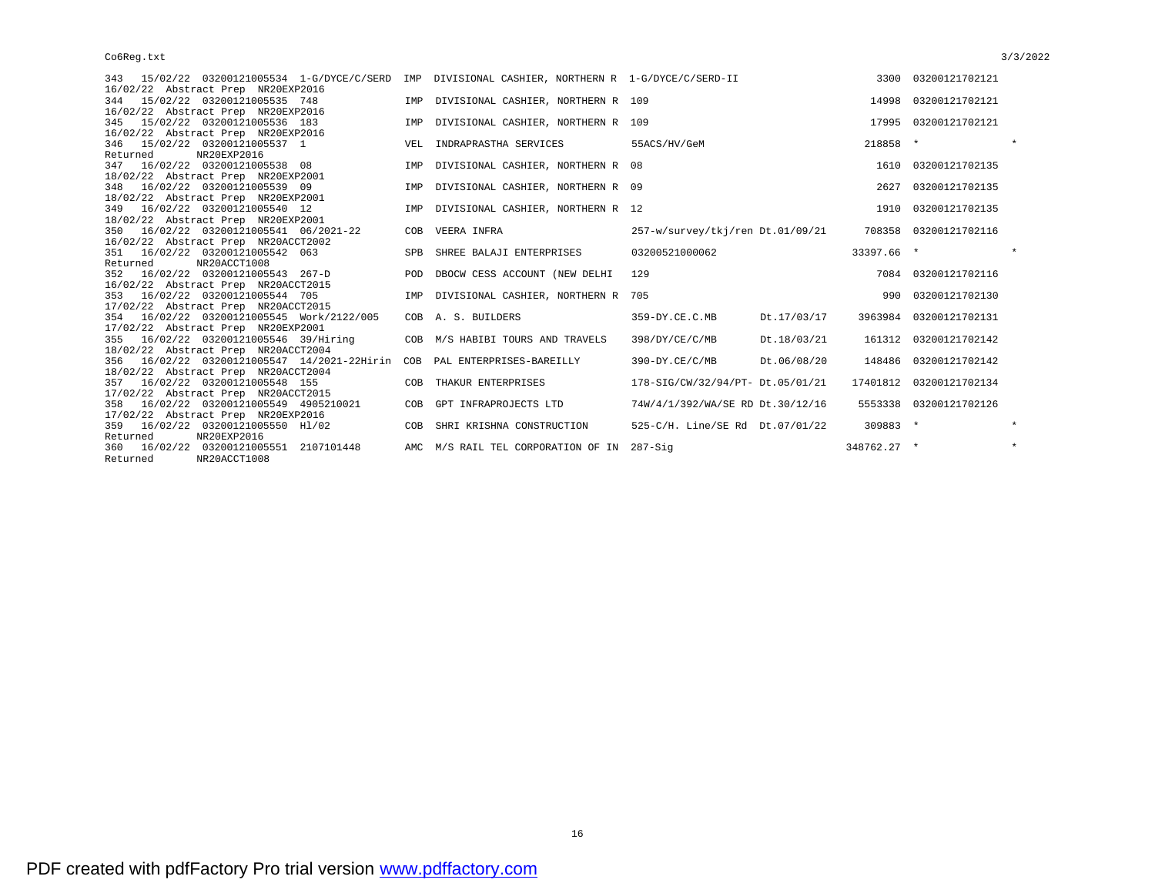| 16/02/22 Abstract Prep NR20EXP2016<br>344 15/02/22 03200121005535 748<br>14998 03200121702121<br>IMP DIVISIONAL CASHIER, NORTHERN R 109<br>16/02/22 Abstract Prep NR20EXP2016<br>345 15/02/22 03200121005536 183<br>IMP DIVISIONAL CASHIER, NORTHERN R 109<br>17995 03200121702121<br>16/02/22 Abstract Prep NR20EXP2016<br>$\star$<br>218858 *<br>346 15/02/22 03200121005537 1<br>VEL INDRAPRASTHA SERVICES<br>55ACS/HV/GeM<br>Returned<br>NR20EXP2016<br>347 16/02/22 03200121005538 08<br>1610 03200121702135<br>IMP DIVISIONAL CASHIER, NORTHERN R 08<br>18/02/22 Abstract Prep NR20EXP2001<br>348 16/02/22 03200121005539 09<br>IMP DIVISIONAL CASHIER, NORTHERN R 09<br>03200121702135<br>2627<br>18/02/22 Abstract Prep NR20EXP2001<br>349 16/02/22 03200121005540 12<br>1910 03200121702135<br>IMP DIVISIONAL CASHIER, NORTHERN R 12<br>18/02/22 Abstract Prep NR20EXP2001<br>257-w/survey/tkj/ren Dt.01/09/21 708358 03200121702116<br>350 16/02/22 03200121005541 06/2021-22<br>VEERA INFRA<br>COB<br>16/02/22 Abstract Prep NR20ACCT2002<br>33397.66 *<br>$\star$<br>351 16/02/22 03200121005542 063<br>03200521000062<br>SPB<br>SHREE BALAJI ENTERPRISES<br>NR20ACCT1008<br>Returned<br>352 16/02/22 03200121005543 267-D<br>7084 03200121702116<br>POD<br>DBOCW CESS ACCOUNT (NEW DELHI<br>129<br>16/02/22 Abstract Prep NR20ACCT2015<br>990 03200121702130<br>353 16/02/22 03200121005544 705<br>DIVISIONAL CASHIER, NORTHERN R 705<br>IMP<br>17/02/22 Abstract Prep NR20ACCT2015<br>354 16/02/22 03200121005545 Work/2122/005<br>359-DY.CE.C.MB<br>Dt.17/03/17<br>3963984 03200121702131<br>COB A. S. BUILDERS<br>17/02/22 Abstract Prep NR20EXP2001<br>355 16/02/22 03200121005546 39/Hiring<br>COB M/S HABIBI TOURS AND TRAVELS<br>398/DY/CE/C/MB<br>Dt.18/03/21<br>161312 03200121702142<br>18/02/22 Abstract Prep NR20ACCT2004<br>356 16/02/22 03200121005547 14/2021-22Hirin<br>PAL ENTERPRISES-BAREILLY<br>390-DY.CE/C/MB<br>Dt.06/08/20<br>148486 03200121702142<br>COB<br>18/02/22 Abstract Prep NR20ACCT2004<br>17401812 03200121702134<br>357 16/02/22 03200121005548 155<br>THAKUR ENTERPRISES<br>178-SIG/CW/32/94/PT- Dt.05/01/21<br>COB<br>17/02/22 Abstract Prep NR20ACCT2015<br>358 16/02/22 03200121005549 4905210021<br>COB GPT INFRAPROJECTS LTD<br>74W/4/1/392/WA/SE RD Dt.30/12/16<br>5553338 03200121702126<br>17/02/22 Abstract Prep NR20EXP2016<br>309883 *<br>$\star$<br>359 16/02/22 03200121005550 H1/02<br>COB SHRI KRISHNA CONSTRUCTION<br>525-C/H. Line/SE Rd Dt.07/01/22<br>NR20EXP2016<br>Returned<br>$\star$<br>AMC M/S RAIL TEL CORPORATION OF IN 287-Sig<br>360 16/02/22 03200121005551 2107101448<br>348762.27 * | 343 15/02/22 03200121005534 1-G/DYCE/C/SERD IMP DIVISIONAL CASHIER, NORTHERN R 1-G/DYCE/C/SERD-II |  |  | 3300 03200121702121 |  |
|---------------------------------------------------------------------------------------------------------------------------------------------------------------------------------------------------------------------------------------------------------------------------------------------------------------------------------------------------------------------------------------------------------------------------------------------------------------------------------------------------------------------------------------------------------------------------------------------------------------------------------------------------------------------------------------------------------------------------------------------------------------------------------------------------------------------------------------------------------------------------------------------------------------------------------------------------------------------------------------------------------------------------------------------------------------------------------------------------------------------------------------------------------------------------------------------------------------------------------------------------------------------------------------------------------------------------------------------------------------------------------------------------------------------------------------------------------------------------------------------------------------------------------------------------------------------------------------------------------------------------------------------------------------------------------------------------------------------------------------------------------------------------------------------------------------------------------------------------------------------------------------------------------------------------------------------------------------------------------------------------------------------------------------------------------------------------------------------------------------------------------------------------------------------------------------------------------------------------------------------------------------------------------------------------------------------------------------------------------------------------------------------------------------------------------------------------------------------------------------------------------------------------------------------------------------------------------------------------------------------------------------------------------------------|---------------------------------------------------------------------------------------------------|--|--|---------------------|--|
|                                                                                                                                                                                                                                                                                                                                                                                                                                                                                                                                                                                                                                                                                                                                                                                                                                                                                                                                                                                                                                                                                                                                                                                                                                                                                                                                                                                                                                                                                                                                                                                                                                                                                                                                                                                                                                                                                                                                                                                                                                                                                                                                                                                                                                                                                                                                                                                                                                                                                                                                                                                                                                                                     |                                                                                                   |  |  |                     |  |
|                                                                                                                                                                                                                                                                                                                                                                                                                                                                                                                                                                                                                                                                                                                                                                                                                                                                                                                                                                                                                                                                                                                                                                                                                                                                                                                                                                                                                                                                                                                                                                                                                                                                                                                                                                                                                                                                                                                                                                                                                                                                                                                                                                                                                                                                                                                                                                                                                                                                                                                                                                                                                                                                     |                                                                                                   |  |  |                     |  |
|                                                                                                                                                                                                                                                                                                                                                                                                                                                                                                                                                                                                                                                                                                                                                                                                                                                                                                                                                                                                                                                                                                                                                                                                                                                                                                                                                                                                                                                                                                                                                                                                                                                                                                                                                                                                                                                                                                                                                                                                                                                                                                                                                                                                                                                                                                                                                                                                                                                                                                                                                                                                                                                                     |                                                                                                   |  |  |                     |  |
|                                                                                                                                                                                                                                                                                                                                                                                                                                                                                                                                                                                                                                                                                                                                                                                                                                                                                                                                                                                                                                                                                                                                                                                                                                                                                                                                                                                                                                                                                                                                                                                                                                                                                                                                                                                                                                                                                                                                                                                                                                                                                                                                                                                                                                                                                                                                                                                                                                                                                                                                                                                                                                                                     |                                                                                                   |  |  |                     |  |
|                                                                                                                                                                                                                                                                                                                                                                                                                                                                                                                                                                                                                                                                                                                                                                                                                                                                                                                                                                                                                                                                                                                                                                                                                                                                                                                                                                                                                                                                                                                                                                                                                                                                                                                                                                                                                                                                                                                                                                                                                                                                                                                                                                                                                                                                                                                                                                                                                                                                                                                                                                                                                                                                     |                                                                                                   |  |  |                     |  |
|                                                                                                                                                                                                                                                                                                                                                                                                                                                                                                                                                                                                                                                                                                                                                                                                                                                                                                                                                                                                                                                                                                                                                                                                                                                                                                                                                                                                                                                                                                                                                                                                                                                                                                                                                                                                                                                                                                                                                                                                                                                                                                                                                                                                                                                                                                                                                                                                                                                                                                                                                                                                                                                                     |                                                                                                   |  |  |                     |  |
|                                                                                                                                                                                                                                                                                                                                                                                                                                                                                                                                                                                                                                                                                                                                                                                                                                                                                                                                                                                                                                                                                                                                                                                                                                                                                                                                                                                                                                                                                                                                                                                                                                                                                                                                                                                                                                                                                                                                                                                                                                                                                                                                                                                                                                                                                                                                                                                                                                                                                                                                                                                                                                                                     |                                                                                                   |  |  |                     |  |
|                                                                                                                                                                                                                                                                                                                                                                                                                                                                                                                                                                                                                                                                                                                                                                                                                                                                                                                                                                                                                                                                                                                                                                                                                                                                                                                                                                                                                                                                                                                                                                                                                                                                                                                                                                                                                                                                                                                                                                                                                                                                                                                                                                                                                                                                                                                                                                                                                                                                                                                                                                                                                                                                     |                                                                                                   |  |  |                     |  |
|                                                                                                                                                                                                                                                                                                                                                                                                                                                                                                                                                                                                                                                                                                                                                                                                                                                                                                                                                                                                                                                                                                                                                                                                                                                                                                                                                                                                                                                                                                                                                                                                                                                                                                                                                                                                                                                                                                                                                                                                                                                                                                                                                                                                                                                                                                                                                                                                                                                                                                                                                                                                                                                                     |                                                                                                   |  |  |                     |  |
|                                                                                                                                                                                                                                                                                                                                                                                                                                                                                                                                                                                                                                                                                                                                                                                                                                                                                                                                                                                                                                                                                                                                                                                                                                                                                                                                                                                                                                                                                                                                                                                                                                                                                                                                                                                                                                                                                                                                                                                                                                                                                                                                                                                                                                                                                                                                                                                                                                                                                                                                                                                                                                                                     |                                                                                                   |  |  |                     |  |
|                                                                                                                                                                                                                                                                                                                                                                                                                                                                                                                                                                                                                                                                                                                                                                                                                                                                                                                                                                                                                                                                                                                                                                                                                                                                                                                                                                                                                                                                                                                                                                                                                                                                                                                                                                                                                                                                                                                                                                                                                                                                                                                                                                                                                                                                                                                                                                                                                                                                                                                                                                                                                                                                     |                                                                                                   |  |  |                     |  |
|                                                                                                                                                                                                                                                                                                                                                                                                                                                                                                                                                                                                                                                                                                                                                                                                                                                                                                                                                                                                                                                                                                                                                                                                                                                                                                                                                                                                                                                                                                                                                                                                                                                                                                                                                                                                                                                                                                                                                                                                                                                                                                                                                                                                                                                                                                                                                                                                                                                                                                                                                                                                                                                                     |                                                                                                   |  |  |                     |  |
|                                                                                                                                                                                                                                                                                                                                                                                                                                                                                                                                                                                                                                                                                                                                                                                                                                                                                                                                                                                                                                                                                                                                                                                                                                                                                                                                                                                                                                                                                                                                                                                                                                                                                                                                                                                                                                                                                                                                                                                                                                                                                                                                                                                                                                                                                                                                                                                                                                                                                                                                                                                                                                                                     |                                                                                                   |  |  |                     |  |
|                                                                                                                                                                                                                                                                                                                                                                                                                                                                                                                                                                                                                                                                                                                                                                                                                                                                                                                                                                                                                                                                                                                                                                                                                                                                                                                                                                                                                                                                                                                                                                                                                                                                                                                                                                                                                                                                                                                                                                                                                                                                                                                                                                                                                                                                                                                                                                                                                                                                                                                                                                                                                                                                     |                                                                                                   |  |  |                     |  |
|                                                                                                                                                                                                                                                                                                                                                                                                                                                                                                                                                                                                                                                                                                                                                                                                                                                                                                                                                                                                                                                                                                                                                                                                                                                                                                                                                                                                                                                                                                                                                                                                                                                                                                                                                                                                                                                                                                                                                                                                                                                                                                                                                                                                                                                                                                                                                                                                                                                                                                                                                                                                                                                                     |                                                                                                   |  |  |                     |  |
|                                                                                                                                                                                                                                                                                                                                                                                                                                                                                                                                                                                                                                                                                                                                                                                                                                                                                                                                                                                                                                                                                                                                                                                                                                                                                                                                                                                                                                                                                                                                                                                                                                                                                                                                                                                                                                                                                                                                                                                                                                                                                                                                                                                                                                                                                                                                                                                                                                                                                                                                                                                                                                                                     |                                                                                                   |  |  |                     |  |
|                                                                                                                                                                                                                                                                                                                                                                                                                                                                                                                                                                                                                                                                                                                                                                                                                                                                                                                                                                                                                                                                                                                                                                                                                                                                                                                                                                                                                                                                                                                                                                                                                                                                                                                                                                                                                                                                                                                                                                                                                                                                                                                                                                                                                                                                                                                                                                                                                                                                                                                                                                                                                                                                     |                                                                                                   |  |  |                     |  |
|                                                                                                                                                                                                                                                                                                                                                                                                                                                                                                                                                                                                                                                                                                                                                                                                                                                                                                                                                                                                                                                                                                                                                                                                                                                                                                                                                                                                                                                                                                                                                                                                                                                                                                                                                                                                                                                                                                                                                                                                                                                                                                                                                                                                                                                                                                                                                                                                                                                                                                                                                                                                                                                                     |                                                                                                   |  |  |                     |  |
|                                                                                                                                                                                                                                                                                                                                                                                                                                                                                                                                                                                                                                                                                                                                                                                                                                                                                                                                                                                                                                                                                                                                                                                                                                                                                                                                                                                                                                                                                                                                                                                                                                                                                                                                                                                                                                                                                                                                                                                                                                                                                                                                                                                                                                                                                                                                                                                                                                                                                                                                                                                                                                                                     |                                                                                                   |  |  |                     |  |
|                                                                                                                                                                                                                                                                                                                                                                                                                                                                                                                                                                                                                                                                                                                                                                                                                                                                                                                                                                                                                                                                                                                                                                                                                                                                                                                                                                                                                                                                                                                                                                                                                                                                                                                                                                                                                                                                                                                                                                                                                                                                                                                                                                                                                                                                                                                                                                                                                                                                                                                                                                                                                                                                     |                                                                                                   |  |  |                     |  |
|                                                                                                                                                                                                                                                                                                                                                                                                                                                                                                                                                                                                                                                                                                                                                                                                                                                                                                                                                                                                                                                                                                                                                                                                                                                                                                                                                                                                                                                                                                                                                                                                                                                                                                                                                                                                                                                                                                                                                                                                                                                                                                                                                                                                                                                                                                                                                                                                                                                                                                                                                                                                                                                                     |                                                                                                   |  |  |                     |  |
|                                                                                                                                                                                                                                                                                                                                                                                                                                                                                                                                                                                                                                                                                                                                                                                                                                                                                                                                                                                                                                                                                                                                                                                                                                                                                                                                                                                                                                                                                                                                                                                                                                                                                                                                                                                                                                                                                                                                                                                                                                                                                                                                                                                                                                                                                                                                                                                                                                                                                                                                                                                                                                                                     |                                                                                                   |  |  |                     |  |
|                                                                                                                                                                                                                                                                                                                                                                                                                                                                                                                                                                                                                                                                                                                                                                                                                                                                                                                                                                                                                                                                                                                                                                                                                                                                                                                                                                                                                                                                                                                                                                                                                                                                                                                                                                                                                                                                                                                                                                                                                                                                                                                                                                                                                                                                                                                                                                                                                                                                                                                                                                                                                                                                     |                                                                                                   |  |  |                     |  |
|                                                                                                                                                                                                                                                                                                                                                                                                                                                                                                                                                                                                                                                                                                                                                                                                                                                                                                                                                                                                                                                                                                                                                                                                                                                                                                                                                                                                                                                                                                                                                                                                                                                                                                                                                                                                                                                                                                                                                                                                                                                                                                                                                                                                                                                                                                                                                                                                                                                                                                                                                                                                                                                                     |                                                                                                   |  |  |                     |  |
|                                                                                                                                                                                                                                                                                                                                                                                                                                                                                                                                                                                                                                                                                                                                                                                                                                                                                                                                                                                                                                                                                                                                                                                                                                                                                                                                                                                                                                                                                                                                                                                                                                                                                                                                                                                                                                                                                                                                                                                                                                                                                                                                                                                                                                                                                                                                                                                                                                                                                                                                                                                                                                                                     |                                                                                                   |  |  |                     |  |
|                                                                                                                                                                                                                                                                                                                                                                                                                                                                                                                                                                                                                                                                                                                                                                                                                                                                                                                                                                                                                                                                                                                                                                                                                                                                                                                                                                                                                                                                                                                                                                                                                                                                                                                                                                                                                                                                                                                                                                                                                                                                                                                                                                                                                                                                                                                                                                                                                                                                                                                                                                                                                                                                     |                                                                                                   |  |  |                     |  |
|                                                                                                                                                                                                                                                                                                                                                                                                                                                                                                                                                                                                                                                                                                                                                                                                                                                                                                                                                                                                                                                                                                                                                                                                                                                                                                                                                                                                                                                                                                                                                                                                                                                                                                                                                                                                                                                                                                                                                                                                                                                                                                                                                                                                                                                                                                                                                                                                                                                                                                                                                                                                                                                                     |                                                                                                   |  |  |                     |  |
|                                                                                                                                                                                                                                                                                                                                                                                                                                                                                                                                                                                                                                                                                                                                                                                                                                                                                                                                                                                                                                                                                                                                                                                                                                                                                                                                                                                                                                                                                                                                                                                                                                                                                                                                                                                                                                                                                                                                                                                                                                                                                                                                                                                                                                                                                                                                                                                                                                                                                                                                                                                                                                                                     |                                                                                                   |  |  |                     |  |
|                                                                                                                                                                                                                                                                                                                                                                                                                                                                                                                                                                                                                                                                                                                                                                                                                                                                                                                                                                                                                                                                                                                                                                                                                                                                                                                                                                                                                                                                                                                                                                                                                                                                                                                                                                                                                                                                                                                                                                                                                                                                                                                                                                                                                                                                                                                                                                                                                                                                                                                                                                                                                                                                     |                                                                                                   |  |  |                     |  |
|                                                                                                                                                                                                                                                                                                                                                                                                                                                                                                                                                                                                                                                                                                                                                                                                                                                                                                                                                                                                                                                                                                                                                                                                                                                                                                                                                                                                                                                                                                                                                                                                                                                                                                                                                                                                                                                                                                                                                                                                                                                                                                                                                                                                                                                                                                                                                                                                                                                                                                                                                                                                                                                                     |                                                                                                   |  |  |                     |  |
|                                                                                                                                                                                                                                                                                                                                                                                                                                                                                                                                                                                                                                                                                                                                                                                                                                                                                                                                                                                                                                                                                                                                                                                                                                                                                                                                                                                                                                                                                                                                                                                                                                                                                                                                                                                                                                                                                                                                                                                                                                                                                                                                                                                                                                                                                                                                                                                                                                                                                                                                                                                                                                                                     |                                                                                                   |  |  |                     |  |
|                                                                                                                                                                                                                                                                                                                                                                                                                                                                                                                                                                                                                                                                                                                                                                                                                                                                                                                                                                                                                                                                                                                                                                                                                                                                                                                                                                                                                                                                                                                                                                                                                                                                                                                                                                                                                                                                                                                                                                                                                                                                                                                                                                                                                                                                                                                                                                                                                                                                                                                                                                                                                                                                     |                                                                                                   |  |  |                     |  |
|                                                                                                                                                                                                                                                                                                                                                                                                                                                                                                                                                                                                                                                                                                                                                                                                                                                                                                                                                                                                                                                                                                                                                                                                                                                                                                                                                                                                                                                                                                                                                                                                                                                                                                                                                                                                                                                                                                                                                                                                                                                                                                                                                                                                                                                                                                                                                                                                                                                                                                                                                                                                                                                                     |                                                                                                   |  |  |                     |  |
|                                                                                                                                                                                                                                                                                                                                                                                                                                                                                                                                                                                                                                                                                                                                                                                                                                                                                                                                                                                                                                                                                                                                                                                                                                                                                                                                                                                                                                                                                                                                                                                                                                                                                                                                                                                                                                                                                                                                                                                                                                                                                                                                                                                                                                                                                                                                                                                                                                                                                                                                                                                                                                                                     |                                                                                                   |  |  |                     |  |
|                                                                                                                                                                                                                                                                                                                                                                                                                                                                                                                                                                                                                                                                                                                                                                                                                                                                                                                                                                                                                                                                                                                                                                                                                                                                                                                                                                                                                                                                                                                                                                                                                                                                                                                                                                                                                                                                                                                                                                                                                                                                                                                                                                                                                                                                                                                                                                                                                                                                                                                                                                                                                                                                     | NR20ACCT1008<br>Returned                                                                          |  |  |                     |  |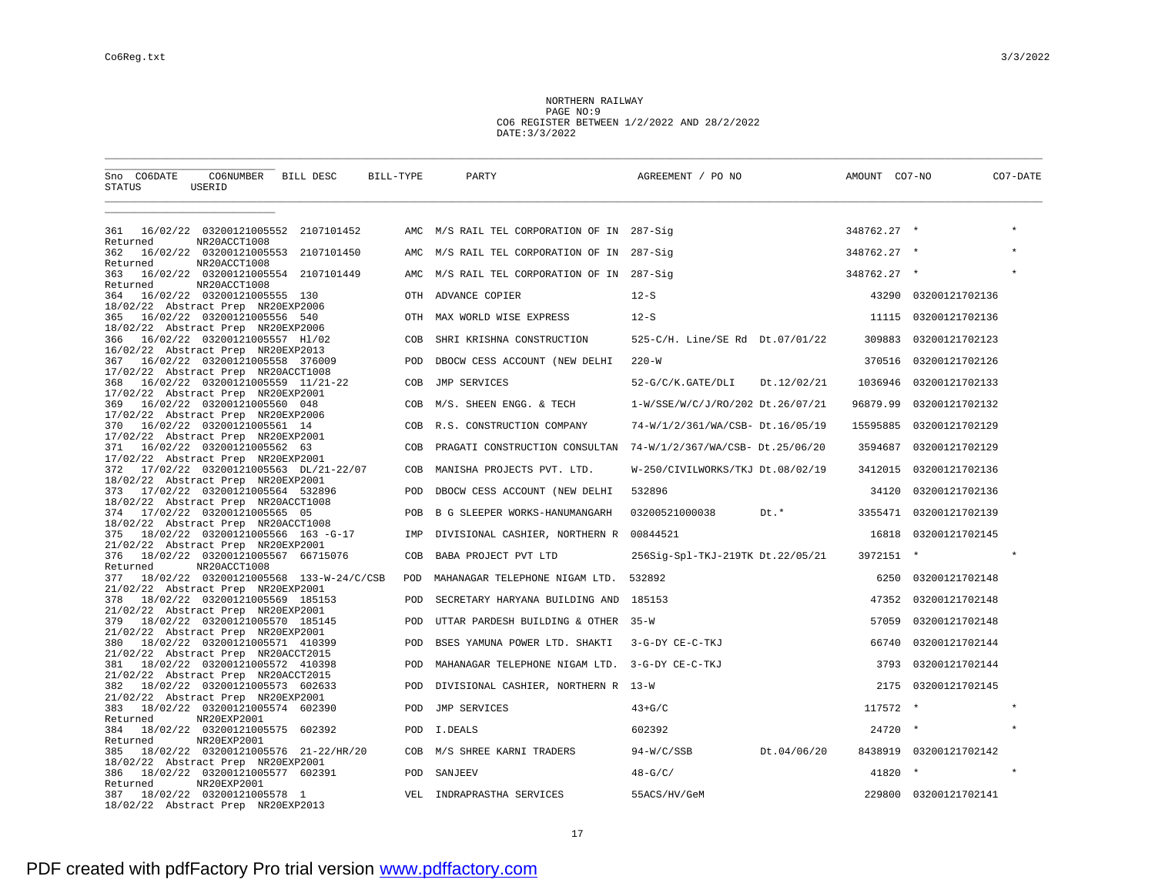NORTHERN RAILWAY PAGE NO:9 CO6 REGISTER BETWEEN 1/2/2022 AND 28/2/2022 DATE:3/3/2022

| Sno CO6DATE<br>STATUS | CO6NUMBER BILL DESC<br>USERID                                             |                                        | BILL-TYPE  | PARTY                                          | AGREEMENT / PO NO                | AMOUNT CO7-NO |                       | CO7-DATE |
|-----------------------|---------------------------------------------------------------------------|----------------------------------------|------------|------------------------------------------------|----------------------------------|---------------|-----------------------|----------|
|                       |                                                                           |                                        |            |                                                |                                  |               |                       |          |
| 361<br>Returned       | NR20ACCT1008                                                              | 16/02/22 03200121005552 2107101452     |            | AMC M/S RAIL TEL CORPORATION OF IN 287-Sig     |                                  | 348762.27 *   |                       |          |
| 362                   |                                                                           | 16/02/22 03200121005553 2107101450     | AMC        | M/S RAIL TEL CORPORATION OF IN 287-Sig         |                                  | 348762.27 *   |                       |          |
| Returned<br>363       | NR20ACCT1008                                                              | 16/02/22 03200121005554 2107101449     | AMC        | M/S RAIL TEL CORPORATION OF IN 287-Sig         |                                  | 348762.27 *   |                       | $\star$  |
| Returned<br>364       | NR20ACCT1008<br>16/02/22 03200121005555 130                               |                                        | OTH        | ADVANCE COPIER                                 | $12-S$                           | 43290         | 03200121702136        |          |
| 365                   | 18/02/22 Abstract Prep NR20EXP2006<br>16/02/22 03200121005556 540         |                                        | OTH        | MAX WORLD WISE EXPRESS                         | $12-S$                           | 11115         | 03200121702136        |          |
| 366                   | 18/02/22 Abstract Prep NR20EXP2006<br>16/02/22 03200121005557 H1/02       |                                        | COB        | SHRI KRISHNA CONSTRUCTION                      | 525-C/H. Line/SE Rd Dt.07/01/22  | 309883        | 03200121702123        |          |
|                       | 16/02/22 Abstract Prep NR20EXP2013                                        |                                        |            |                                                |                                  |               |                       |          |
|                       | 367 16/02/22 03200121005558 376009<br>17/02/22 Abstract Prep NR20ACCT1008 |                                        | POD        | DBOCW CESS ACCOUNT (NEW DELHI                  | $220 - W$                        | 370516        | 03200121702126        |          |
| 368                   | 16/02/22 03200121005559 11/21-22                                          |                                        | COB        | JMP SERVICES                                   | 52-G/C/K.GATE/DLI<br>Dt.12/02/21 | 1036946       | 03200121702133        |          |
|                       | 17/02/22 Abstract Prep NR20EXP2001<br>369 16/02/22 03200121005560 048     |                                        | COB        | M/S. SHEEN ENGG. & TECH                        | 1-W/SSE/W/C/J/RO/202 Dt.26/07/21 | 96879.99      | 03200121702132        |          |
| 370                   | 17/02/22 Abstract Prep NR20EXP2006<br>16/02/22 03200121005561 14          |                                        | COB        | R.S. CONSTRUCTION COMPANY                      | 74-W/1/2/361/WA/CSB- Dt.16/05/19 | 15595885      | 03200121702129        |          |
| 371                   | 17/02/22 Abstract Prep NR20EXP2001<br>16/02/22 03200121005562 63          |                                        | COB        | PRAGATI CONSTRUCTION CONSULTAN                 | 74-W/1/2/367/WA/CSB- Dt.25/06/20 | 3594687       | 03200121702129        |          |
|                       | 17/02/22 Abstract Prep NR20EXP2001                                        |                                        |            |                                                |                                  |               |                       |          |
| 372                   | 18/02/22 Abstract Prep NR20EXP2001                                        | 17/02/22 03200121005563 DL/21-22/07    | COB        | MANISHA PROJECTS PVT. LTD.                     | W-250/CIVILWORKS/TKJ Dt.08/02/19 | 3412015       | 03200121702136        |          |
|                       | 373 17/02/22 03200121005564 532896                                        |                                        | POD        | DBOCW CESS ACCOUNT (NEW DELHI                  | 532896                           | 34120         | 03200121702136        |          |
| 374                   | 18/02/22 Abstract Prep NR20ACCT1008<br>17/02/22 03200121005565 05         |                                        | POB        | B G SLEEPER WORKS-HANUMANGARH                  | 03200521000038<br>Dt.*           | 3355471       | 03200121702139        |          |
| 375                   | 18/02/22 Abstract Prep NR20ACCT1008<br>18/02/22 03200121005566 163-G-17   |                                        | IMP        | DIVISIONAL CASHIER, NORTHERN R 00844521        |                                  | 16818         | 03200121702145        |          |
| 376                   | 21/02/22 Abstract Prep NR20EXP2001<br>18/02/22 03200121005567 66715076    |                                        | COB        | BABA PROJECT PVT LTD                           | 256Sig-Spl-TKJ-219TK Dt.22/05/21 | 3972151 *     |                       |          |
| Returned              | NR20ACCT1008                                                              |                                        |            |                                                |                                  |               |                       |          |
| 377                   | 21/02/22 Abstract Prep NR20EXP2001                                        | 18/02/22 03200121005568 133-W-24/C/CSB | <b>POD</b> | MAHANAGAR TELEPHONE NIGAM LTD.                 | 532892                           | 6250          | 03200121702148        |          |
| 378                   | 18/02/22 03200121005569 185153<br>21/02/22 Abstract Prep NR20EXP2001      |                                        | <b>POD</b> | SECRETARY HARYANA BUILDING AND 185153          |                                  | 47352         | 03200121702148        |          |
| 379                   | 18/02/22 03200121005570 185145                                            |                                        | POD        | UTTAR PARDESH BUILDING & OTHER 35-W            |                                  | 57059         | 03200121702148        |          |
| 380                   | 21/02/22 Abstract Prep NR20EXP2001<br>18/02/22 03200121005571 410399      |                                        | POD        | BSES YAMUNA POWER LTD. SHAKTI                  | 3-G-DY CE-C-TKJ                  | 66740         | 03200121702144        |          |
| 381                   | 21/02/22 Abstract Prep NR20ACCT2015<br>18/02/22 03200121005572 410398     |                                        | POD        | MAHANAGAR TELEPHONE NIGAM LTD. 3-G-DY CE-C-TKJ |                                  | 3793          | 03200121702144        |          |
| 382                   | 21/02/22 Abstract Prep NR20ACCT2015<br>18/02/22 03200121005573 602633     |                                        | POD        | DIVISIONAL CASHIER, NORTHERN R 13-W            |                                  | 2175          | 03200121702145        |          |
|                       | 21/02/22 Abstract Prep NR20EXP2001                                        |                                        |            |                                                |                                  |               | $\star$               | $\star$  |
| 383<br>Returned       | 18/02/22 03200121005574 602390<br>NR20EXP2001                             |                                        | POD        | JMP SERVICES                                   | $43+G/C$                         | 117572        |                       |          |
| 384<br>Returned       | 18/02/22 03200121005575 602392<br>NR20EXP2001                             |                                        | POD        | I.DEALS                                        | 602392                           | 24720         |                       |          |
| 385                   |                                                                           | 18/02/22 03200121005576 21-22/HR/20    | COB        | M/S SHREE KARNI TRADERS                        | Dt.04/06/20<br>$94-W/C/SSB$      | 8438919       | 03200121702142        |          |
| 386                   | 18/02/22 Abstract Prep NR20EXP2001<br>18/02/22 03200121005577 602391      |                                        |            | POD SANJEEV                                    | $48-G/C/$                        | 41820         | $\star$               |          |
| Returned              | NR20EXP2001                                                               |                                        |            |                                                |                                  |               | 229800 03200121702141 |          |
| 387                   | 18/02/22 03200121005578 1<br>18/02/22 Abstract Prep NR20EXP2013           |                                        | VEL        | INDRAPRASTHA SERVICES                          | 55ACS/HV/GeM                     |               |                       |          |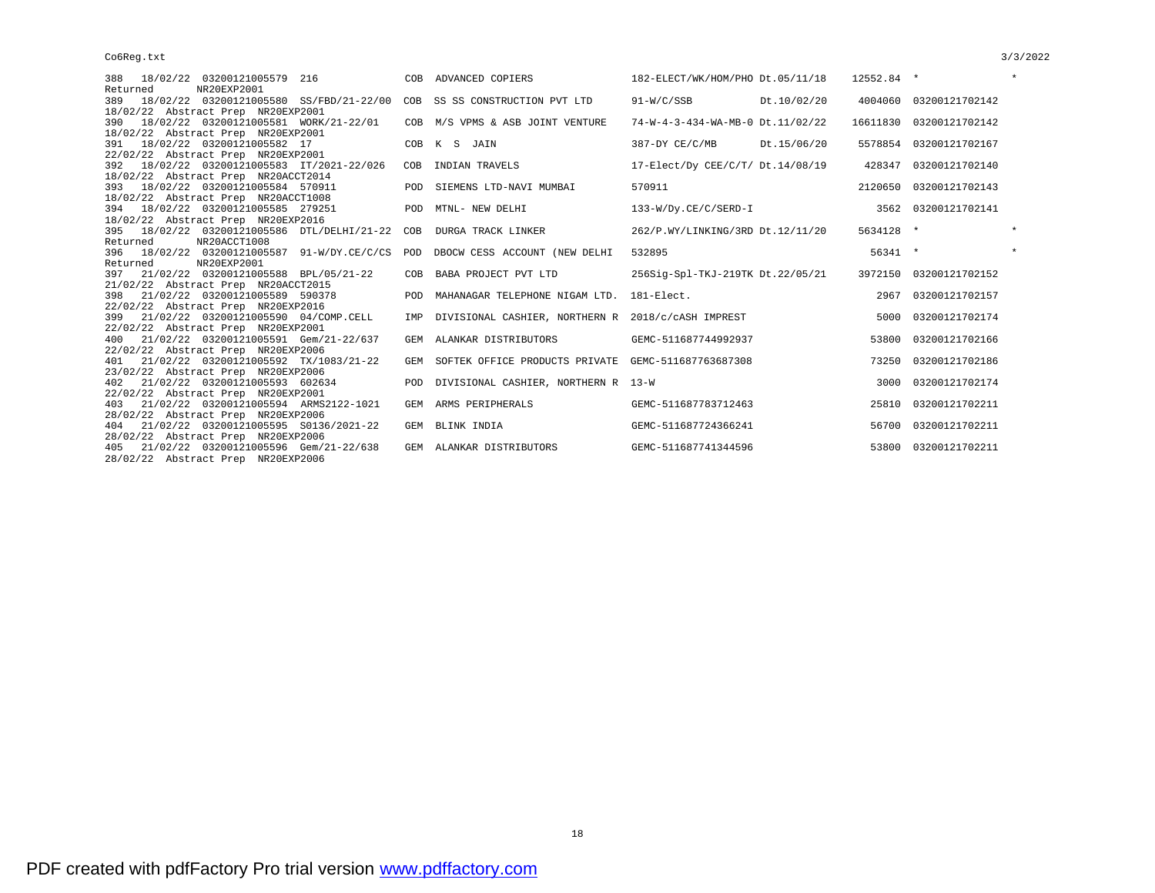| 388 18/02/22 03200121005579 216                                               |            | COB ADVANCED COPIERS                                | 182-ELECT/WK/HOM/PHO Dt.05/11/18 |             | 12552.84 * |                         | $\star$ |
|-------------------------------------------------------------------------------|------------|-----------------------------------------------------|----------------------------------|-------------|------------|-------------------------|---------|
| NR20EXP2001<br>Returned                                                       |            |                                                     |                                  |             |            |                         |         |
| 18/02/22 03200121005580 SS/FBD/21-22/00 COB SS SS CONSTRUCTION PVT LTD<br>389 |            |                                                     | $91-W/C/SSB$                     | Dt.10/02/20 |            | 4004060 03200121702142  |         |
| 18/02/22 Abstract Prep NR20EXP2001                                            |            |                                                     |                                  |             |            |                         |         |
| 18/02/22 03200121005581 WORK/21-22/01<br>390                                  |            | COB M/S VPMS & ASB JOINT VENTURE                    | 74-W-4-3-434-WA-MB-0 Dt.11/02/22 |             |            | 16611830 03200121702142 |         |
| 18/02/22 Abstract Prep NR20EXP2001                                            |            |                                                     |                                  |             |            |                         |         |
| 18/02/22 03200121005582 17<br>391                                             |            | COB K S JAIN                                        | 387-DY CE/C/MB                   | Dt.15/06/20 |            | 5578854 03200121702167  |         |
| 22/02/22 Abstract Prep NR20EXP2001                                            |            |                                                     |                                  |             |            |                         |         |
| 18/02/22 03200121005583 IT/2021-22/026<br>392                                 | COB        | INDIAN TRAVELS                                      | 17-Elect/Dy CEE/C/T/ Dt.14/08/19 |             | 428347     | 03200121702140          |         |
| 18/02/22 Abstract Prep NR20ACCT2014                                           |            |                                                     |                                  |             |            |                         |         |
| 393 18/02/22 03200121005584 570911                                            | POD        | SIEMENS LTD-NAVI MUMBAI                             | 570911                           |             |            | 2120650 03200121702143  |         |
| 18/02/22 Abstract Prep NR20ACCT1008                                           |            |                                                     |                                  |             |            |                         |         |
| 394 18/02/22 03200121005585 279251                                            |            | POD MTNL- NEW DELHI                                 | 133-W/Dy.CE/C/SERD-I             |             |            | 3562 03200121702141     |         |
| 18/02/22 Abstract Prep NR20EXP2016                                            |            |                                                     |                                  |             |            |                         |         |
| 395 18/02/22 03200121005586 DTL/DELHI/21-22 COB                               |            | DURGA TRACK LINKER                                  | 262/P.WY/LINKING/3RD Dt.12/11/20 |             | 5634128 *  |                         | $\star$ |
| NR20ACCT1008<br>Returned                                                      |            |                                                     |                                  |             |            |                         |         |
| 396 18/02/22 03200121005587 91-W/DY.CE/C/CS                                   | POD        | DBOCW CESS ACCOUNT (NEW DELHI                       | 532895                           |             | $56341$ *  |                         | $\star$ |
| NR20EXP2001<br>Returned                                                       |            |                                                     |                                  |             |            |                         |         |
| 21/02/22 03200121005588 BPL/05/21-22<br>397                                   | COB        | BABA PROJECT PVT LTD                                | 256Sig-Spl-TKJ-219TK Dt.22/05/21 |             |            | 3972150 03200121702152  |         |
| 21/02/22 Abstract Prep NR20ACCT2015                                           |            |                                                     |                                  |             |            |                         |         |
| 21/02/22 03200121005589 590378<br>398                                         | <b>POD</b> | MAHANAGAR TELEPHONE NIGAM LTD.                      | $181  R1$ ect.                   |             | 2967       | 03200121702157          |         |
| 22/02/22 Abstract Prep NR20EXP2016                                            |            |                                                     |                                  |             |            |                         |         |
| 21/02/22 03200121005590 04/COMP.CELL<br>399                                   | IMP        | DIVISIONAL CASHIER, NORTHERN R 2018/c/cASH IMPREST  |                                  |             | 5000       | 03200121702174          |         |
| 22/02/22 Abstract Prep NR20EXP2001                                            |            |                                                     |                                  |             |            |                         |         |
| 21/02/22 03200121005591 Gem/21-22/637<br>400                                  | GEM        | ALANKAR DISTRIBUTORS                                | GEMC-511687744992937             |             |            | 53800 03200121702166    |         |
| 22/02/22 Abstract Prep NR20EXP2006                                            |            |                                                     |                                  |             |            |                         |         |
| 21/02/22 03200121005592 TX/1083/21-22<br>401                                  | GEM        | SOFTEK OFFICE PRODUCTS PRIVATE GEMC-511687763687308 |                                  |             | 73250      | 03200121702186          |         |
| 23/02/22 Abstract Prep NR20EXP2006                                            |            |                                                     |                                  |             |            |                         |         |
| 21/02/22 03200121005593 602634<br>402                                         |            | POD DIVISIONAL CASHIER, NORTHERN R 13-W             |                                  |             | 3000       | 03200121702174          |         |
| 22/02/22 Abstract Prep NR20EXP2001                                            |            |                                                     |                                  |             |            |                         |         |
| 21/02/22 03200121005594 ARMS2122-1021<br>403                                  | GEM        | ARMS PERIPHERALS                                    | GEMC-511687783712463             |             |            | 25810 03200121702211    |         |
| 28/02/22 Abstract Prep NR20EXP2006                                            |            |                                                     |                                  |             |            |                         |         |
| 404 21/02/22 03200121005595 S0136/2021-22                                     |            | GEM BLINK INDIA                                     | GEMC-511687724366241             |             |            | 56700 03200121702211    |         |

 $22/02/22$   $21/02$ 28/02/22 Abstract Prep NR20EXP2006 405 21/02/22 03200121005596 Gem/21-22/638 GEM ALANKAR DISTRIBUTORS GEMC-511687741344596 53800 03200121702211 28/02/22 Abstract Prep NR20EXP2006

18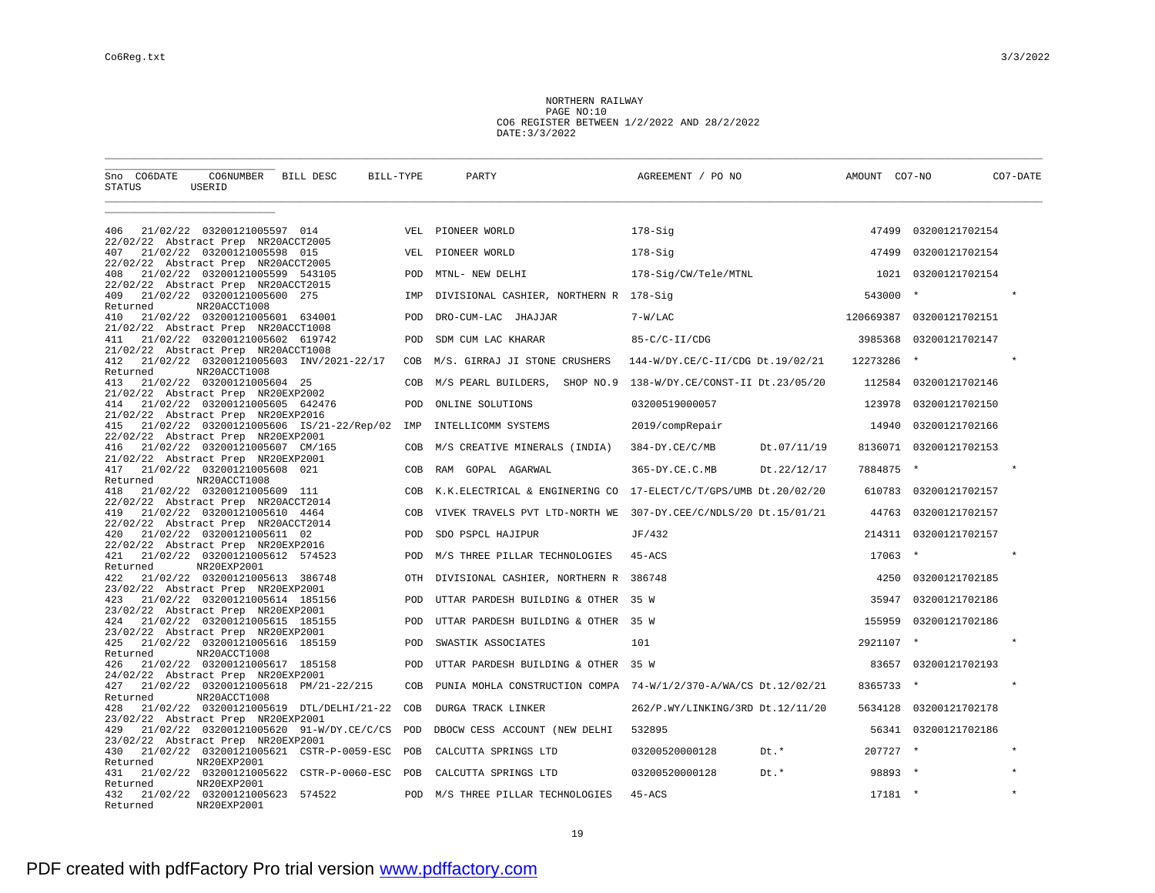NORTHERN RAILWAY PAGE NO:10 CO6 REGISTER BETWEEN 1/2/2022 AND 28/2/2022 DATE:3/3/2022

| Sno CO6DATE<br>STATUS                                      | CO6NUMBER<br>USERID                            | BILL DESC                                   | BILL-TYPE  | PARTY                                  | AGREEMENT / PO NO                                                | AMOUNT CO7-NO |                          | CO7-DATE |
|------------------------------------------------------------|------------------------------------------------|---------------------------------------------|------------|----------------------------------------|------------------------------------------------------------------|---------------|--------------------------|----------|
|                                                            |                                                |                                             |            |                                        |                                                                  |               |                          |          |
| 406<br>22/02/22 Abstract Prep NR20ACCT2005                 | 21/02/22 03200121005597 014                    |                                             |            | VEL PIONEER WORLD                      | 178-Sig                                                          | 47499         | 03200121702154           |          |
| 407<br>22/02/22 Abstract Prep NR20ACCT2005                 | 21/02/22 03200121005598 015                    |                                             | VEL        | PIONEER WORLD                          | $178-Siq$                                                        | 47499         | 03200121702154           |          |
| 408<br>22/02/22 Abstract Prep NR20ACCT2015                 | 21/02/22 03200121005599 543105                 |                                             | POD        | MTNL- NEW DELHI                        | 178-Sig/CW/Tele/MTNL                                             | 1021          | 03200121702154           |          |
| 409<br>Returned                                            | 21/02/22 03200121005600 275<br>NR20ACCT1008    |                                             | IMP        | DIVISIONAL CASHIER, NORTHERN R 178-Sig |                                                                  | 543000        |                          | $\star$  |
| 410<br>21/02/22 Abstract Prep NR20ACCT1008                 | 21/02/22 03200121005601 634001                 |                                             | POD        | DRO-CUM-LAC JHAJJAR                    | $7-W/LAC$                                                        |               | 120669387 03200121702151 |          |
| 411<br>21/02/22 Abstract Prep NR20ACCT1008                 | 21/02/22 03200121005602 619742                 |                                             | POD        | SDM CUM LAC KHARAR                     | $85-C/C-II/CDG$                                                  | 3985368       | 03200121702147           |          |
| 412<br>Returned                                            | NR20ACCT1008                                   | 21/02/22 03200121005603 INV/2021-22/17      | COB        | M/S. GIRRAJ JI STONE CRUSHERS          | 144-W/DY.CE/C-II/CDG Dt.19/02/21                                 | 12273286      | $\star$                  | $\star$  |
| 413<br>21/02/22 Abstract Prep NR20EXP2002                  | 21/02/22 03200121005604 25                     |                                             | COB        | M/S PEARL BUILDERS,<br>SHOP NO.9       | 138-W/DY.CE/CONST-II Dt.23/05/20                                 |               | 112584 03200121702146    |          |
| 414<br>21/02/22 Abstract Prep NR20EXP2016                  | 21/02/22 03200121005605 642476                 |                                             | POD        | ONLINE SOLUTIONS                       | 03200519000057                                                   | 123978        | 03200121702150           |          |
| 415<br>22/02/22 Abstract Prep NR20EXP2001                  |                                                | 21/02/22 03200121005606 IS/21-22/Rep/02     | IMP        | INTELLICOMM SYSTEMS                    | 2019/compRepair                                                  | 14940         | 03200121702166           |          |
| 416<br>21/02/22 Abstract Prep NR20EXP2001                  | 21/02/22 03200121005607 CM/165                 |                                             | COB        | M/S CREATIVE MINERALS (INDIA)          | $384 - DY.CE/C/MB$<br>Dt.07/11/19                                |               | 8136071 03200121702153   |          |
| 417<br>Returned                                            | 21/02/22 03200121005608 021<br>NR20ACCT1008    |                                             | COB        | RAM GOPAL AGARWAL                      | 365-DY.CE.C.MB<br>Dt.22/12/17                                    | 7884875       |                          |          |
| 418<br>22/02/22 Abstract Prep NR20ACCT2014                 | 21/02/22 03200121005609 111                    |                                             | COB        |                                        | K.K.ELECTRICAL & ENGINERING CO  17-ELECT/C/T/GPS/UMB Dt.20/02/20 |               | 610783 03200121702157    |          |
| 419<br>22/02/22 Abstract Prep NR20ACCT2014                 | 21/02/22 03200121005610 4464                   |                                             | COB        |                                        | VIVEK TRAVELS PVT LTD-NORTH WE 307-DY.CEE/C/NDLS/20 Dt.15/01/21  | 44763         | 03200121702157           |          |
| 420<br>22/02/22 Abstract Prep NR20EXP2016                  | 21/02/22 03200121005611 02                     |                                             | POD        | SDO PSPCL HAJIPUR                      | JF/432                                                           | 214311        | 03200121702157           |          |
| 421<br>Returned                                            | 21/02/22 03200121005612 574523<br>NR20EXP2001  |                                             | <b>POD</b> | M/S THREE PILLAR TECHNOLOGIES          | $45 - ACS$                                                       | $17063$ *     |                          |          |
| 422<br>23/02/22 Abstract Prep NR20EXP2001                  | 21/02/22 03200121005613 386748                 |                                             | OTH        | DIVISIONAL CASHIER, NORTHERN R 386748  |                                                                  | 4250          | 03200121702185           |          |
| 423<br>23/02/22 Abstract Prep NR20EXP2001                  | 21/02/22 03200121005614 185156                 |                                             | <b>POD</b> | UTTAR PARDESH BUILDING & OTHER 35 W    |                                                                  | 35947         | 03200121702186           |          |
| 424<br>23/02/22 Abstract Prep NR20EXP2001                  | 21/02/22 03200121005615 185155                 |                                             | POD        | UTTAR PARDESH BUILDING & OTHER 35 W    |                                                                  | 155959        | 03200121702186           |          |
| 425<br>Returned                                            | 21/02/22 03200121005616 185159<br>NR20ACCT1008 |                                             | POD        | SWASTIK ASSOCIATES                     | 101                                                              | 2921107 *     |                          |          |
| 426<br>24/02/22 Abstract Prep NR20EXP2001                  | 21/02/22 03200121005617 185158                 |                                             | POD        | UTTAR PARDESH BUILDING & OTHER         | 35 W                                                             |               | 83657 03200121702193     |          |
| 427<br>Returned                                            | NR20ACCT1008                                   | 21/02/22 03200121005618 PM/21-22/215        | COB        |                                        | PUNIA MOHLA CONSTRUCTION COMPA 74-W/1/2/370-A/WA/CS Dt.12/02/21  | 8365733       | $\star$                  |          |
| 428<br>23/02/22 Abstract Prep NR20EXP2001                  |                                                | 21/02/22 03200121005619 DTL/DELHI/21-22     | COB        | DURGA TRACK LINKER                     | 262/P.WY/LINKING/3RD Dt.12/11/20                                 | 5634128       | 03200121702178           |          |
| 429                                                        |                                                | 21/02/22 03200121005620 91-W/DY.CE/C/CS POD |            | DBOCW CESS ACCOUNT (NEW DELHI          | 532895                                                           |               | 56341 03200121702186     |          |
| 23/02/22 Abstract Prep NR20EXP2001<br>430                  |                                                | 21/02/22 03200121005621 CSTR-P-0059-ESC POB |            | CALCUTTA SPRINGS LTD                   | Dt.*<br>03200520000128                                           | $207727$ *    |                          |          |
| Returned<br>431                                            | NR20EXP2001                                    | 21/02/22 03200121005622 CSTR-P-0060-ESC POB |            | CALCUTTA SPRINGS LTD                   | 03200520000128<br>Dt.*                                           | 98893 *       |                          |          |
| Returned<br>432 21/02/22 03200121005623 574522<br>Returned | NR20EXP2001<br>NR20EXP2001                     |                                             | POD        | M/S THREE PILLAR TECHNOLOGIES          | $45 - ACS$                                                       | $17181$ *     |                          |          |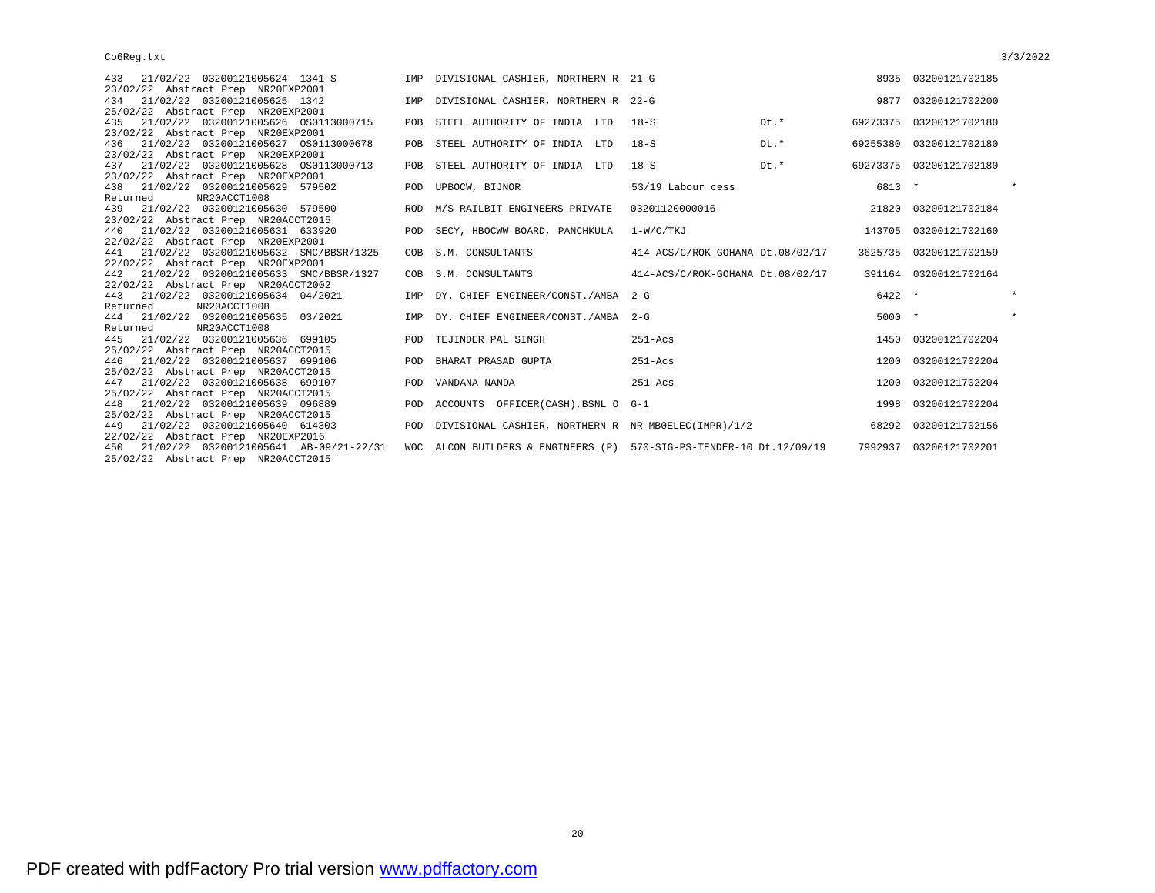| 23/02/22 Abstract Prep NR20EXP2001<br>21/02/22 03200121005625 1342<br>9877<br>03200121702200<br>IMP DIVISIONAL CASHIER, NORTHERN R 22-G<br>434<br>25/02/22 Abstract Prep NR20EXP2001<br>Dt.*<br>435 21/02/22 03200121005626 0S0113000715<br>$18-S$<br>03200121702180<br>POB STEEL AUTHORITY OF INDIA LTD<br>69273375<br>23/02/22 Abstract Prep NR20EXP2001<br>$18-S$<br>Dt.*<br>436 21/02/22 03200121005627 0S0113000678<br>POB STEEL AUTHORITY OF INDIA LTD<br>69255380 03200121702180 |         |
|-----------------------------------------------------------------------------------------------------------------------------------------------------------------------------------------------------------------------------------------------------------------------------------------------------------------------------------------------------------------------------------------------------------------------------------------------------------------------------------------|---------|
|                                                                                                                                                                                                                                                                                                                                                                                                                                                                                         |         |
|                                                                                                                                                                                                                                                                                                                                                                                                                                                                                         |         |
|                                                                                                                                                                                                                                                                                                                                                                                                                                                                                         |         |
|                                                                                                                                                                                                                                                                                                                                                                                                                                                                                         |         |
| 23/02/22 Abstract Prep NR20EXP2001                                                                                                                                                                                                                                                                                                                                                                                                                                                      |         |
| Dt.*<br>21/02/22 03200121005628 0S0113000713<br>$18-S$<br>69273375 03200121702180<br>POB STEEL AUTHORITY OF INDIA LTD<br>437                                                                                                                                                                                                                                                                                                                                                            |         |
| 23/02/22 Abstract Prep NR20EXP2001                                                                                                                                                                                                                                                                                                                                                                                                                                                      |         |
| 6813 *<br>438 21/02/22 03200121005629 579502<br>POD UPBOCW, BIJNOR<br>53/19 Labour cess                                                                                                                                                                                                                                                                                                                                                                                                 |         |
| Returned<br>NR20ACCT1008                                                                                                                                                                                                                                                                                                                                                                                                                                                                |         |
| 439 21/02/22 03200121005630 579500<br>03201120000016<br>03200121702184<br>ROD M/S RAILBIT ENGINEERS PRIVATE<br>21820                                                                                                                                                                                                                                                                                                                                                                    |         |
| 23/02/22 Abstract Prep NR20ACCT2015                                                                                                                                                                                                                                                                                                                                                                                                                                                     |         |
| 440 21/02/22 03200121005631 633920<br>POD SECY, HBOCWW BOARD, PANCHKULA 1-W/C/TKJ<br>143705<br>03200121702160                                                                                                                                                                                                                                                                                                                                                                           |         |
| 22/02/22 Abstract Prep NR20EXP2001                                                                                                                                                                                                                                                                                                                                                                                                                                                      |         |
| 441 21/02/22 03200121005632 SMC/BBSR/1325<br>COB S.M. CONSULTANTS<br>3625735<br>03200121702159<br>414-ACS/C/ROK-GOHANA Dt.08/02/17                                                                                                                                                                                                                                                                                                                                                      |         |
| 22/02/22 Abstract Prep NR20EXP2001                                                                                                                                                                                                                                                                                                                                                                                                                                                      |         |
| 442 21/02/22 03200121005633 SMC/BBSR/1327<br>COB S.M. CONSULTANTS<br>391164 03200121702164<br>414-ACS/C/ROK-GOHANA Dt.08/02/17                                                                                                                                                                                                                                                                                                                                                          |         |
| 22/02/22 Abstract Prep NR20ACCT2002                                                                                                                                                                                                                                                                                                                                                                                                                                                     | $\star$ |
| $6422$ *<br>443 21/02/22 03200121005634 04/2021<br>IMP DY. CHIEF ENGINEER/CONST./AMBA 2-G                                                                                                                                                                                                                                                                                                                                                                                               |         |
| Returned<br>NR20ACCT1008                                                                                                                                                                                                                                                                                                                                                                                                                                                                | $\star$ |
| $5000 *$<br>444 21/02/22 03200121005635 03/2021<br>IMP DY. CHIEF ENGINEER/CONST./AMBA 2-G                                                                                                                                                                                                                                                                                                                                                                                               |         |
| Returned<br>NR20ACCT1008                                                                                                                                                                                                                                                                                                                                                                                                                                                                |         |
| $251 - Acs$<br>21/02/22 03200121005636 699105<br>1450 03200121702204<br>POD TEJINDER PAL SINGH<br>445<br>25/02/22 Abstract Prep NR20ACCT2015                                                                                                                                                                                                                                                                                                                                            |         |
| 21/02/22 03200121005637 699106<br>POD BHARAT PRASAD GUPTA<br>$251 - Acs$<br>03200121702204<br>1200<br>446                                                                                                                                                                                                                                                                                                                                                                               |         |
| 25/02/22 Abstract Prep NR20ACCT2015                                                                                                                                                                                                                                                                                                                                                                                                                                                     |         |
| 21/02/22 03200121005638 699107<br>$251 - Acs$<br>03200121702204<br>POD VANDANA NANDA<br>1200<br>447                                                                                                                                                                                                                                                                                                                                                                                     |         |
| 25/02/22 Abstract Prep NR20ACCT2015                                                                                                                                                                                                                                                                                                                                                                                                                                                     |         |
| 448 21/02/22 03200121005639 096889<br>POD ACCOUNTS OFFICER(CASH), BSNL O G-1<br>1998<br>03200121702204                                                                                                                                                                                                                                                                                                                                                                                  |         |
| 25/02/22 Abstract Prep NR20ACCT2015                                                                                                                                                                                                                                                                                                                                                                                                                                                     |         |
| 449 21/02/22 03200121005640 614303<br>POD DIVISIONAL CASHIER, NORTHERN R NR-MBOELEC(IMPR)/1/2<br>03200121702156<br>68292                                                                                                                                                                                                                                                                                                                                                                |         |
| 22/02/22 Abstract Prep NR20EXP2016                                                                                                                                                                                                                                                                                                                                                                                                                                                      |         |
| 450 21/02/22 03200121005641 AB-09/21-22/31<br>WOC ALCON BUILDERS & ENGINEERS (P) 570-SIG-PS-TENDER-10 Dt.12/09/19<br>7992937 03200121702201                                                                                                                                                                                                                                                                                                                                             |         |
| 25/02/22 Abstract Prep NR20ACCT2015                                                                                                                                                                                                                                                                                                                                                                                                                                                     |         |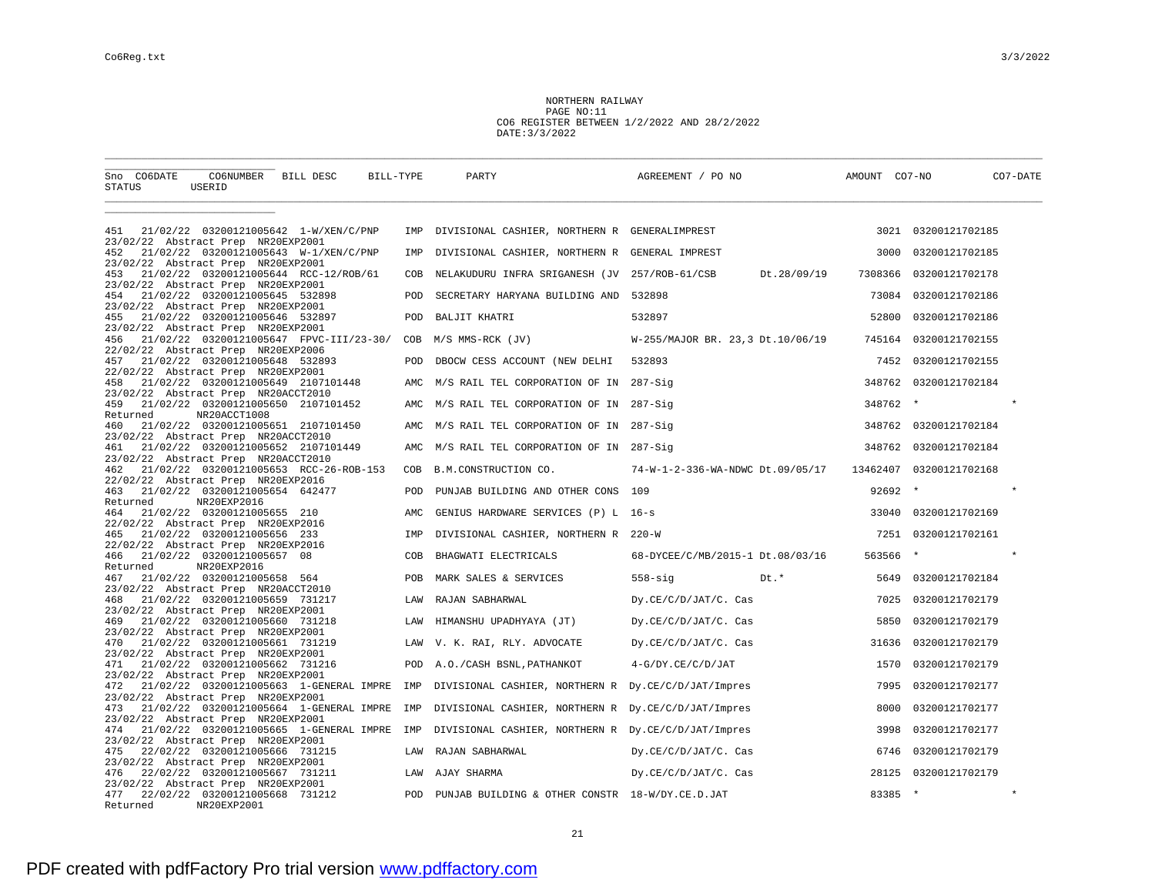NORTHERN RAILWAY PAGE NO:11 CO6 REGISTER BETWEEN 1/2/2022 AND 28/2/2022 DATE:3/3/2022

| CO6NUMBER BILL DESC<br>Sno CO6DATE<br>STATUS<br>USERID                                                                     | BILL-TYPE  | PARTY                                                | AGREEMENT / PO NO                | AMOUNT CO7-NO | CO7-DATE            |
|----------------------------------------------------------------------------------------------------------------------------|------------|------------------------------------------------------|----------------------------------|---------------|---------------------|
|                                                                                                                            |            |                                                      |                                  |               |                     |
| 21/02/22 03200121005642 1-W/XEN/C/PNP<br>451<br>23/02/22 Abstract Prep NR20EXP2001                                         | IMP        | DIVISIONAL CASHIER, NORTHERN R GENERALIMPREST        |                                  |               | 3021 03200121702185 |
| 21/02/22 03200121005643 W-1/XEN/C/PNP<br>452<br>23/02/22 Abstract Prep NR20EXP2001                                         | IMP        | DIVISIONAL CASHIER, NORTHERN R GENERAL IMPREST       |                                  | 3000          | 03200121702185      |
| 21/02/22 03200121005644 RCC-12/ROB/61<br>453<br>23/02/22 Abstract Prep NR20EXP2001                                         | COB        | NELAKUDURU INFRA SRIGANESH (JV 257/ROB-61/CSB        | Dt.28/09/19                      | 7308366       | 03200121702178      |
| 21/02/22 03200121005645 532898<br>454<br>23/02/22 Abstract Prep NR20EXP2001                                                | <b>POD</b> | SECRETARY HARYANA BUILDING AND 532898                |                                  | 73084         | 03200121702186      |
| 21/02/22 03200121005646 532897<br>455                                                                                      | POD        | BALJIT KHATRI                                        | 532897                           | 52800         | 03200121702186      |
| 23/02/22 Abstract Prep NR20EXP2001<br>21/02/22 03200121005647 FPVC-III/23-30/<br>456<br>22/02/22 Abstract Prep NR20EXP2006 | COB        | M/S MMS-RCK (JV)                                     | W-255/MAJOR BR. 23,3 Dt.10/06/19 | 745164        | 03200121702155      |
| 21/02/22 03200121005648 532893<br>457<br>22/02/22 Abstract Prep NR20EXP2001                                                | POD        | DBOCW CESS ACCOUNT (NEW DELHI                        | 532893                           | 7452          | 03200121702155      |
| 21/02/22 03200121005649 2107101448<br>458<br>23/02/22 Abstract Prep NR20ACCT2010                                           | AMC        | M/S RAIL TEL CORPORATION OF IN 287-Sig               |                                  | 348762        | 03200121702184      |
| 21/02/22 03200121005650 2107101452<br>459                                                                                  | AMC        | M/S RAIL TEL CORPORATION OF IN 287-Sig               |                                  | 348762        | $\star$             |
| NR20ACCT1008<br>Returned<br>21/02/22 03200121005651 2107101450<br>460                                                      | AMC        | M/S RAIL TEL CORPORATION OF IN 287-Sig               |                                  | 348762        | 03200121702184      |
| 23/02/22 Abstract Prep NR20ACCT2010<br>21/02/22 03200121005652 2107101449<br>461                                           | AMC        | M/S RAIL TEL CORPORATION OF IN 287-Sig               |                                  | 348762        | 03200121702184      |
| 23/02/22 Abstract Prep NR20ACCT2010<br>21/02/22 03200121005653 RCC-26-ROB-153<br>462<br>22/02/22 Abstract Prep NR20EXP2016 | COB        | B.M.CONSTRUCTION CO.                                 | 74-W-1-2-336-WA-NDWC Dt.09/05/17 | 13462407      | 03200121702168      |
| 21/02/22 03200121005654 642477<br>463                                                                                      | POD        | PUNJAB BUILDING AND OTHER CONS 109                   |                                  | 92692         | $\star$             |
| NR20EXP2016<br>Returned<br>21/02/22 03200121005655 210<br>464                                                              | AMC        | GENIUS HARDWARE SERVICES (P) L 16-s                  |                                  | 33040         | 03200121702169      |
| 22/02/22 Abstract Prep NR20EXP2016<br>21/02/22 03200121005656 233<br>465                                                   | IMP        | DIVISIONAL CASHIER, NORTHERN R 220-W                 |                                  | 7251          | 03200121702161      |
| 22/02/22 Abstract Prep NR20EXP2016<br>21/02/22 03200121005657 08<br>466                                                    | COB        | BHAGWATI ELECTRICALS                                 | 68-DYCEE/C/MB/2015-1 Dt.08/03/16 | 563566        | $\star$             |
| NR20EXP2016<br>Returned<br>21/02/22 03200121005658 564<br>467                                                              | POB        | MARK SALES & SERVICES                                | $558 - \text{sig}$<br>Dt. *      | 5649          | 03200121702184      |
| 23/02/22 Abstract Prep NR20ACCT2010<br>21/02/22 03200121005659 731217<br>468                                               | LAW        | RAJAN SABHARWAL                                      | Dy.CE/C/D/JAT/C. Cas             | 7025          | 03200121702179      |
| 23/02/22 Abstract Prep NR20EXP2001<br>21/02/22 03200121005660 731218<br>469                                                | LAW        | HIMANSHU UPADHYAYA (JT)                              | Dy.CE/C/D/JAT/C. Cas             | 5850          | 03200121702179      |
| 23/02/22 Abstract Prep NR20EXP2001<br>21/02/22 03200121005661 731219<br>470                                                | LAW        | V. K. RAI, RLY. ADVOCATE                             | Dy.CE/C/D/JAT/C. Cas             | 31636         | 03200121702179      |
| 23/02/22 Abstract Prep NR20EXP2001<br>21/02/22 03200121005662 731216<br>471                                                | POD        | A.O./CASH BSNL, PATHANKOT                            | $4-G/DY.CE/C/D/JAT$              | 1570          | 03200121702179      |
| 23/02/22 Abstract Prep NR20EXP2001<br>21/02/22 03200121005663 1-GENERAL IMPRE<br>472                                       | IMP        | DIVISIONAL CASHIER, NORTHERN R Dy. CE/C/D/JAT/Impres |                                  | 7995          | 03200121702177      |
| 23/02/22 Abstract Prep NR20EXP2001<br>21/02/22 03200121005664 1-GENERAL IMPRE<br>473                                       | IMP        | DIVISIONAL CASHIER, NORTHERN R Dy.CE/C/D/JAT/Impres  |                                  | 8000          | 03200121702177      |
| 23/02/22 Abstract Prep NR20EXP2001<br>21/02/22 03200121005665 1-GENERAL IMPRE IMP<br>474                                   |            | DIVISIONAL CASHIER, NORTHERN R Dy.CE/C/D/JAT/Impres  |                                  | 3998          | 03200121702177      |
| 23/02/22 Abstract Prep NR20EXP2001<br>22/02/22 03200121005666 731215<br>475                                                | LAW        | RAJAN SABHARWAL                                      | Dy.CE/C/D/JAT/C. Cas             | 6746          | 03200121702179      |
| 23/02/22 Abstract Prep NR20EXP2001<br>22/02/22 03200121005667 731211<br>476                                                |            | LAW AJAY SHARMA                                      | Dy.CE/C/D/JAT/C. Cas             | 28125         | 03200121702179      |
| 23/02/22 Abstract Prep NR20EXP2001<br>22/02/22 03200121005668 731212<br>477                                                | POD        | PUNJAB BUILDING & OTHER CONSTR 18-W/DY.CE.D.JAT      |                                  | 83385         | $\star$<br>$\star$  |
| Returned<br>NR20EXP2001                                                                                                    |            |                                                      |                                  |               |                     |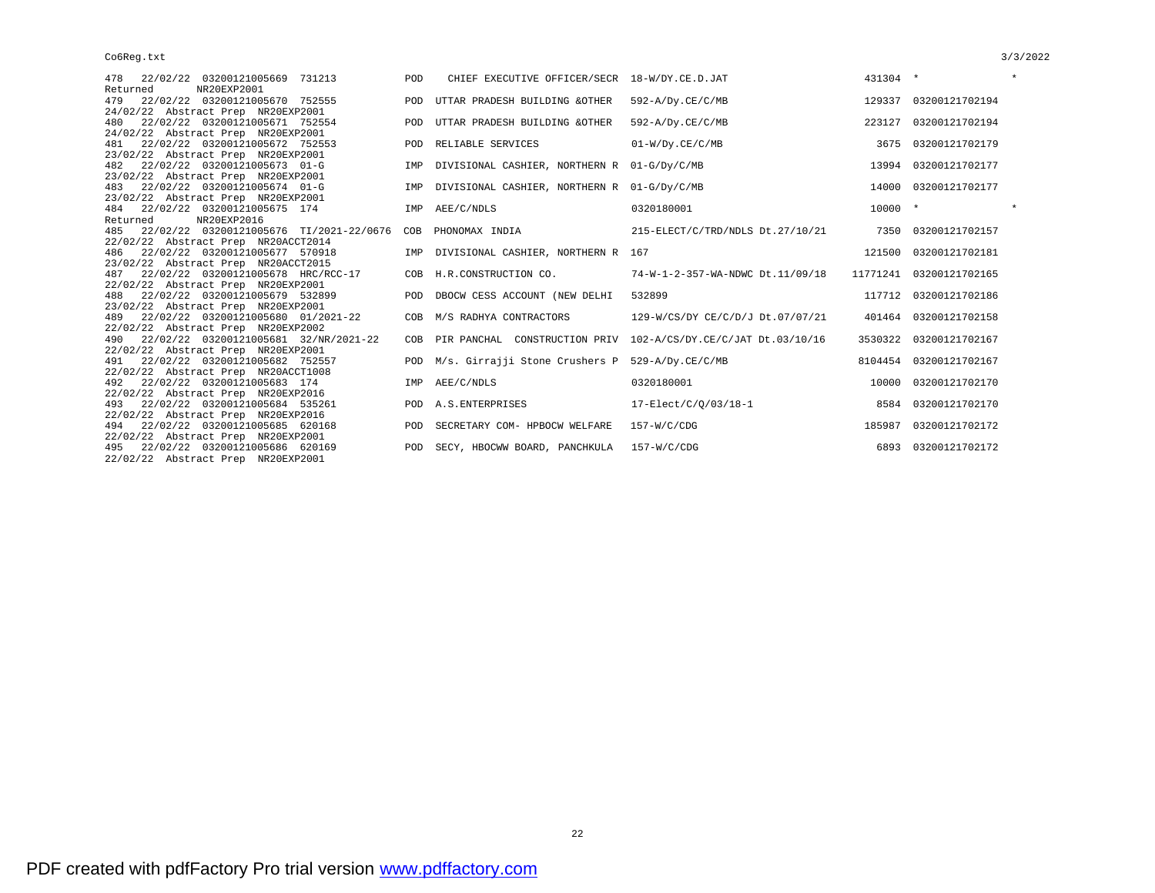| 478 22/02/22 03200121005669 731213                               | POD | CHIEF EXECUTIVE OFFICER/SECR 18-W/DY.CE.D.JAT |                                                                    | 431304 *  |                         | $\star$ |
|------------------------------------------------------------------|-----|-----------------------------------------------|--------------------------------------------------------------------|-----------|-------------------------|---------|
| Returned<br>NR20EXP2001<br>22/02/22 03200121005670 752555<br>479 |     | POD UTTAR PRADESH BUILDING &OTHER             | $592 - A/Dy$ .CE/C/MB                                              |           | 129337 03200121702194   |         |
| 24/02/22 Abstract Prep NR20EXP2001                               |     |                                               |                                                                    |           |                         |         |
| 22/02/22 03200121005671 752554<br>480                            | POD | UTTAR PRADESH BUILDING &OTHER                 | $592 - A/Dy$ . $CE/C/MB$                                           | 223127    | 03200121702194          |         |
| 24/02/22 Abstract Prep NR20EXP2001                               |     |                                               |                                                                    |           |                         |         |
| 22/02/22 03200121005672 752553<br>481                            |     | POD RELIABLE SERVICES                         | $01-W/Dy.CE/C/MB$                                                  |           | 3675 03200121702179     |         |
| 23/02/22 Abstract Prep NR20EXP2001                               |     |                                               |                                                                    |           |                         |         |
| 22/02/22 03200121005673 01-G<br>482                              | IMP | DIVISIONAL CASHIER, NORTHERN R 01-G/Dy/C/MB   |                                                                    | 13994     | 03200121702177          |         |
| 23/02/22 Abstract Prep NR20EXP2001                               |     |                                               |                                                                    |           |                         |         |
| 483 22/02/22 03200121005674 01-G                                 | IMP | DIVISIONAL CASHIER, NORTHERN R 01-G/Dy/C/MB   |                                                                    | 14000     | 03200121702177          |         |
| 23/02/22 Abstract Prep NR20EXP2001                               |     |                                               |                                                                    |           |                         |         |
| 484 22/02/22 03200121005675 174                                  |     | IMP AEE/C/NDLS                                | 0320180001                                                         | $10000 *$ |                         | $\star$ |
| NR20EXP2016<br>Returned                                          |     |                                               |                                                                    |           |                         |         |
| 22/02/22 03200121005676 TI/2021-22/0676<br>485                   | COB | PHONOMAX INDIA                                | 215-ELECT/C/TRD/NDLS Dt.27/10/21                                   | 7350      | 03200121702157          |         |
| 22/02/22 Abstract Prep NR20ACCT2014                              |     |                                               |                                                                    |           |                         |         |
| 486 22/02/22 03200121005677 570918                               |     | IMP DIVISIONAL CASHIER, NORTHERN R 167        |                                                                    | 121500    | 03200121702181          |         |
| 23/02/22 Abstract Prep NR20ACCT2015                              |     |                                               |                                                                    |           |                         |         |
| 22/02/22 03200121005678 HRC/RCC-17<br>487                        |     | COB H.R.CONSTRUCTION CO.                      | 74-W-1-2-357-WA-NDWC Dt.11/09/18                                   |           | 11771241 03200121702165 |         |
| 22/02/22 Abstract Prep NR20EXP2001                               |     |                                               |                                                                    |           |                         |         |
| 22/02/22 03200121005679 532899<br>488                            |     | POD DBOCW CESS ACCOUNT (NEW DELHI             | 532899                                                             |           | 117712 03200121702186   |         |
| 23/02/22 Abstract Prep NR20EXP2001                               |     |                                               |                                                                    |           |                         |         |
| 22/02/22 03200121005680 01/2021-22<br>489                        |     | COB M/S RADHYA CONTRACTORS                    | 129-W/CS/DY CE/C/D/J Dt.07/07/21                                   |           | 401464 03200121702158   |         |
| 22/02/22 Abstract Prep NR20EXP2002                               |     |                                               |                                                                    |           |                         |         |
| 22/02/22 03200121005681 32/NR/2021-22<br>490                     |     |                                               | COB PIR PANCHAL CONSTRUCTION PRIV 102-A/CS/DY.CE/C/JAT Dt.03/10/16 |           | 3530322 03200121702167  |         |
| 22/02/22 Abstract Prep NR20EXP2001                               |     |                                               |                                                                    |           |                         |         |
| 22/02/22 03200121005682 752557<br>491                            |     |                                               | POD M/s. Girrajji Stone Crushers P 529-A/Dy.CE/C/MB                |           | 8104454 03200121702167  |         |
| 22/02/22 Abstract Prep NR20ACCT1008                              |     |                                               |                                                                    |           |                         |         |
| 22/02/22 03200121005683 174<br>492                               |     | IMP AEE/C/NDLS                                | 0320180001                                                         | 10000     | 03200121702170          |         |
| 22/02/22 Abstract Prep NR20EXP2016                               |     |                                               |                                                                    |           |                         |         |
| 22/02/22 03200121005684 535261<br>493                            |     | POD A.S. ENTERPRISES                          | $17 - \text{Elect}/\text{C}/\text{Q}/03/18 - 1$                    |           | 8584 03200121702170     |         |
| 22/02/22 Abstract Prep NR20EXP2016                               |     |                                               |                                                                    |           |                         |         |
| 494 22/02/22 03200121005685 620168                               | POD | SECRETARY COM- HPBOCW WELFARE                 | 157-W/C/CDG                                                        | 185987    | 03200121702172          |         |
| 22/02/22 Abstract Prep NR20EXP2001                               |     |                                               |                                                                    |           |                         |         |
| 495 22/02/22 03200121005686 620169                               | POD | SECY, HBOCWW BOARD, PANCHKULA 157-W/C/CDG     |                                                                    | 6893      | 03200121702172          |         |
| 22/02/22 Abstract Prep NR20EXP2001                               |     |                                               |                                                                    |           |                         |         |
|                                                                  |     |                                               |                                                                    |           |                         |         |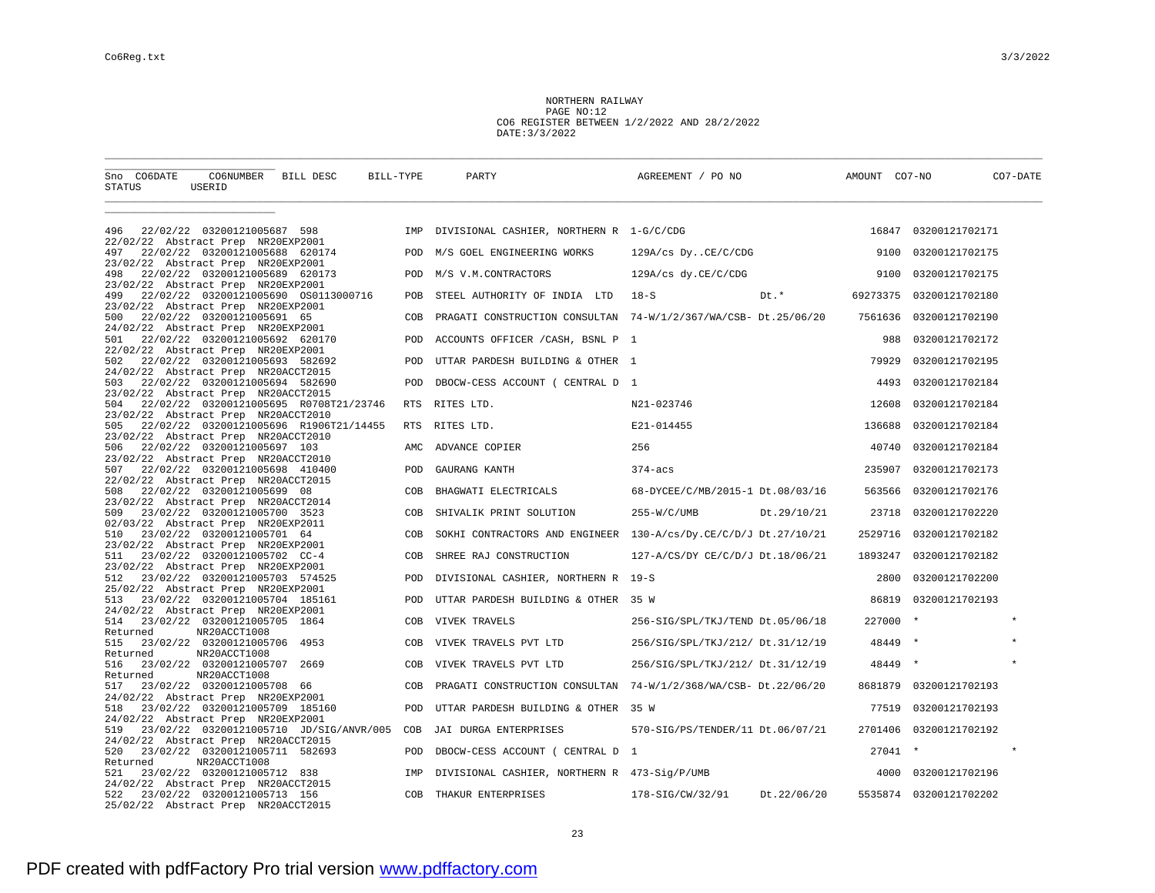NORTHERN RAILWAY PAGE NO:12 CO6 REGISTER BETWEEN 1/2/2022 AND 28/2/2022 DATE:3/3/2022

| Sno CO6DATE<br>CO6NUMBER BILL DESC<br>BILL-TYPE<br>STATUS<br>USERID                                              |            | PARTY                                        | AGREEMENT / PO NO                                               | AMOUNT CO7-NO | CO7-DATE               |
|------------------------------------------------------------------------------------------------------------------|------------|----------------------------------------------|-----------------------------------------------------------------|---------------|------------------------|
|                                                                                                                  |            |                                              |                                                                 |               |                        |
| 22/02/22 03200121005687 598<br>496<br>22/02/22 Abstract Prep NR20EXP2001                                         |            | IMP DIVISIONAL CASHIER, NORTHERN R 1-G/C/CDG |                                                                 |               | 16847 03200121702171   |
| 22/02/22 03200121005688 620174<br>497                                                                            | POD        | M/S GOEL ENGINEERING WORKS                   | 129A/cs DyCE/C/CDG                                              | 9100          | 03200121702175         |
| 23/02/22 Abstract Prep NR20EXP2001<br>22/02/22 03200121005689 620173<br>498                                      | POD        | M/S V.M.CONTRACTORS                          | 129A/cs dy.CE/C/CDG                                             | 9100          | 03200121702175         |
| 23/02/22 Abstract Prep NR20EXP2001<br>22/02/22 03200121005690 0S0113000716<br>499                                | POB        | STEEL AUTHORITY OF INDIA LTD                 | $18-S$<br>Dt.*                                                  | 69273375      | 03200121702180         |
| 23/02/22 Abstract Prep NR20EXP2001<br>22/02/22 03200121005691 65<br>500                                          | COB        |                                              | PRAGATI CONSTRUCTION CONSULTAN 74-W/1/2/367/WA/CSB- Dt.25/06/20 | 7561636       | 03200121702190         |
| 24/02/22 Abstract Prep NR20EXP2001<br>22/02/22 03200121005692 620170<br>501                                      | POD        | ACCOUNTS OFFICER / CASH, BSNL P 1            |                                                                 | 988           | 03200121702172         |
| 22/02/22 Abstract Prep NR20EXP2001<br>22/02/22 03200121005693 582692<br>502                                      | POD        | UTTAR PARDESH BUILDING & OTHER 1             |                                                                 | 79929         | 03200121702195         |
| 24/02/22 Abstract Prep NR20ACCT2015<br>22/02/22 03200121005694 582690<br>503                                     | POD        | DBOCW-CESS ACCOUNT ( CENTRAL D 1             |                                                                 | 4493          | 03200121702184         |
| 23/02/22 Abstract Prep NR20ACCT2015                                                                              |            |                                              |                                                                 |               |                        |
| 22/02/22 03200121005695 R0708T21/23746<br>504<br>23/02/22 Abstract Prep NR20ACCT2010                             | <b>RTS</b> | RITES LTD.                                   | N21-023746                                                      | 12608         | 03200121702184         |
| 22/02/22 03200121005696 R1906T21/14455<br>505<br>23/02/22 Abstract Prep NR20ACCT2010                             | RTS        | RITES LTD.                                   | E21-014455                                                      | 136688        | 03200121702184         |
| 22/02/22 03200121005697 103<br>506<br>23/02/22 Abstract Prep NR20ACCT2010                                        | AMC.       | ADVANCE COPIER                               | 256                                                             | 40740         | 03200121702184         |
| 22/02/22 03200121005698 410400<br>507<br>22/02/22 Abstract Prep NR20ACCT2015                                     | POD        | GAURANG KANTH                                | $374 - acs$                                                     | 235907        | 03200121702173         |
| 22/02/22 03200121005699 08<br>508                                                                                | COB        | BHAGWATI ELECTRICALS                         | 68-DYCEE/C/MB/2015-1 Dt.08/03/16                                | 563566        | 03200121702176         |
| 23/02/22 Abstract Prep NR20ACCT2014<br>23/02/22 03200121005700 3523<br>509                                       | COB        | SHIVALIK PRINT SOLUTION                      | $255-W/C/UMB$<br>Dt.29/10/21                                    | 23718         | 03200121702220         |
| 02/03/22 Abstract Prep NR20EXP2011<br>23/02/22 03200121005701 64<br>510                                          | COB        |                                              | SOKHI CONTRACTORS AND ENGINEER 130-A/cs/Dy.CE/C/D/J Dt.27/10/21 | 2529716       | 03200121702182         |
| 23/02/22 Abstract Prep NR20EXP2001<br>23/02/22 03200121005702 CC-4<br>511                                        | COB        | SHREE RAJ CONSTRUCTION                       | 127-A/CS/DY CE/C/D/J Dt.18/06/21                                | 1893247       | 03200121702182         |
| 23/02/22 Abstract Prep NR20EXP2001                                                                               |            |                                              |                                                                 |               |                        |
| 23/02/22 03200121005703 574525<br>512<br>25/02/22 Abstract Prep NR20EXP2001                                      | POD        | DIVISIONAL CASHIER, NORTHERN R 19-S          |                                                                 | 2800          | 03200121702200         |
| 23/02/22 03200121005704 185161<br>513<br>24/02/22 Abstract Prep NR20EXP2001                                      | POD        | UTTAR PARDESH BUILDING & OTHER 35 W          |                                                                 | 86819         | 03200121702193         |
| 23/02/22 03200121005705 1864<br>514<br>Returned<br>NR20ACCT1008                                                  | COB        | VIVEK TRAVELS                                | 256-SIG/SPL/TKJ/TEND Dt.05/06/18                                | 227000        | $\star$                |
| 515<br>23/02/22 03200121005706 4953                                                                              | COB        | VIVEK TRAVELS PVT LTD                        | 256/SIG/SPL/TKJ/212/ Dt.31/12/19                                | 48449         |                        |
| Returned<br>NR20ACCT1008<br>516<br>23/02/22 03200121005707<br>2669                                               | COB        | VIVEK TRAVELS PVT LTD                        | 256/SIG/SPL/TKJ/212/ Dt.31/12/19                                | 48449         |                        |
| NR20ACCT1008<br>Returned<br>23/02/22 03200121005708 66<br>517                                                    | COB        | PRAGATI CONSTRUCTION CONSULTAN               | 74-W/1/2/368/WA/CSB- Dt.22/06/20                                | 8681879       | 03200121702193         |
| 24/02/22 Abstract Prep NR20EXP2001<br>518<br>23/02/22 03200121005709 185160                                      | POD        | UTTAR PARDESH BUILDING & OTHER 35 W          |                                                                 | 77519         | 03200121702193         |
| 24/02/22 Abstract Prep NR20EXP2001                                                                               |            |                                              |                                                                 |               |                        |
| 23/02/22 03200121005710 JD/SIG/ANVR/005<br>519<br>24/02/22 Abstract Prep NR20ACCT2015                            | COB        | JAI DURGA ENTERPRISES                        | 570-SIG/PS/TENDER/11 Dt.06/07/21                                | 2701406       | 03200121702192         |
| 23/02/22 03200121005711 582693<br>520                                                                            | POD        | DBOCW-CESS ACCOUNT ( CENTRAL D 1             |                                                                 | $27041$ *     |                        |
| Returned<br>NR20ACCT1008<br>23/02/22 03200121005712 838<br>521                                                   | IMP        | DIVISIONAL CASHIER, NORTHERN R 473-Sig/P/UMB |                                                                 | 4000          | 03200121702196         |
| 24/02/22 Abstract Prep NR20ACCT2015<br>522<br>23/02/22 03200121005713 156<br>25/02/22 Abstract Prep NR20ACCT2015 | COB        | THAKUR ENTERPRISES                           | Dt.22/06/20<br>178-SIG/CW/32/91                                 |               | 5535874 03200121702202 |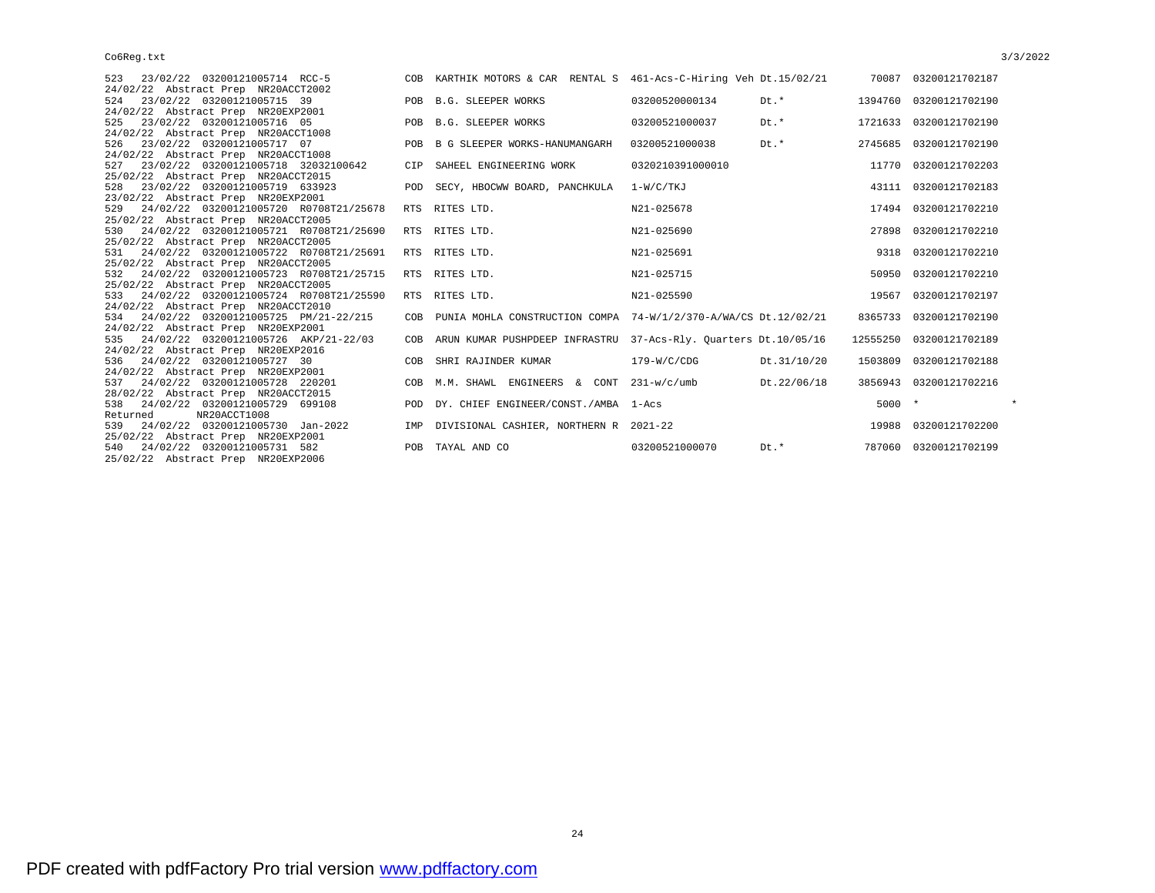| 523 23/02/22 03200121005714 RCC-5             |            | COB KARTHIK MOTORS & CAR RENTAL S 461-Acs-C-Hiring Veh Dt.15/02/21  |                  |             |          | 70087 03200121702187    |
|-----------------------------------------------|------------|---------------------------------------------------------------------|------------------|-------------|----------|-------------------------|
| 24/02/22 Abstract Prep NR20ACCT2002           |            |                                                                     |                  |             |          |                         |
| 23/02/22 03200121005715 39<br>524             |            | POB B.G. SLEEPER WORKS                                              | 03200520000134   | Dt.*        |          | 1394760 03200121702190  |
| 24/02/22 Abstract Prep NR20EXP2001            |            |                                                                     |                  |             |          |                         |
| 23/02/22 03200121005716 05<br>525             |            | POB B.G. SLEEPER WORKS                                              | 03200521000037   | Dt.*        |          | 1721633 03200121702190  |
| 24/02/22 Abstract Prep NR20ACCT1008           |            |                                                                     |                  |             |          |                         |
| 23/02/22 03200121005717 07<br>526             |            | POB B G SLEEPER WORKS-HANUMANGARH                                   | 03200521000038   | Dt.*        |          | 2745685 03200121702190  |
| 24/02/22 Abstract Prep NR20ACCT1008           |            |                                                                     |                  |             |          |                         |
| 23/02/22 03200121005718 32032100642<br>527    | <b>CTP</b> | SAHEEL ENGINEERING WORK                                             | 0320210391000010 |             | 11770    | 03200121702203          |
| 25/02/22 Abstract Prep NR20ACCT2015           |            |                                                                     |                  |             |          |                         |
| 23/02/22 03200121005719 633923<br>528         |            | POD SECY, HBOCWW BOARD, PANCHKULA 1-W/C/TKJ                         |                  |             |          | 43111 03200121702183    |
| 23/02/22 Abstract Prep NR20EXP2001            |            |                                                                     |                  |             |          |                         |
| 529 24/02/22 03200121005720 R0708T21/25678    |            | RTS RITES LTD.                                                      | N21-025678       |             | 17494    | 03200121702210          |
| 25/02/22 Abstract Prep NR20ACCT2005           |            |                                                                     |                  |             |          |                         |
| 530 24/02/22 03200121005721 R0708T21/25690    |            | RTS RITES LTD.                                                      | N21-025690       |             | 27898    | 03200121702210          |
| 25/02/22 Abstract Prep NR20ACCT2005           |            |                                                                     |                  |             |          |                         |
| 24/02/22 03200121005722 R0708T21/25691<br>531 |            | RTS RITES LTD.                                                      | N21-025691       |             | 9318     | 03200121702210          |
| 25/02/22 Abstract Prep NR20ACCT2005           |            |                                                                     |                  |             |          |                         |
| 532 24/02/22 03200121005723 R0708T21/25715    |            | RTS RITES LTD.                                                      | N21-025715       |             | 50950    | 03200121702210          |
| 25/02/22 Abstract Prep NR20ACCT2005           |            |                                                                     |                  |             |          |                         |
| 24/02/22 03200121005724 R0708T21/25590<br>533 |            | RTS RITES LTD.                                                      | N21-025590       |             | 19567    | 03200121702197          |
| 24/02/22 Abstract Prep NR20ACCT2010           |            |                                                                     |                  |             |          |                         |
| 534 24/02/22 03200121005725 PM/21-22/215      |            | COB PUNIA MOHLA CONSTRUCTION COMPA 74-W/1/2/370-A/WA/CS Dt.12/02/21 |                  |             |          | 8365733 03200121702190  |
| 24/02/22 Abstract Prep NR20EXP2001            |            |                                                                     |                  |             |          |                         |
| 24/02/22 03200121005726 AKP/21-22/03<br>535   |            | COB ARUN KUMAR PUSHPDEEP INFRASTRU 37-Acs-Rly. Quarters Dt.10/05/16 |                  |             |          | 12555250 03200121702189 |
| 24/02/22 Abstract Prep NR20EXP2016            |            |                                                                     |                  |             |          |                         |
| 24/02/22 03200121005727 30<br>536             |            | COB SHRI RAJINDER KUMAR                                             | $179-W/C/CDG$    | Dt.31/10/20 |          | 1503809 03200121702188  |
| 24/02/22 Abstract Prep NR20EXP2001            |            |                                                                     |                  |             |          |                         |
| 24/02/22 03200121005728 220201<br>537         |            | COB M.M. SHAWL ENGINEERS & CONT $231-w/c/umb$                       |                  | Dt.22/06/18 |          | 3856943 03200121702216  |
| 28/02/22 Abstract Prep NR20ACCT2015           |            |                                                                     |                  |             |          |                         |
| 538 24/02/22 03200121005729 699108            |            | POD DY. CHIEF ENGINEER/CONST./AMBA 1-Acs                            |                  |             | $5000 *$ | $\star$                 |
| NR20ACCT1008<br>Returned                      |            |                                                                     |                  |             |          |                         |
| 539 24/02/22 03200121005730 Jan-2022          | IMP        | DIVISIONAL CASHIER, NORTHERN R 2021-22                              |                  |             |          | 19988 03200121702200    |
| 25/02/22 Abstract Prep NR20EXP2001            |            |                                                                     |                  |             |          |                         |
| 540 24/02/22 03200121005731 582               | POB        | TAYAL AND CO                                                        | 03200521000070   | Dt.*        | 787060   | 03200121702199          |
| 25/02/22 Abstract Prep NR20EXP2006            |            |                                                                     |                  |             |          |                         |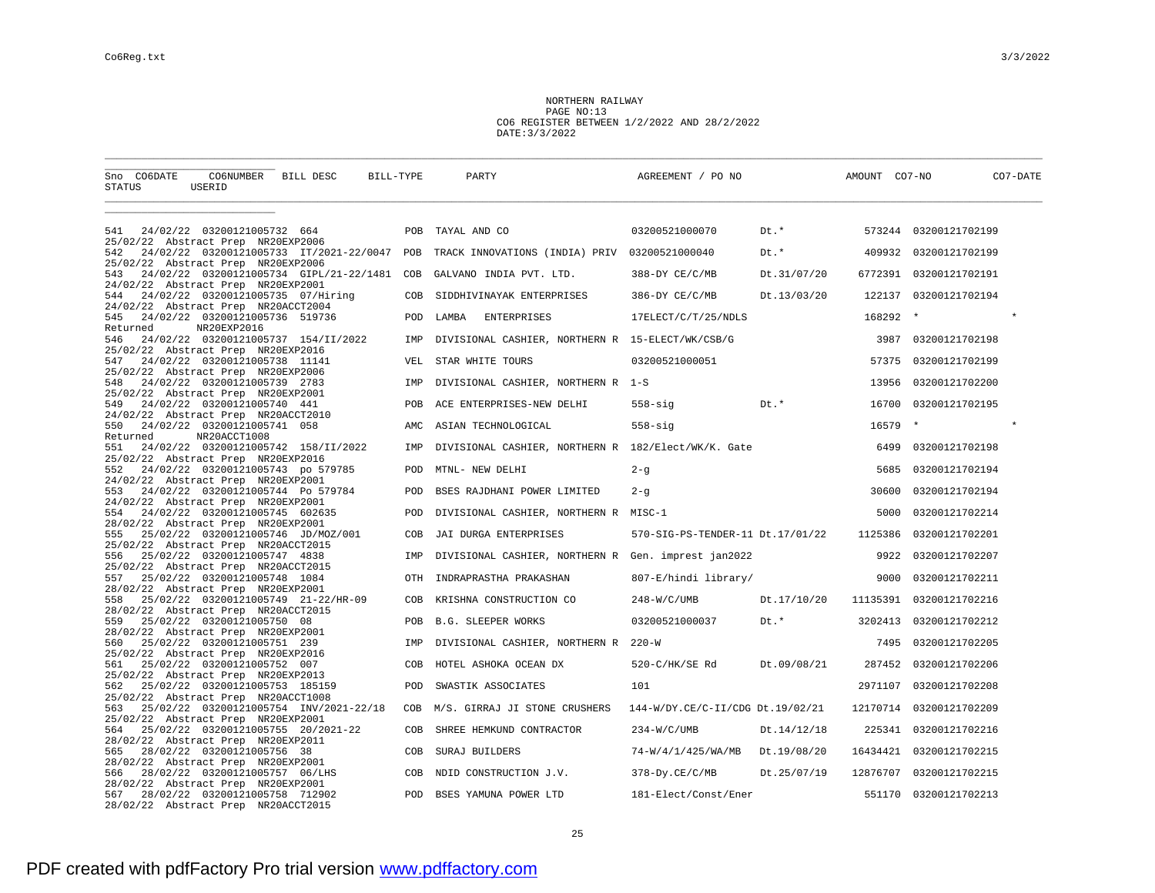NORTHERN RAILWAY PAGE NO:13 CO6 REGISTER BETWEEN 1/2/2022 AND 28/2/2022 DATE:3/3/2022

| CO6NUMBER BILL DESC<br>Sno CO6DATE<br>STATUS<br>USERID                                                             | BILL-TYPE  | PARTY                                               | AGREEMENT / PO NO                |             | AMOUNT CO7-NO |                       | CO7-DATE |
|--------------------------------------------------------------------------------------------------------------------|------------|-----------------------------------------------------|----------------------------------|-------------|---------------|-----------------------|----------|
|                                                                                                                    |            |                                                     |                                  |             |               |                       |          |
| 24/02/22 03200121005732 664<br>541<br>25/02/22 Abstract Prep NR20EXP2006                                           |            | POB TAYAL AND CO                                    | 03200521000070                   | Dt.*        |               | 573244 03200121702199 |          |
| 24/02/22 03200121005733 IT/2021-22/0047 POB<br>542<br>25/02/22 Abstract Prep NR20EXP2006                           |            | TRACK INNOVATIONS (INDIA) PRIV 03200521000040       |                                  | Dt.*        | 409932        | 03200121702199        |          |
| 24/02/22 03200121005734 GIPL/21-22/1481<br>543                                                                     | COB        | GALVANO INDIA PVT. LTD.                             | 388-DY CE/C/MB                   | Dt.31/07/20 | 6772391       | 03200121702191        |          |
| 24/02/22 Abstract Prep NR20EXP2001<br>24/02/22 03200121005735 07/Hiring<br>544                                     | COB        | SIDDHIVINAYAK ENTERPRISES                           | 386-DY CE/C/MB                   | Dt.13/03/20 | 122137        | 03200121702194        |          |
| 24/02/22 Abstract Prep NR20ACCT2004<br>24/02/22 03200121005736 519736<br>545                                       | POD        | <b>ENTERPRISES</b><br>LAMBA                         | 17ELECT/C/T/25/NDLS              |             | 168292        | $\star$               |          |
| NR20EXP2016<br>Returned<br>24/02/22 03200121005737 154/II/2022<br>546                                              | IMP        | DIVISIONAL CASHIER, NORTHERN R 15-ELECT/WK/CSB/G    |                                  |             | 3987          | 03200121702198        |          |
| 25/02/22 Abstract Prep NR20EXP2016<br>24/02/22 03200121005738 11141<br>547                                         | VEL        | STAR WHITE TOURS                                    | 03200521000051                   |             | 57375         | 03200121702199        |          |
| 25/02/22 Abstract Prep NR20EXP2006<br>24/02/22 03200121005739 2783<br>548                                          | IMP        | DIVISIONAL CASHIER, NORTHERN R 1-S                  |                                  |             | 13956         | 03200121702200        |          |
| 25/02/22 Abstract Prep NR20EXP2001<br>24/02/22 03200121005740 441<br>549                                           | POB        | ACE ENTERPRISES-NEW DELHI                           | Dt.*<br>$558 - \text{sig}$       |             | 16700         | 03200121702195        |          |
| 24/02/22 Abstract Prep NR20ACCT2010<br>24/02/22 03200121005741 058<br>550                                          | AMC        | ASIAN TECHNOLOGICAL                                 | $558 - \text{sig}$               |             | 16579         |                       |          |
| Returned<br>NR20ACCT1008<br>24/02/22 03200121005742 158/II/2022<br>551                                             | IMP        | DIVISIONAL CASHIER, NORTHERN R 182/Elect/WK/K. Gate |                                  |             | 6499          | 03200121702198        |          |
| 25/02/22 Abstract Prep NR20EXP2016<br>24/02/22 03200121005743 po 579785<br>552                                     | POD        | MTNL- NEW DELHI                                     | $2 - g$                          |             | 5685          | 03200121702194        |          |
| 24/02/22 Abstract Prep NR20EXP2001<br>24/02/22 03200121005744 Po 579784<br>553                                     | POD        | BSES RAJDHANI POWER LIMITED                         | $2 - g$                          |             | 30600         | 03200121702194        |          |
| 24/02/22 Abstract Prep NR20EXP2001<br>554<br>24/02/22 03200121005745 602635                                        | <b>POD</b> | DIVISIONAL CASHIER, NORTHERN R MISC-1               |                                  |             | 5000          | 03200121702214        |          |
| 28/02/22 Abstract Prep NR20EXP2001<br>25/02/22 03200121005746 JD/MOZ/001<br>555                                    | COB        | JAI DURGA ENTERPRISES                               | 570-SIG-PS-TENDER-11 Dt.17/01/22 |             | 1125386       | 03200121702201        |          |
| 25/02/22 Abstract Prep NR20ACCT2015<br>25/02/22 03200121005747 4838<br>556                                         | IMP        | DIVISIONAL CASHIER, NORTHERN R Gen. imprest jan2022 |                                  |             | 9922          | 03200121702207        |          |
| 25/02/22 Abstract Prep NR20ACCT2015                                                                                |            |                                                     |                                  |             |               |                       |          |
| 557<br>25/02/22 03200121005748 1084<br>28/02/22 Abstract Prep NR20EXP2001                                          | OTH        | INDRAPRASTHA PRAKASHAN                              | 807-E/hindi library/             |             | 9000          | 03200121702211        |          |
| 25/02/22 03200121005749 21-22/HR-09<br>558<br>28/02/22 Abstract Prep NR20ACCT2015                                  | COB        | KRISHNA CONSTRUCTION CO                             | $248-W/C/UMB$                    | Dt.17/10/20 | 11135391      | 03200121702216        |          |
| 559<br>25/02/22 03200121005750 08<br>28/02/22 Abstract Prep NR20EXP2001                                            | POB        | <b>B.G. SLEEPER WORKS</b>                           | 03200521000037                   | Dt.*        | 3202413       | 03200121702212        |          |
| 25/02/22 03200121005751 239<br>560<br>25/02/22 Abstract Prep NR20EXP2016                                           | IMP        | DIVISIONAL CASHIER, NORTHERN R 220-W                |                                  |             | 7495          | 03200121702205        |          |
| 25/02/22 03200121005752 007<br>561<br>25/02/22 Abstract Prep NR20EXP2013                                           | COB        | HOTEL ASHOKA OCEAN DX                               | 520-C/HK/SE Rd                   | Dt.09/08/21 | 287452        | 03200121702206        |          |
| 25/02/22 03200121005753 185159<br>562<br>25/02/22 Abstract Prep NR20ACCT1008                                       | POD        | SWASTIK ASSOCIATES                                  | 101                              |             | 2971107       | 03200121702208        |          |
| 563<br>25/02/22 03200121005754 INV/2021-22/18<br>25/02/22 Abstract Prep NR20EXP2001                                | COB        | M/S. GIRRAJ JI STONE CRUSHERS                       | 144-W/DY.CE/C-II/CDG Dt.19/02/21 |             | 12170714      | 03200121702209        |          |
| 25/02/22 03200121005755 20/2021-22<br>564                                                                          | COB        | SHREE HEMKUND CONTRACTOR                            | $234-W/C/UMB$                    | Dt.14/12/18 | 225341        | 03200121702216        |          |
| 28/02/22 Abstract Prep NR20EXP2011<br>28/02/22 03200121005756 38<br>565                                            | COB        | SURAJ BUILDERS                                      | 74-W/4/1/425/WA/MB               | Dt.19/08/20 | 16434421      | 03200121702215        |          |
| 28/02/22 Abstract Prep NR20EXP2001<br>28/02/22 03200121005757 06/LHS<br>566                                        | COB        | NDID CONSTRUCTION J.V.                              | 378-Dy.CE/C/MB                   | Dt.25/07/19 | 12876707      | 03200121702215        |          |
| 28/02/22 Abstract Prep NR20EXP2001<br>567<br>28/02/22 03200121005758 712902<br>28/02/22 Abstract Prep NR20ACCT2015 | POD        | BSES YAMUNA POWER LTD                               | 181-Elect/Const/Ener             |             | 551170        | 03200121702213        |          |